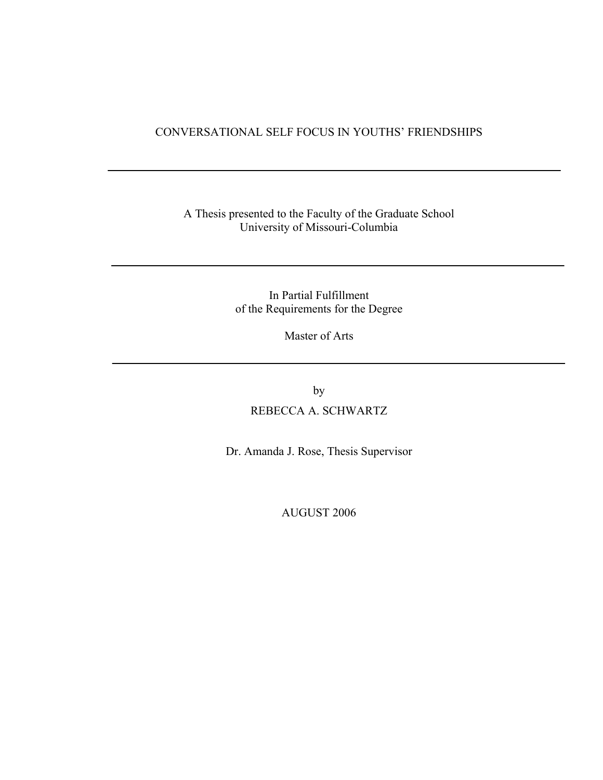## CONVERSATIONAL SELF FOCUS IN YOUTHS' FRIENDSHIPS

## A Thesis presented to the Faculty of the Graduate School University of Missouri-Columbia

In Partial Fulfillment of the Requirements for the Degree

Master of Arts

by

REBECCA A. SCHWARTZ

Dr. Amanda J. Rose, Thesis Supervisor

AUGUST 2006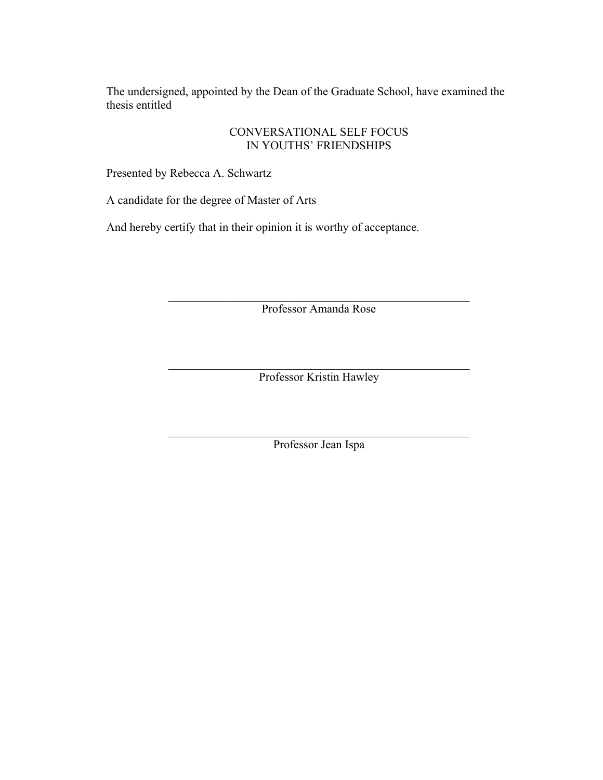The undersigned, appointed by the Dean of the Graduate School, have examined the thesis entitled

# CONVERSATIONAL SELF FOCUS IN YOUTHS' FRIENDSHIPS

Presented by Rebecca A. Schwartz

A candidate for the degree of Master of Arts

And hereby certify that in their opinion it is worthy of acceptance.

 $\mathcal{L}_\text{max}$  , and the contract of the contract of the contract of the contract of the contract of the contract of the contract of the contract of the contract of the contract of the contract of the contract of the contr Professor Amanda Rose

 $\mathcal{L}_\text{max}$  , and the contract of the contract of the contract of the contract of the contract of the contract of the contract of the contract of the contract of the contract of the contract of the contract of the contr Professor Kristin Hawley

 $\mathcal{L}_\text{max}$  , and the contract of the contract of the contract of the contract of the contract of the contract of the contract of the contract of the contract of the contract of the contract of the contract of the contr Professor Jean Ispa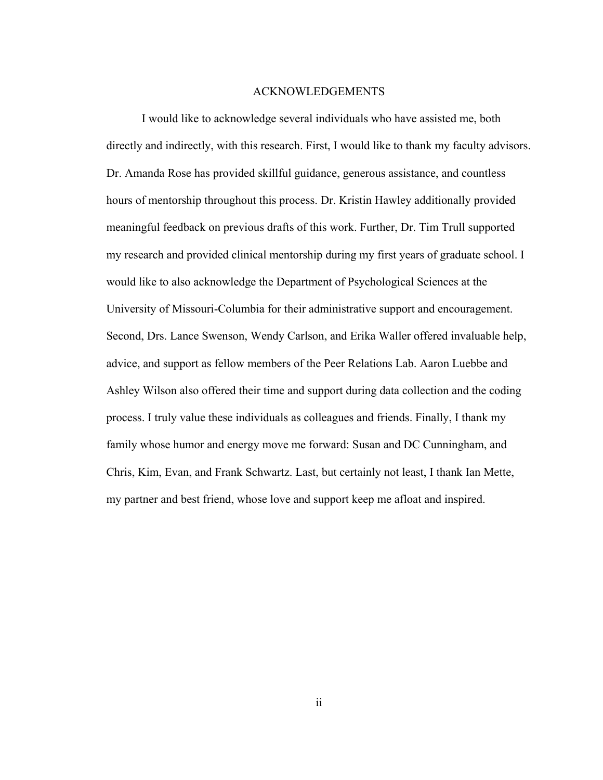#### ACKNOWLEDGEMENTS

I would like to acknowledge several individuals who have assisted me, both directly and indirectly, with this research. First, I would like to thank my faculty advisors. Dr. Amanda Rose has provided skillful guidance, generous assistance, and countless hours of mentorship throughout this process. Dr. Kristin Hawley additionally provided meaningful feedback on previous drafts of this work. Further, Dr. Tim Trull supported my research and provided clinical mentorship during my first years of graduate school. I would like to also acknowledge the Department of Psychological Sciences at the University of Missouri-Columbia for their administrative support and encouragement. Second, Drs. Lance Swenson, Wendy Carlson, and Erika Waller offered invaluable help, advice, and support as fellow members of the Peer Relations Lab. Aaron Luebbe and Ashley Wilson also offered their time and support during data collection and the coding process. I truly value these individuals as colleagues and friends. Finally, I thank my family whose humor and energy move me forward: Susan and DC Cunningham, and Chris, Kim, Evan, and Frank Schwartz. Last, but certainly not least, I thank Ian Mette, my partner and best friend, whose love and support keep me afloat and inspired.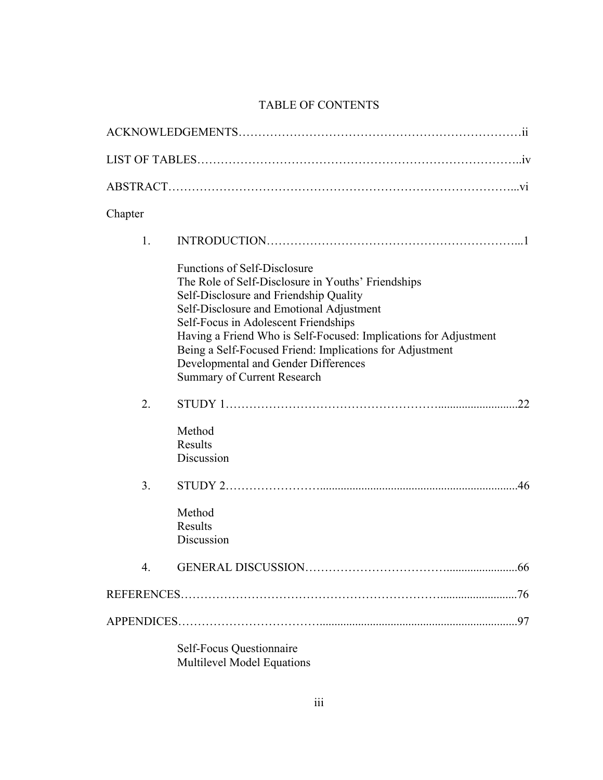# TABLE OF CONTENTS

| Chapter |                                                                                                                                                                                                                                                                                                                                                                                                                                       |  |
|---------|---------------------------------------------------------------------------------------------------------------------------------------------------------------------------------------------------------------------------------------------------------------------------------------------------------------------------------------------------------------------------------------------------------------------------------------|--|
| 1.      |                                                                                                                                                                                                                                                                                                                                                                                                                                       |  |
|         | <b>Functions of Self-Disclosure</b><br>The Role of Self-Disclosure in Youths' Friendships<br>Self-Disclosure and Friendship Quality<br>Self-Disclosure and Emotional Adjustment<br>Self-Focus in Adolescent Friendships<br>Having a Friend Who is Self-Focused: Implications for Adjustment<br>Being a Self-Focused Friend: Implications for Adjustment<br>Developmental and Gender Differences<br><b>Summary of Current Research</b> |  |
| 2.      | 22                                                                                                                                                                                                                                                                                                                                                                                                                                    |  |
|         | Method<br><b>Results</b><br>Discussion                                                                                                                                                                                                                                                                                                                                                                                                |  |
| 3.      | 46                                                                                                                                                                                                                                                                                                                                                                                                                                    |  |
|         | Method<br><b>Results</b><br>Discussion                                                                                                                                                                                                                                                                                                                                                                                                |  |
| 4.      |                                                                                                                                                                                                                                                                                                                                                                                                                                       |  |
|         |                                                                                                                                                                                                                                                                                                                                                                                                                                       |  |
|         |                                                                                                                                                                                                                                                                                                                                                                                                                                       |  |
|         | <b>Self-Focus Questionnaire</b>                                                                                                                                                                                                                                                                                                                                                                                                       |  |

Multilevel Model Equations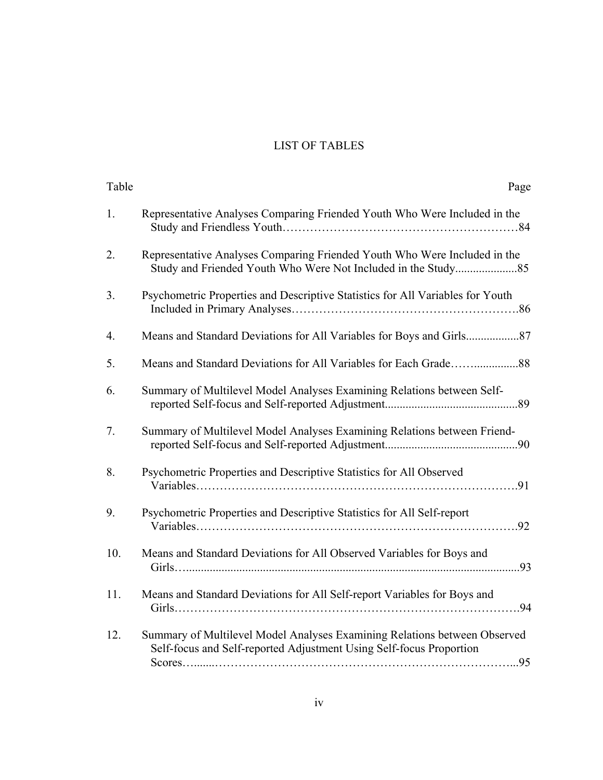# LIST OF TABLES

| Table | Page                                                                                                                                             |
|-------|--------------------------------------------------------------------------------------------------------------------------------------------------|
| 1.    | Representative Analyses Comparing Friended Youth Who Were Included in the                                                                        |
| 2.    | Representative Analyses Comparing Friended Youth Who Were Included in the                                                                        |
| 3.    | Psychometric Properties and Descriptive Statistics for All Variables for Youth                                                                   |
| 4.    |                                                                                                                                                  |
| 5.    |                                                                                                                                                  |
| 6.    | Summary of Multilevel Model Analyses Examining Relations between Self-                                                                           |
| 7.    | Summary of Multilevel Model Analyses Examining Relations between Friend-                                                                         |
| 8.    | Psychometric Properties and Descriptive Statistics for All Observed                                                                              |
| 9.    | Psychometric Properties and Descriptive Statistics for All Self-report                                                                           |
| 10.   | Means and Standard Deviations for All Observed Variables for Boys and                                                                            |
| 11.   | Means and Standard Deviations for All Self-report Variables for Boys and                                                                         |
| 12.   | Summary of Multilevel Model Analyses Examining Relations between Observed<br>Self-focus and Self-reported Adjustment Using Self-focus Proportion |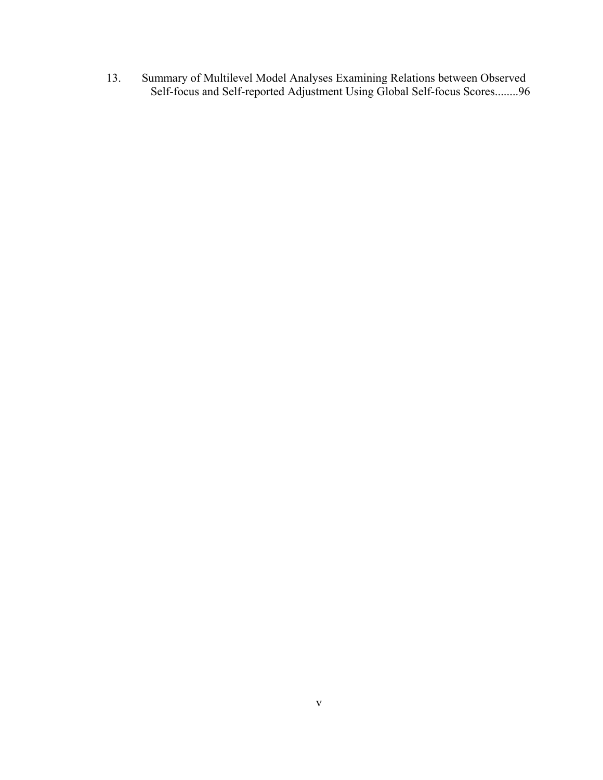13. Summary of Multilevel Model Analyses Examining Relations between Observed Self-focus and Self-reported Adjustment Using Global Self-focus Scores........96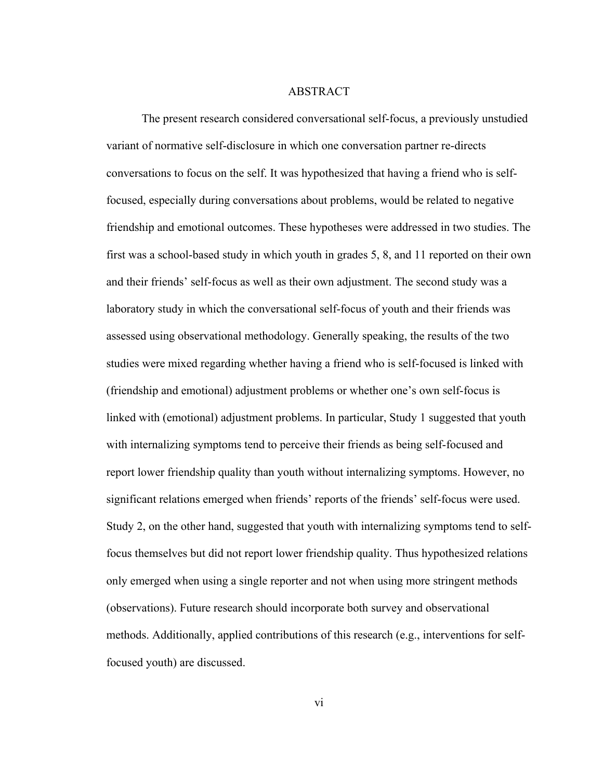#### **ABSTRACT**

 The present research considered conversational self-focus, a previously unstudied variant of normative self-disclosure in which one conversation partner re-directs conversations to focus on the self. It was hypothesized that having a friend who is selffocused, especially during conversations about problems, would be related to negative friendship and emotional outcomes. These hypotheses were addressed in two studies. The first was a school-based study in which youth in grades 5, 8, and 11 reported on their own and their friends' self-focus as well as their own adjustment. The second study was a laboratory study in which the conversational self-focus of youth and their friends was assessed using observational methodology. Generally speaking, the results of the two studies were mixed regarding whether having a friend who is self-focused is linked with (friendship and emotional) adjustment problems or whether one's own self-focus is linked with (emotional) adjustment problems. In particular, Study 1 suggested that youth with internalizing symptoms tend to perceive their friends as being self-focused and report lower friendship quality than youth without internalizing symptoms. However, no significant relations emerged when friends' reports of the friends' self-focus were used. Study 2, on the other hand, suggested that youth with internalizing symptoms tend to selffocus themselves but did not report lower friendship quality. Thus hypothesized relations only emerged when using a single reporter and not when using more stringent methods (observations). Future research should incorporate both survey and observational methods. Additionally, applied contributions of this research (e.g., interventions for selffocused youth) are discussed.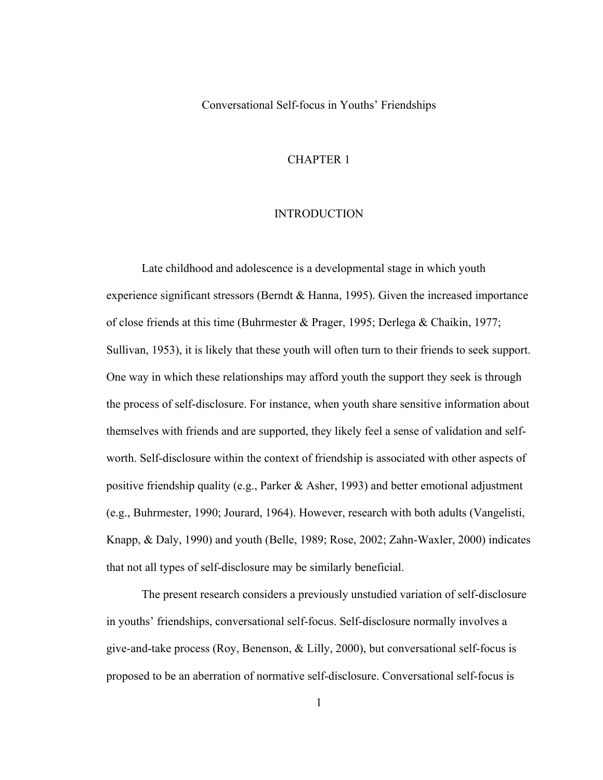Conversational Self-focus in Youths' Friendships

#### CHAPTER 1

#### INTRODUCTION

Late childhood and adolescence is a developmental stage in which youth experience significant stressors (Berndt & Hanna, 1995). Given the increased importance of close friends at this time (Buhrmester & Prager, 1995; Derlega & Chaikin, 1977; Sullivan, 1953), it is likely that these youth will often turn to their friends to seek support. One way in which these relationships may afford youth the support they seek is through the process of self-disclosure. For instance, when youth share sensitive information about themselves with friends and are supported, they likely feel a sense of validation and selfworth. Self-disclosure within the context of friendship is associated with other aspects of positive friendship quality (e.g., Parker  $\&$  Asher, 1993) and better emotional adjustment (e.g., Buhrmester, 1990; Jourard, 1964). However, research with both adults (Vangelisti, Knapp, & Daly, 1990) and youth (Belle, 1989; Rose, 2002; Zahn-Waxler, 2000) indicates that not all types of self-disclosure may be similarly beneficial.

The present research considers a previously unstudied variation of self-disclosure in youths' friendships, conversational self-focus. Self-disclosure normally involves a give-and-take process (Roy, Benenson, & Lilly, 2000), but conversational self-focus is proposed to be an aberration of normative self-disclosure. Conversational self-focus is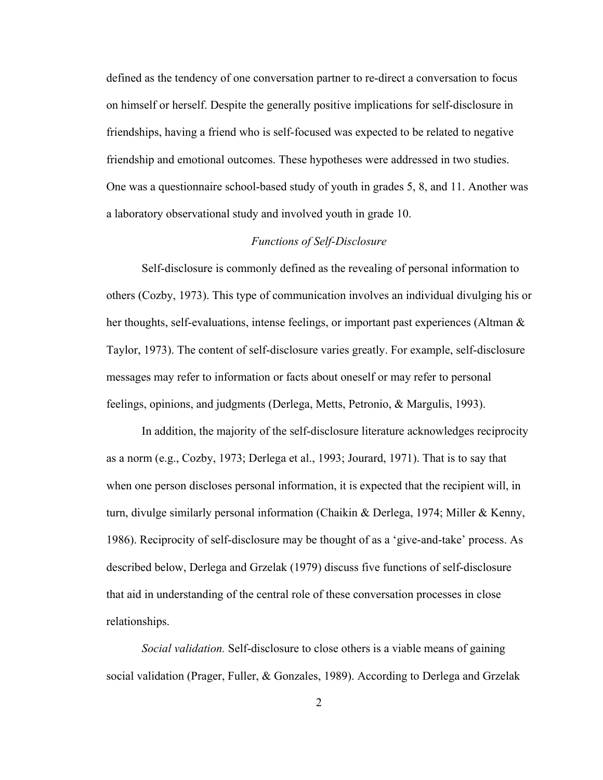defined as the tendency of one conversation partner to re-direct a conversation to focus on himself or herself. Despite the generally positive implications for self-disclosure in friendships, having a friend who is self-focused was expected to be related to negative friendship and emotional outcomes. These hypotheses were addressed in two studies. One was a questionnaire school-based study of youth in grades 5, 8, and 11. Another was a laboratory observational study and involved youth in grade 10.

#### *Functions of Self-Disclosure*

Self-disclosure is commonly defined as the revealing of personal information to others (Cozby, 1973). This type of communication involves an individual divulging his or her thoughts, self-evaluations, intense feelings, or important past experiences (Altman & Taylor, 1973). The content of self-disclosure varies greatly. For example, self-disclosure messages may refer to information or facts about oneself or may refer to personal feelings, opinions, and judgments (Derlega, Metts, Petronio, & Margulis, 1993).

In addition, the majority of the self-disclosure literature acknowledges reciprocity as a norm (e.g., Cozby, 1973; Derlega et al., 1993; Jourard, 1971). That is to say that when one person discloses personal information, it is expected that the recipient will, in turn, divulge similarly personal information (Chaikin & Derlega, 1974; Miller & Kenny, 1986). Reciprocity of self-disclosure may be thought of as a 'give-and-take' process. As described below, Derlega and Grzelak (1979) discuss five functions of self-disclosure that aid in understanding of the central role of these conversation processes in close relationships.

*Social validation.* Self-disclosure to close others is a viable means of gaining social validation (Prager, Fuller, & Gonzales, 1989). According to Derlega and Grzelak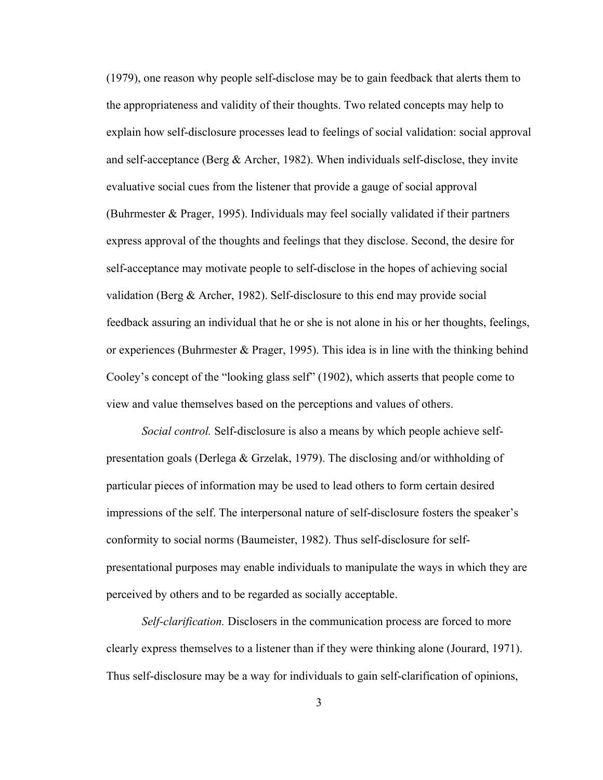(1979), one reason why people self-disclose may be to gain feedback that alerts them to the appropriateness and validity of their thoughts. Two related concepts may help to explain how self-disclosure processes lead to feelings of social validation: social approval and self-acceptance (Berg  $&$  Archer, 1982). When individuals self-disclose, they invite evaluative social cues from the listener that provide a gauge of social approval (Buhrmester & Prager, 1995). Individuals may feel socially validated if their partners express approval of the thoughts and feelings that they disclose. Second, the desire for self-acceptance may motivate people to self-disclose in the hopes of achieving social validation (Berg & Archer, 1982). Self-disclosure to this end may provide social feedback assuring an individual that he or she is not alone in his or her thoughts, feelings, or experiences (Buhrmester  $\&$  Prager, 1995). This idea is in line with the thinking behind Cooley's concept of the "looking glass self" (1902), which asserts that people come to view and value themselves based on the perceptions and values of others.

*Social control.* Self-disclosure is also a means by which people achieve selfpresentation goals (Derlega & Grzelak, 1979). The disclosing and/or withholding of particular pieces of information may be used to lead others to form certain desired impressions of the self. The interpersonal nature of self-disclosure fosters the speaker's conformity to social norms (Baumeister, 1982). Thus self-disclosure for selfpresentational purposes may enable individuals to manipulate the ways in which they are perceived by others and to be regarded as socially acceptable.

 *Self-clarification.* Disclosers in the communication process are forced to more clearly express themselves to a listener than if they were thinking alone (Jourard, 1971). Thus self-disclosure may be a way for individuals to gain self-clarification of opinions,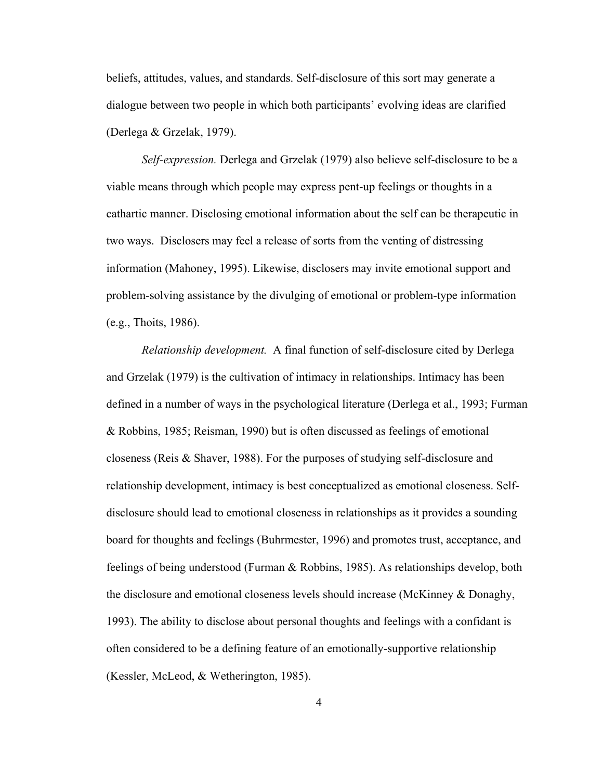beliefs, attitudes, values, and standards. Self-disclosure of this sort may generate a dialogue between two people in which both participants' evolving ideas are clarified (Derlega & Grzelak, 1979).

*Self-expression.* Derlega and Grzelak (1979) also believe self-disclosure to be a viable means through which people may express pent-up feelings or thoughts in a cathartic manner. Disclosing emotional information about the self can be therapeutic in two ways. Disclosers may feel a release of sorts from the venting of distressing information (Mahoney, 1995). Likewise, disclosers may invite emotional support and problem-solving assistance by the divulging of emotional or problem-type information (e.g., Thoits, 1986).

*Relationship development.* A final function of self-disclosure cited by Derlega and Grzelak (1979) is the cultivation of intimacy in relationships. Intimacy has been defined in a number of ways in the psychological literature (Derlega et al., 1993; Furman & Robbins, 1985; Reisman, 1990) but is often discussed as feelings of emotional closeness (Reis & Shaver, 1988). For the purposes of studying self-disclosure and relationship development, intimacy is best conceptualized as emotional closeness. Selfdisclosure should lead to emotional closeness in relationships as it provides a sounding board for thoughts and feelings (Buhrmester, 1996) and promotes trust, acceptance, and feelings of being understood (Furman & Robbins, 1985). As relationships develop, both the disclosure and emotional closeness levels should increase (McKinney & Donaghy, 1993). The ability to disclose about personal thoughts and feelings with a confidant is often considered to be a defining feature of an emotionally-supportive relationship (Kessler, McLeod, & Wetherington, 1985).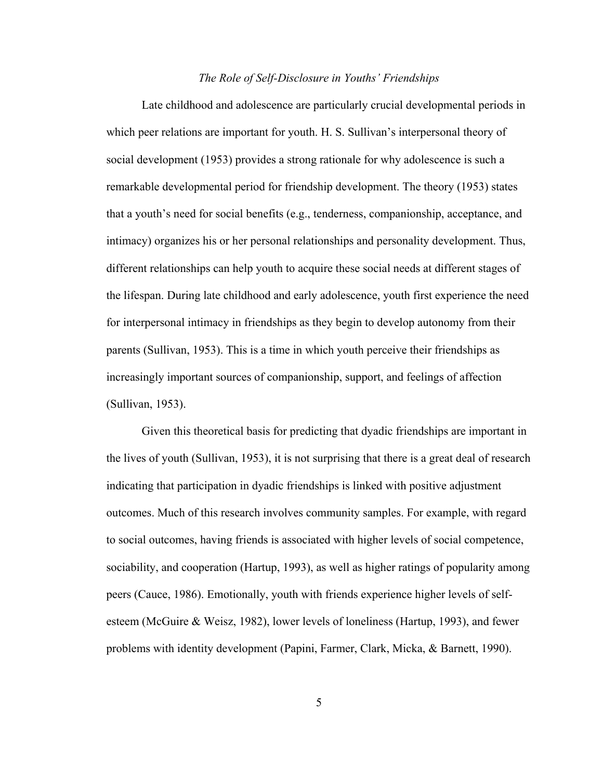#### *The Role of Self-Disclosure in Youths' Friendships*

Late childhood and adolescence are particularly crucial developmental periods in which peer relations are important for youth. H. S. Sullivan's interpersonal theory of social development (1953) provides a strong rationale for why adolescence is such a remarkable developmental period for friendship development. The theory (1953) states that a youth's need for social benefits (e.g., tenderness, companionship, acceptance, and intimacy) organizes his or her personal relationships and personality development. Thus, different relationships can help youth to acquire these social needs at different stages of the lifespan. During late childhood and early adolescence, youth first experience the need for interpersonal intimacy in friendships as they begin to develop autonomy from their parents (Sullivan, 1953). This is a time in which youth perceive their friendships as increasingly important sources of companionship, support, and feelings of affection (Sullivan, 1953).

Given this theoretical basis for predicting that dyadic friendships are important in the lives of youth (Sullivan, 1953), it is not surprising that there is a great deal of research indicating that participation in dyadic friendships is linked with positive adjustment outcomes. Much of this research involves community samples. For example, with regard to social outcomes, having friends is associated with higher levels of social competence, sociability, and cooperation (Hartup, 1993), as well as higher ratings of popularity among peers (Cauce, 1986). Emotionally, youth with friends experience higher levels of selfesteem (McGuire & Weisz, 1982), lower levels of loneliness (Hartup, 1993), and fewer problems with identity development (Papini, Farmer, Clark, Micka, & Barnett, 1990).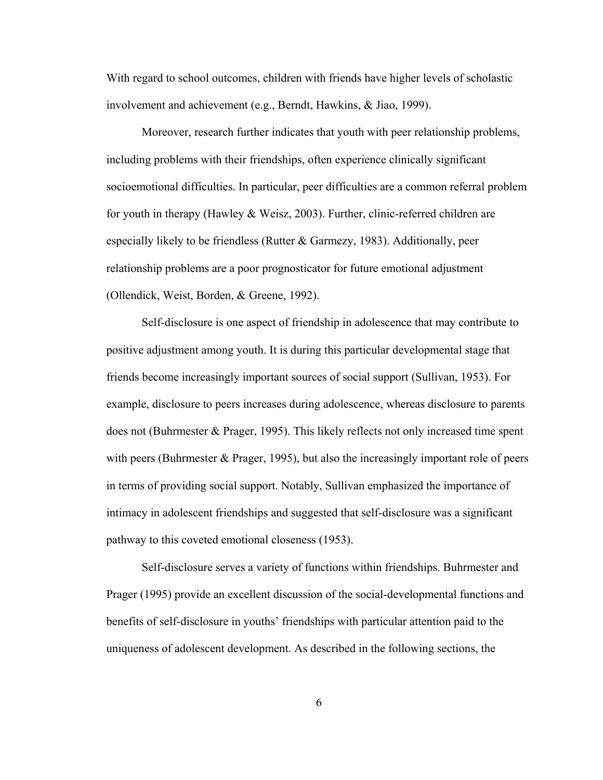With regard to school outcomes, children with friends have higher levels of scholastic involvement and achievement (e.g., Berndt, Hawkins, & Jiao, 1999).

Moreover, research further indicates that youth with peer relationship problems, including problems with their friendships, often experience clinically significant socioemotional difficulties. In particular, peer difficulties are a common referral problem for youth in therapy (Hawley & Weisz, 2003). Further, clinic-referred children are especially likely to be friendless (Rutter & Garmezy, 1983). Additionally, peer relationship problems are a poor prognosticator for future emotional adjustment (Ollendick, Weist, Borden, & Greene, 1992).

Self-disclosure is one aspect of friendship in adolescence that may contribute to positive adjustment among youth. It is during this particular developmental stage that friends become increasingly important sources of social support (Sullivan, 1953). For example, disclosure to peers increases during adolescence, whereas disclosure to parents does not (Buhrmester & Prager, 1995). This likely reflects not only increased time spent with peers (Buhrmester & Prager, 1995), but also the increasingly important role of peers in terms of providing social support. Notably, Sullivan emphasized the importance of intimacy in adolescent friendships and suggested that self-disclosure was a significant pathway to this coveted emotional closeness (1953).

Self-disclosure serves a variety of functions within friendships. Buhrmester and Prager (1995) provide an excellent discussion of the social-developmental functions and benefits of self-disclosure in youths' friendships with particular attention paid to the uniqueness of adolescent development. As described in the following sections, the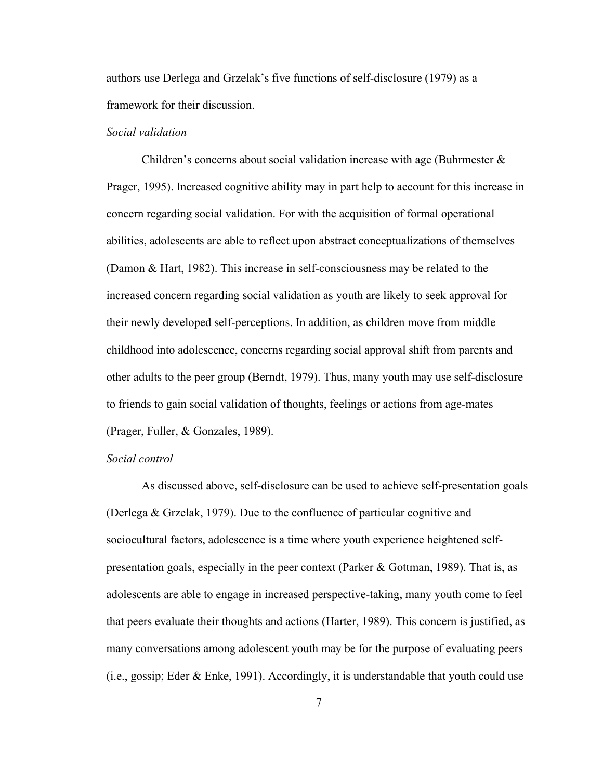authors use Derlega and Grzelak's five functions of self-disclosure (1979) as a framework for their discussion.

#### *Social validation*

Children's concerns about social validation increase with age (Buhrmester  $\&$ Prager, 1995). Increased cognitive ability may in part help to account for this increase in concern regarding social validation. For with the acquisition of formal operational abilities, adolescents are able to reflect upon abstract conceptualizations of themselves (Damon & Hart, 1982). This increase in self-consciousness may be related to the increased concern regarding social validation as youth are likely to seek approval for their newly developed self-perceptions. In addition, as children move from middle childhood into adolescence, concerns regarding social approval shift from parents and other adults to the peer group (Berndt, 1979). Thus, many youth may use self-disclosure to friends to gain social validation of thoughts, feelings or actions from age-mates (Prager, Fuller, & Gonzales, 1989).

#### *Social control*

 As discussed above, self-disclosure can be used to achieve self-presentation goals (Derlega & Grzelak, 1979). Due to the confluence of particular cognitive and sociocultural factors, adolescence is a time where youth experience heightened selfpresentation goals, especially in the peer context (Parker & Gottman, 1989). That is, as adolescents are able to engage in increased perspective-taking, many youth come to feel that peers evaluate their thoughts and actions (Harter, 1989). This concern is justified, as many conversations among adolescent youth may be for the purpose of evaluating peers (i.e., gossip; Eder & Enke, 1991). Accordingly, it is understandable that youth could use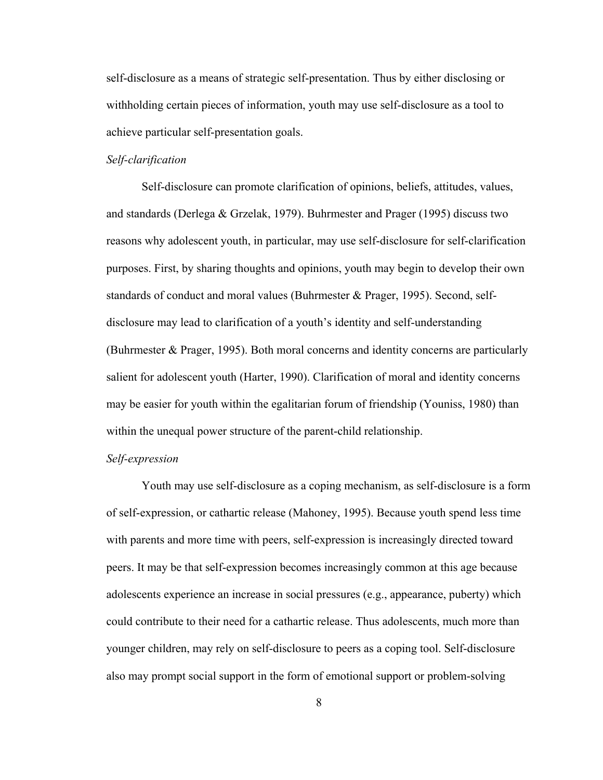self-disclosure as a means of strategic self-presentation. Thus by either disclosing or withholding certain pieces of information, youth may use self-disclosure as a tool to achieve particular self-presentation goals.

#### *Self-clarification*

 Self-disclosure can promote clarification of opinions, beliefs, attitudes, values, and standards (Derlega & Grzelak, 1979). Buhrmester and Prager (1995) discuss two reasons why adolescent youth, in particular, may use self-disclosure for self-clarification purposes. First, by sharing thoughts and opinions, youth may begin to develop their own standards of conduct and moral values (Buhrmester & Prager, 1995). Second, selfdisclosure may lead to clarification of a youth's identity and self-understanding (Buhrmester & Prager, 1995). Both moral concerns and identity concerns are particularly salient for adolescent youth (Harter, 1990). Clarification of moral and identity concerns may be easier for youth within the egalitarian forum of friendship (Youniss, 1980) than within the unequal power structure of the parent-child relationship.

#### *Self-expression*

Youth may use self-disclosure as a coping mechanism, as self-disclosure is a form of self-expression, or cathartic release (Mahoney, 1995). Because youth spend less time with parents and more time with peers, self-expression is increasingly directed toward peers. It may be that self-expression becomes increasingly common at this age because adolescents experience an increase in social pressures (e.g., appearance, puberty) which could contribute to their need for a cathartic release. Thus adolescents, much more than younger children, may rely on self-disclosure to peers as a coping tool. Self-disclosure also may prompt social support in the form of emotional support or problem-solving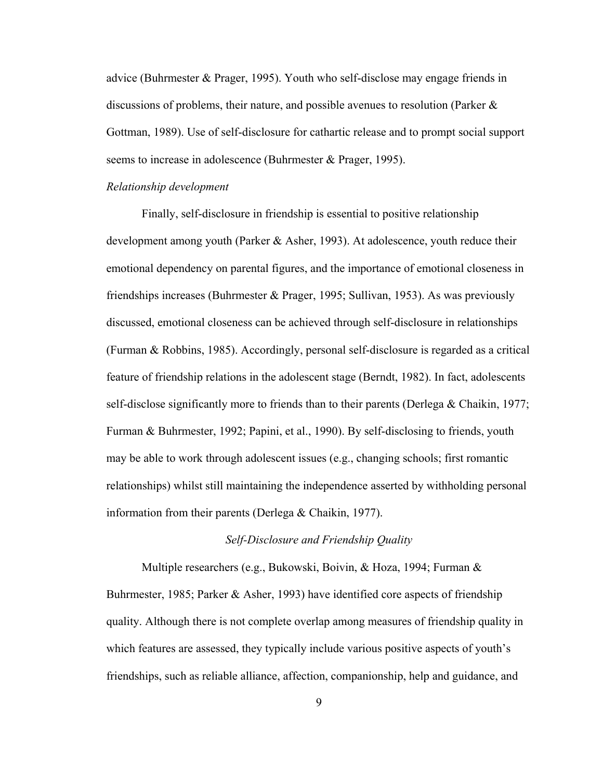advice (Buhrmester & Prager, 1995). Youth who self-disclose may engage friends in discussions of problems, their nature, and possible avenues to resolution (Parker  $\&$ Gottman, 1989). Use of self-disclosure for cathartic release and to prompt social support seems to increase in adolescence (Buhrmester & Prager, 1995).

#### *Relationship development*

 Finally, self-disclosure in friendship is essential to positive relationship development among youth (Parker & Asher, 1993). At adolescence, youth reduce their emotional dependency on parental figures, and the importance of emotional closeness in friendships increases (Buhrmester & Prager, 1995; Sullivan, 1953). As was previously discussed, emotional closeness can be achieved through self-disclosure in relationships (Furman & Robbins, 1985). Accordingly, personal self-disclosure is regarded as a critical feature of friendship relations in the adolescent stage (Berndt, 1982). In fact, adolescents self-disclose significantly more to friends than to their parents (Derlega & Chaikin, 1977; Furman & Buhrmester, 1992; Papini, et al., 1990). By self-disclosing to friends, youth may be able to work through adolescent issues (e.g., changing schools; first romantic relationships) whilst still maintaining the independence asserted by withholding personal information from their parents (Derlega & Chaikin, 1977).

#### *Self-Disclosure and Friendship Quality*

Multiple researchers (e.g., Bukowski, Boivin, & Hoza, 1994; Furman & Buhrmester, 1985; Parker & Asher, 1993) have identified core aspects of friendship quality. Although there is not complete overlap among measures of friendship quality in which features are assessed, they typically include various positive aspects of youth's friendships, such as reliable alliance, affection, companionship, help and guidance, and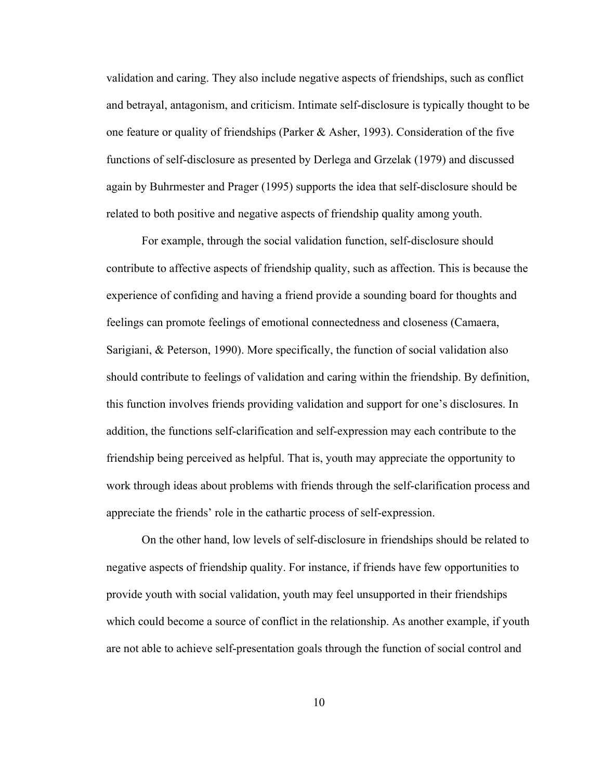validation and caring. They also include negative aspects of friendships, such as conflict and betrayal, antagonism, and criticism. Intimate self-disclosure is typically thought to be one feature or quality of friendships (Parker & Asher, 1993). Consideration of the five functions of self-disclosure as presented by Derlega and Grzelak (1979) and discussed again by Buhrmester and Prager (1995) supports the idea that self-disclosure should be related to both positive and negative aspects of friendship quality among youth.

For example, through the social validation function, self-disclosure should contribute to affective aspects of friendship quality, such as affection. This is because the experience of confiding and having a friend provide a sounding board for thoughts and feelings can promote feelings of emotional connectedness and closeness (Camaera, Sarigiani, & Peterson, 1990). More specifically, the function of social validation also should contribute to feelings of validation and caring within the friendship. By definition, this function involves friends providing validation and support for one's disclosures. In addition, the functions self-clarification and self-expression may each contribute to the friendship being perceived as helpful. That is, youth may appreciate the opportunity to work through ideas about problems with friends through the self-clarification process and appreciate the friends' role in the cathartic process of self-expression.

On the other hand, low levels of self-disclosure in friendships should be related to negative aspects of friendship quality. For instance, if friends have few opportunities to provide youth with social validation, youth may feel unsupported in their friendships which could become a source of conflict in the relationship. As another example, if youth are not able to achieve self-presentation goals through the function of social control and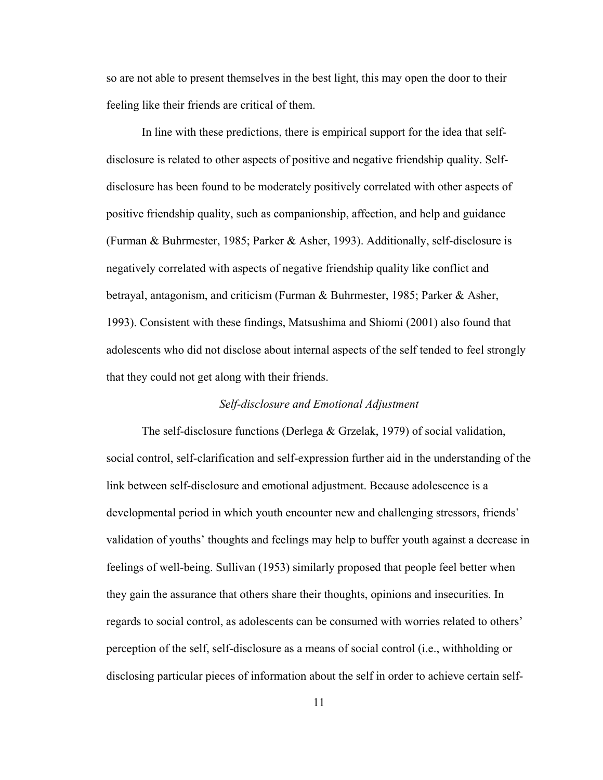so are not able to present themselves in the best light, this may open the door to their feeling like their friends are critical of them.

In line with these predictions, there is empirical support for the idea that selfdisclosure is related to other aspects of positive and negative friendship quality. Selfdisclosure has been found to be moderately positively correlated with other aspects of positive friendship quality, such as companionship, affection, and help and guidance (Furman & Buhrmester, 1985; Parker & Asher, 1993). Additionally, self-disclosure is negatively correlated with aspects of negative friendship quality like conflict and betrayal, antagonism, and criticism (Furman & Buhrmester, 1985; Parker & Asher, 1993). Consistent with these findings, Matsushima and Shiomi (2001) also found that adolescents who did not disclose about internal aspects of the self tended to feel strongly that they could not get along with their friends.

#### *Self-disclosure and Emotional Adjustment*

The self-disclosure functions (Derlega & Grzelak, 1979) of social validation, social control, self-clarification and self-expression further aid in the understanding of the link between self-disclosure and emotional adjustment. Because adolescence is a developmental period in which youth encounter new and challenging stressors, friends' validation of youths' thoughts and feelings may help to buffer youth against a decrease in feelings of well-being. Sullivan (1953) similarly proposed that people feel better when they gain the assurance that others share their thoughts, opinions and insecurities. In regards to social control, as adolescents can be consumed with worries related to others' perception of the self, self-disclosure as a means of social control (i.e., withholding or disclosing particular pieces of information about the self in order to achieve certain self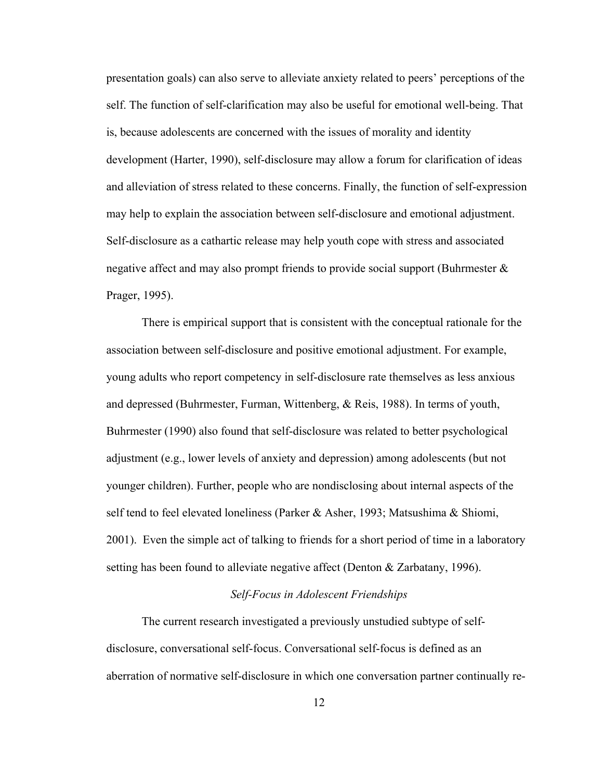presentation goals) can also serve to alleviate anxiety related to peers' perceptions of the self. The function of self-clarification may also be useful for emotional well-being. That is, because adolescents are concerned with the issues of morality and identity development (Harter, 1990), self-disclosure may allow a forum for clarification of ideas and alleviation of stress related to these concerns. Finally, the function of self-expression may help to explain the association between self-disclosure and emotional adjustment. Self-disclosure as a cathartic release may help youth cope with stress and associated negative affect and may also prompt friends to provide social support (Buhrmester  $\&$ Prager, 1995).

There is empirical support that is consistent with the conceptual rationale for the association between self-disclosure and positive emotional adjustment. For example, young adults who report competency in self-disclosure rate themselves as less anxious and depressed (Buhrmester, Furman, Wittenberg, & Reis, 1988). In terms of youth, Buhrmester (1990) also found that self-disclosure was related to better psychological adjustment (e.g., lower levels of anxiety and depression) among adolescents (but not younger children). Further, people who are nondisclosing about internal aspects of the self tend to feel elevated loneliness (Parker & Asher, 1993; Matsushima & Shiomi, 2001). Even the simple act of talking to friends for a short period of time in a laboratory setting has been found to alleviate negative affect (Denton  $\&$  Zarbatany, 1996).

#### *Self-Focus in Adolescent Friendships*

The current research investigated a previously unstudied subtype of selfdisclosure, conversational self-focus. Conversational self-focus is defined as an aberration of normative self-disclosure in which one conversation partner continually re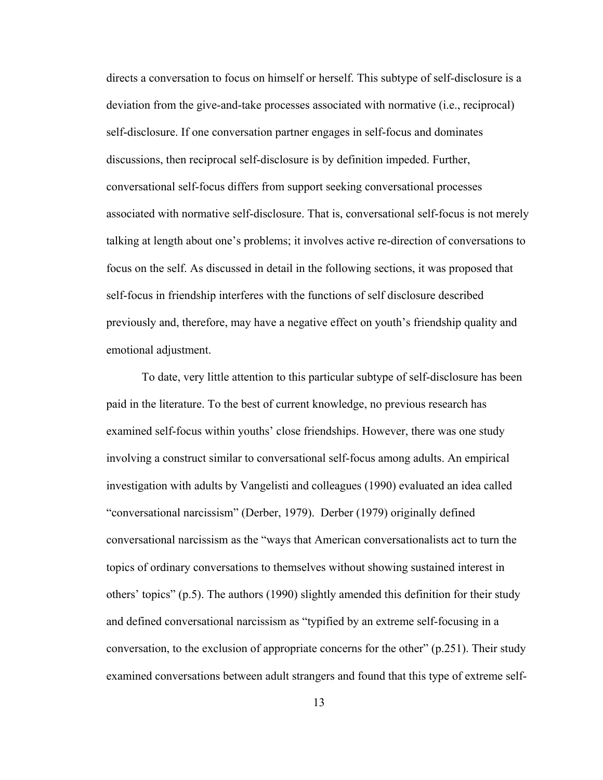directs a conversation to focus on himself or herself. This subtype of self-disclosure is a deviation from the give-and-take processes associated with normative (i.e., reciprocal) self-disclosure. If one conversation partner engages in self-focus and dominates discussions, then reciprocal self-disclosure is by definition impeded. Further, conversational self-focus differs from support seeking conversational processes associated with normative self-disclosure. That is, conversational self-focus is not merely talking at length about one's problems; it involves active re-direction of conversations to focus on the self. As discussed in detail in the following sections, it was proposed that self-focus in friendship interferes with the functions of self disclosure described previously and, therefore, may have a negative effect on youth's friendship quality and emotional adjustment.

To date, very little attention to this particular subtype of self-disclosure has been paid in the literature. To the best of current knowledge, no previous research has examined self-focus within youths' close friendships. However, there was one study involving a construct similar to conversational self-focus among adults. An empirical investigation with adults by Vangelisti and colleagues (1990) evaluated an idea called "conversational narcissism" (Derber, 1979). Derber (1979) originally defined conversational narcissism as the "ways that American conversationalists act to turn the topics of ordinary conversations to themselves without showing sustained interest in others' topics" (p.5). The authors (1990) slightly amended this definition for their study and defined conversational narcissism as "typified by an extreme self-focusing in a conversation, to the exclusion of appropriate concerns for the other" (p.251). Their study examined conversations between adult strangers and found that this type of extreme self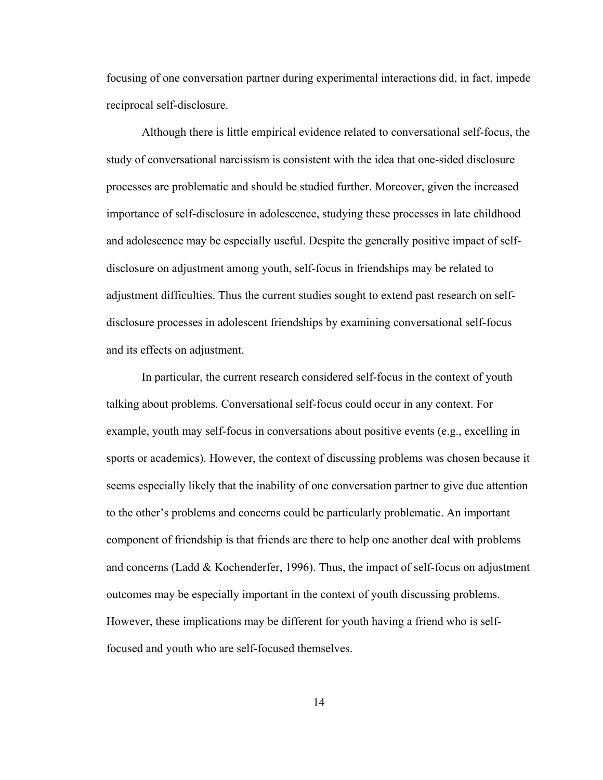focusing of one conversation partner during experimental interactions did, in fact, impede reciprocal self-disclosure.

Although there is little empirical evidence related to conversational self-focus, the study of conversational narcissism is consistent with the idea that one-sided disclosure processes are problematic and should be studied further. Moreover, given the increased importance of self-disclosure in adolescence, studying these processes in late childhood and adolescence may be especially useful. Despite the generally positive impact of selfdisclosure on adjustment among youth, self-focus in friendships may be related to adjustment difficulties. Thus the current studies sought to extend past research on selfdisclosure processes in adolescent friendships by examining conversational self-focus and its effects on adjustment.

In particular, the current research considered self-focus in the context of youth talking about problems. Conversational self-focus could occur in any context. For example, youth may self-focus in conversations about positive events (e.g., excelling in sports or academics). However, the context of discussing problems was chosen because it seems especially likely that the inability of one conversation partner to give due attention to the other's problems and concerns could be particularly problematic. An important component of friendship is that friends are there to help one another deal with problems and concerns (Ladd  $& Kochenderfer, 1996$ ). Thus, the impact of self-focus on adjustment outcomes may be especially important in the context of youth discussing problems. However, these implications may be different for youth having a friend who is selffocused and youth who are self-focused themselves.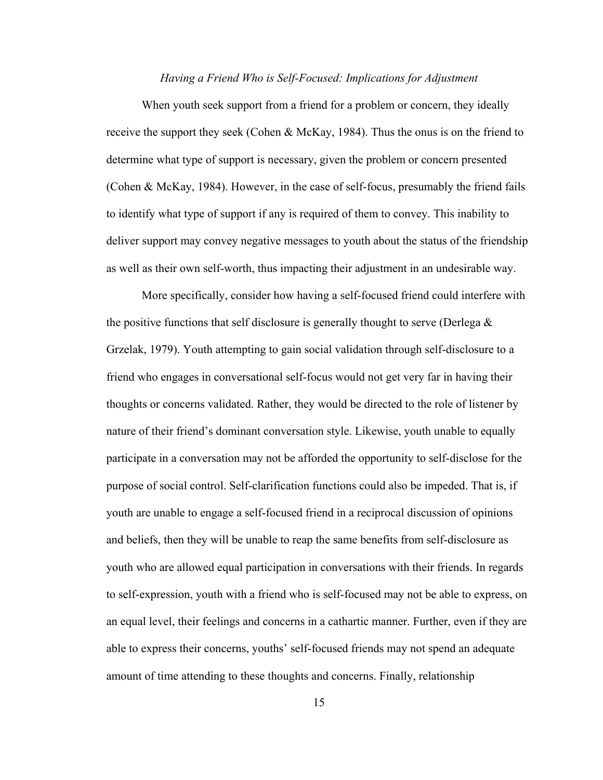#### *Having a Friend Who is Self-Focused: Implications for Adjustment*

When youth seek support from a friend for a problem or concern, they ideally receive the support they seek (Cohen & McKay, 1984). Thus the onus is on the friend to determine what type of support is necessary, given the problem or concern presented (Cohen & McKay, 1984). However, in the case of self-focus, presumably the friend fails to identify what type of support if any is required of them to convey. This inability to deliver support may convey negative messages to youth about the status of the friendship as well as their own self-worth, thus impacting their adjustment in an undesirable way.

 More specifically, consider how having a self-focused friend could interfere with the positive functions that self disclosure is generally thought to serve (Derlega  $\&$ Grzelak, 1979). Youth attempting to gain social validation through self-disclosure to a friend who engages in conversational self-focus would not get very far in having their thoughts or concerns validated. Rather, they would be directed to the role of listener by nature of their friend's dominant conversation style. Likewise, youth unable to equally participate in a conversation may not be afforded the opportunity to self-disclose for the purpose of social control. Self-clarification functions could also be impeded. That is, if youth are unable to engage a self-focused friend in a reciprocal discussion of opinions and beliefs, then they will be unable to reap the same benefits from self-disclosure as youth who are allowed equal participation in conversations with their friends. In regards to self-expression, youth with a friend who is self-focused may not be able to express, on an equal level, their feelings and concerns in a cathartic manner. Further, even if they are able to express their concerns, youths' self-focused friends may not spend an adequate amount of time attending to these thoughts and concerns. Finally, relationship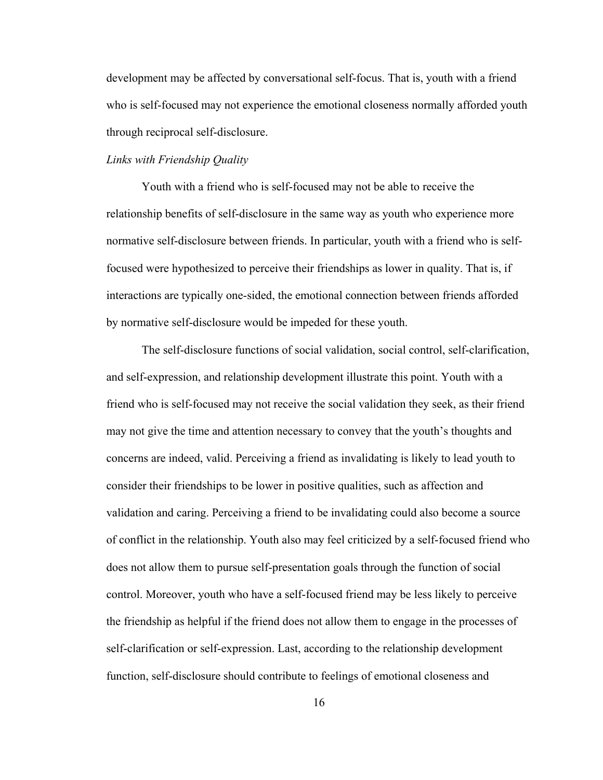development may be affected by conversational self-focus. That is, youth with a friend who is self-focused may not experience the emotional closeness normally afforded youth through reciprocal self-disclosure.

#### *Links with Friendship Quality*

Youth with a friend who is self-focused may not be able to receive the relationship benefits of self-disclosure in the same way as youth who experience more normative self-disclosure between friends. In particular, youth with a friend who is selffocused were hypothesized to perceive their friendships as lower in quality. That is, if interactions are typically one-sided, the emotional connection between friends afforded by normative self-disclosure would be impeded for these youth.

The self-disclosure functions of social validation, social control, self-clarification, and self-expression, and relationship development illustrate this point. Youth with a friend who is self-focused may not receive the social validation they seek, as their friend may not give the time and attention necessary to convey that the youth's thoughts and concerns are indeed, valid. Perceiving a friend as invalidating is likely to lead youth to consider their friendships to be lower in positive qualities, such as affection and validation and caring. Perceiving a friend to be invalidating could also become a source of conflict in the relationship. Youth also may feel criticized by a self-focused friend who does not allow them to pursue self-presentation goals through the function of social control. Moreover, youth who have a self-focused friend may be less likely to perceive the friendship as helpful if the friend does not allow them to engage in the processes of self-clarification or self-expression. Last, according to the relationship development function, self-disclosure should contribute to feelings of emotional closeness and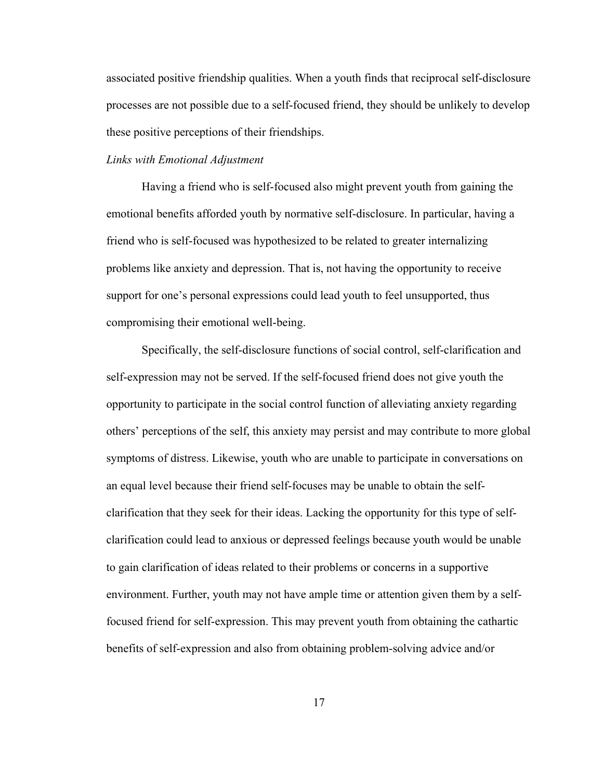associated positive friendship qualities. When a youth finds that reciprocal self-disclosure processes are not possible due to a self-focused friend, they should be unlikely to develop these positive perceptions of their friendships.

#### *Links with Emotional Adjustment*

Having a friend who is self-focused also might prevent youth from gaining the emotional benefits afforded youth by normative self-disclosure. In particular, having a friend who is self-focused was hypothesized to be related to greater internalizing problems like anxiety and depression. That is, not having the opportunity to receive support for one's personal expressions could lead youth to feel unsupported, thus compromising their emotional well-being.

Specifically, the self-disclosure functions of social control, self-clarification and self-expression may not be served. If the self-focused friend does not give youth the opportunity to participate in the social control function of alleviating anxiety regarding others' perceptions of the self, this anxiety may persist and may contribute to more global symptoms of distress. Likewise, youth who are unable to participate in conversations on an equal level because their friend self-focuses may be unable to obtain the selfclarification that they seek for their ideas. Lacking the opportunity for this type of selfclarification could lead to anxious or depressed feelings because youth would be unable to gain clarification of ideas related to their problems or concerns in a supportive environment. Further, youth may not have ample time or attention given them by a selffocused friend for self-expression. This may prevent youth from obtaining the cathartic benefits of self-expression and also from obtaining problem-solving advice and/or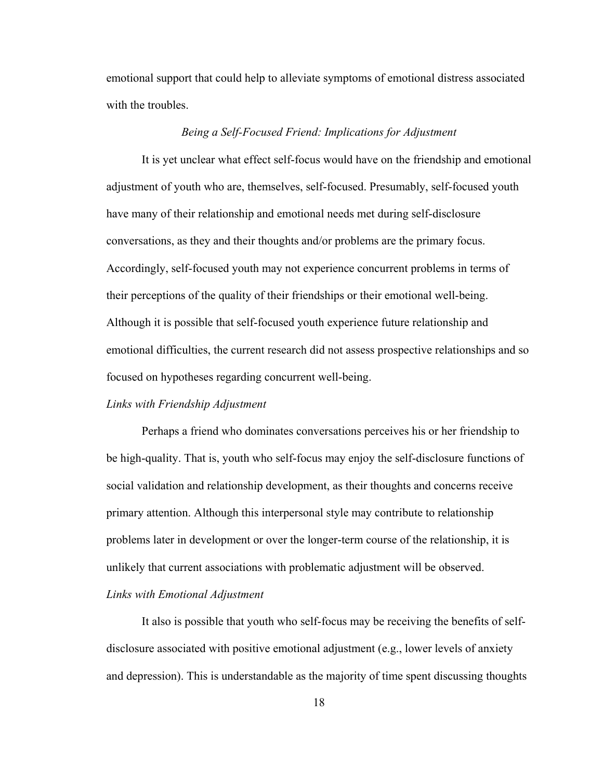emotional support that could help to alleviate symptoms of emotional distress associated with the troubles.

#### *Being a Self-Focused Friend: Implications for Adjustment*

 It is yet unclear what effect self-focus would have on the friendship and emotional adjustment of youth who are, themselves, self-focused. Presumably, self-focused youth have many of their relationship and emotional needs met during self-disclosure conversations, as they and their thoughts and/or problems are the primary focus. Accordingly, self-focused youth may not experience concurrent problems in terms of their perceptions of the quality of their friendships or their emotional well-being. Although it is possible that self-focused youth experience future relationship and emotional difficulties, the current research did not assess prospective relationships and so focused on hypotheses regarding concurrent well-being.

#### *Links with Friendship Adjustment*

Perhaps a friend who dominates conversations perceives his or her friendship to be high-quality. That is, youth who self-focus may enjoy the self-disclosure functions of social validation and relationship development, as their thoughts and concerns receive primary attention. Although this interpersonal style may contribute to relationship problems later in development or over the longer-term course of the relationship, it is unlikely that current associations with problematic adjustment will be observed. *Links with Emotional Adjustment* 

It also is possible that youth who self-focus may be receiving the benefits of selfdisclosure associated with positive emotional adjustment (e.g., lower levels of anxiety and depression). This is understandable as the majority of time spent discussing thoughts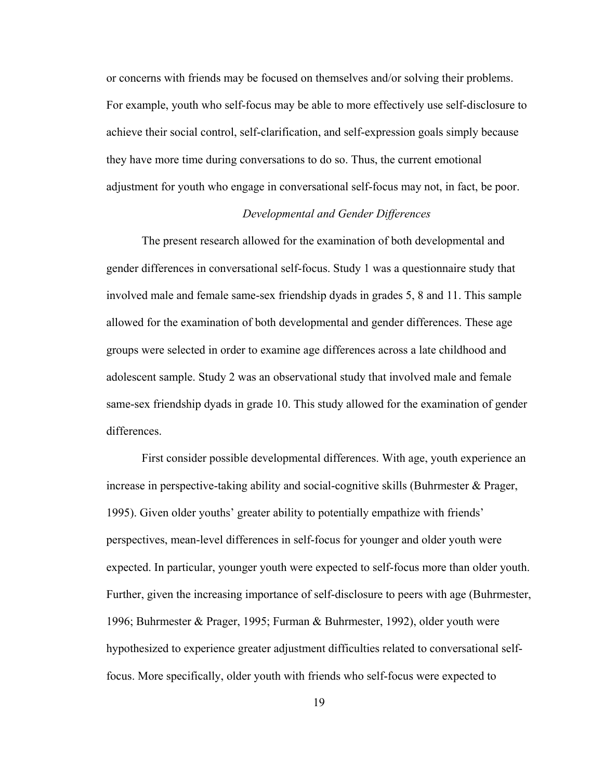or concerns with friends may be focused on themselves and/or solving their problems. For example, youth who self-focus may be able to more effectively use self-disclosure to achieve their social control, self-clarification, and self-expression goals simply because they have more time during conversations to do so. Thus, the current emotional adjustment for youth who engage in conversational self-focus may not, in fact, be poor.

#### *Developmental and Gender Differences*

The present research allowed for the examination of both developmental and gender differences in conversational self-focus. Study 1 was a questionnaire study that involved male and female same-sex friendship dyads in grades 5, 8 and 11. This sample allowed for the examination of both developmental and gender differences. These age groups were selected in order to examine age differences across a late childhood and adolescent sample. Study 2 was an observational study that involved male and female same-sex friendship dyads in grade 10. This study allowed for the examination of gender differences.

First consider possible developmental differences. With age, youth experience an increase in perspective-taking ability and social-cognitive skills (Buhrmester & Prager, 1995). Given older youths' greater ability to potentially empathize with friends' perspectives, mean-level differences in self-focus for younger and older youth were expected. In particular, younger youth were expected to self-focus more than older youth. Further, given the increasing importance of self-disclosure to peers with age (Buhrmester, 1996; Buhrmester & Prager, 1995; Furman & Buhrmester, 1992), older youth were hypothesized to experience greater adjustment difficulties related to conversational selffocus. More specifically, older youth with friends who self-focus were expected to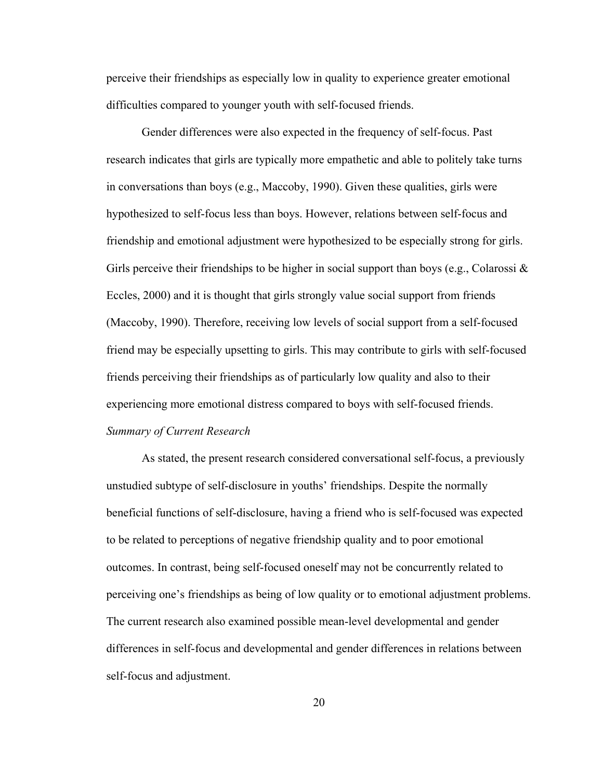perceive their friendships as especially low in quality to experience greater emotional difficulties compared to younger youth with self-focused friends.

Gender differences were also expected in the frequency of self-focus. Past research indicates that girls are typically more empathetic and able to politely take turns in conversations than boys (e.g., Maccoby, 1990). Given these qualities, girls were hypothesized to self-focus less than boys. However, relations between self-focus and friendship and emotional adjustment were hypothesized to be especially strong for girls. Girls perceive their friendships to be higher in social support than boys (e.g., Colarossi  $\&$ Eccles, 2000) and it is thought that girls strongly value social support from friends (Maccoby, 1990). Therefore, receiving low levels of social support from a self-focused friend may be especially upsetting to girls. This may contribute to girls with self-focused friends perceiving their friendships as of particularly low quality and also to their experiencing more emotional distress compared to boys with self-focused friends. *Summary of Current Research* 

As stated, the present research considered conversational self-focus, a previously unstudied subtype of self-disclosure in youths' friendships. Despite the normally beneficial functions of self-disclosure, having a friend who is self-focused was expected to be related to perceptions of negative friendship quality and to poor emotional outcomes. In contrast, being self-focused oneself may not be concurrently related to perceiving one's friendships as being of low quality or to emotional adjustment problems. The current research also examined possible mean-level developmental and gender differences in self-focus and developmental and gender differences in relations between self-focus and adjustment.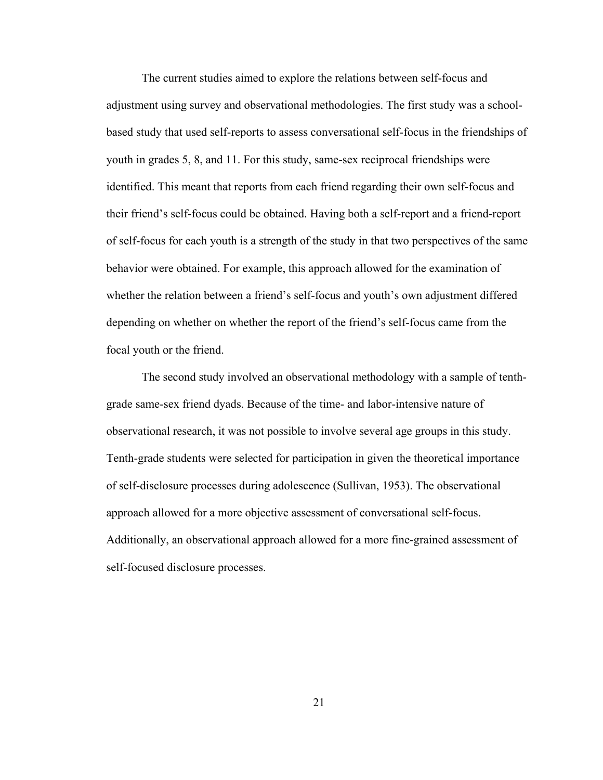The current studies aimed to explore the relations between self-focus and adjustment using survey and observational methodologies. The first study was a schoolbased study that used self-reports to assess conversational self-focus in the friendships of youth in grades 5, 8, and 11. For this study, same-sex reciprocal friendships were identified. This meant that reports from each friend regarding their own self-focus and their friend's self-focus could be obtained. Having both a self-report and a friend-report of self-focus for each youth is a strength of the study in that two perspectives of the same behavior were obtained. For example, this approach allowed for the examination of whether the relation between a friend's self-focus and youth's own adjustment differed depending on whether on whether the report of the friend's self-focus came from the focal youth or the friend.

The second study involved an observational methodology with a sample of tenthgrade same-sex friend dyads. Because of the time- and labor-intensive nature of observational research, it was not possible to involve several age groups in this study. Tenth-grade students were selected for participation in given the theoretical importance of self-disclosure processes during adolescence (Sullivan, 1953). The observational approach allowed for a more objective assessment of conversational self-focus. Additionally, an observational approach allowed for a more fine-grained assessment of self-focused disclosure processes.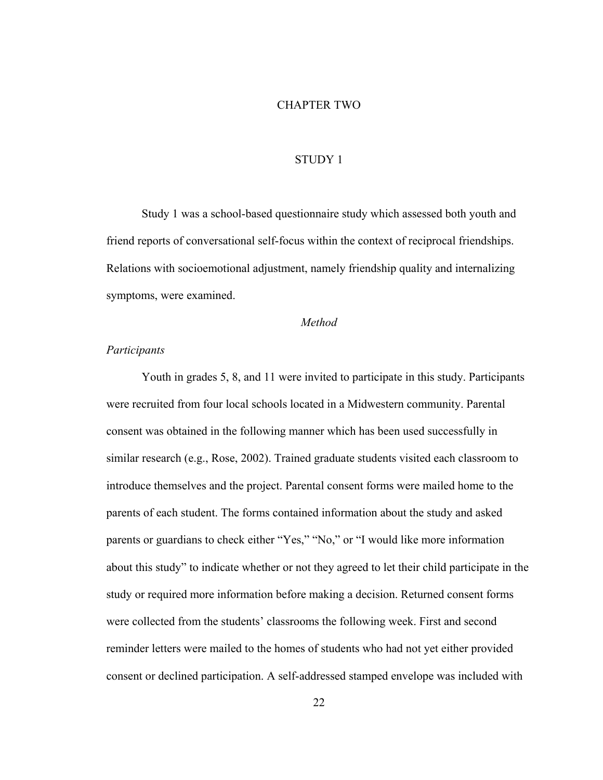#### CHAPTER TWO

#### STUDY 1

Study 1 was a school-based questionnaire study which assessed both youth and friend reports of conversational self-focus within the context of reciprocal friendships. Relations with socioemotional adjustment, namely friendship quality and internalizing symptoms, were examined.

#### *Method*

#### *Participants*

 Youth in grades 5, 8, and 11 were invited to participate in this study. Participants were recruited from four local schools located in a Midwestern community. Parental consent was obtained in the following manner which has been used successfully in similar research (e.g., Rose, 2002). Trained graduate students visited each classroom to introduce themselves and the project. Parental consent forms were mailed home to the parents of each student. The forms contained information about the study and asked parents or guardians to check either "Yes," "No," or "I would like more information about this study" to indicate whether or not they agreed to let their child participate in the study or required more information before making a decision. Returned consent forms were collected from the students' classrooms the following week. First and second reminder letters were mailed to the homes of students who had not yet either provided consent or declined participation. A self-addressed stamped envelope was included with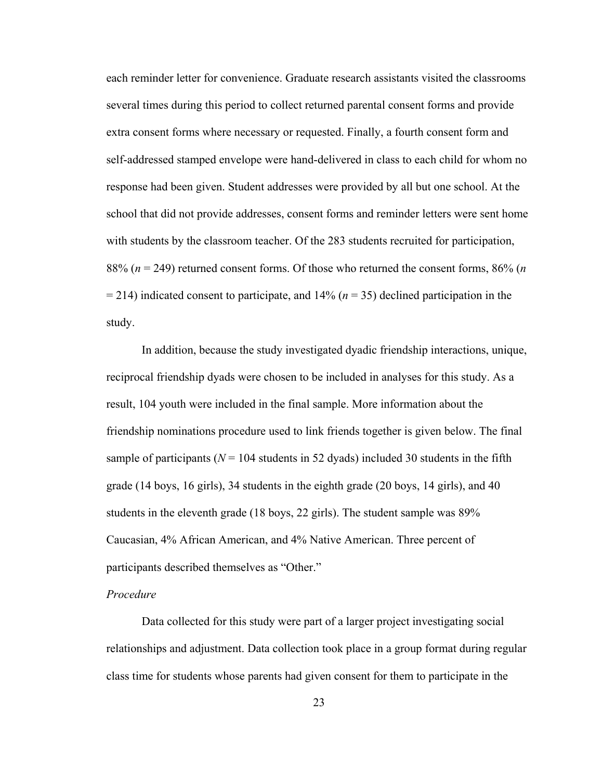each reminder letter for convenience. Graduate research assistants visited the classrooms several times during this period to collect returned parental consent forms and provide extra consent forms where necessary or requested. Finally, a fourth consent form and self-addressed stamped envelope were hand-delivered in class to each child for whom no response had been given. Student addresses were provided by all but one school. At the school that did not provide addresses, consent forms and reminder letters were sent home with students by the classroom teacher. Of the 283 students recruited for participation, 88% (*n* = 249) returned consent forms. Of those who returned the consent forms, 86% (*n*  = 214) indicated consent to participate, and 14% (*n* = 35) declined participation in the study.

In addition, because the study investigated dyadic friendship interactions, unique, reciprocal friendship dyads were chosen to be included in analyses for this study. As a result, 104 youth were included in the final sample. More information about the friendship nominations procedure used to link friends together is given below. The final sample of participants ( $N = 104$  students in 52 dyads) included 30 students in the fifth grade (14 boys, 16 girls), 34 students in the eighth grade (20 boys, 14 girls), and 40 students in the eleventh grade (18 boys, 22 girls). The student sample was 89% Caucasian, 4% African American, and 4% Native American. Three percent of participants described themselves as "Other."

#### *Procedure*

 Data collected for this study were part of a larger project investigating social relationships and adjustment. Data collection took place in a group format during regular class time for students whose parents had given consent for them to participate in the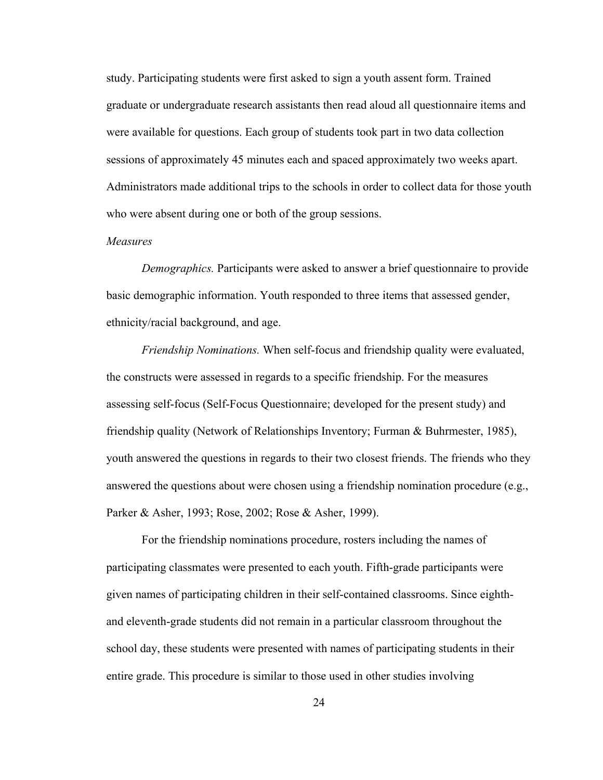study. Participating students were first asked to sign a youth assent form. Trained graduate or undergraduate research assistants then read aloud all questionnaire items and were available for questions. Each group of students took part in two data collection sessions of approximately 45 minutes each and spaced approximately two weeks apart. Administrators made additional trips to the schools in order to collect data for those youth who were absent during one or both of the group sessions.

#### *Measures*

*Demographics.* Participants were asked to answer a brief questionnaire to provide basic demographic information. Youth responded to three items that assessed gender, ethnicity/racial background, and age.

*Friendship Nominations.* When self-focus and friendship quality were evaluated, the constructs were assessed in regards to a specific friendship. For the measures assessing self-focus (Self-Focus Questionnaire; developed for the present study) and friendship quality (Network of Relationships Inventory; Furman & Buhrmester, 1985), youth answered the questions in regards to their two closest friends. The friends who they answered the questions about were chosen using a friendship nomination procedure (e.g., Parker & Asher, 1993; Rose, 2002; Rose & Asher, 1999).

For the friendship nominations procedure, rosters including the names of participating classmates were presented to each youth. Fifth-grade participants were given names of participating children in their self-contained classrooms. Since eighthand eleventh-grade students did not remain in a particular classroom throughout the school day, these students were presented with names of participating students in their entire grade. This procedure is similar to those used in other studies involving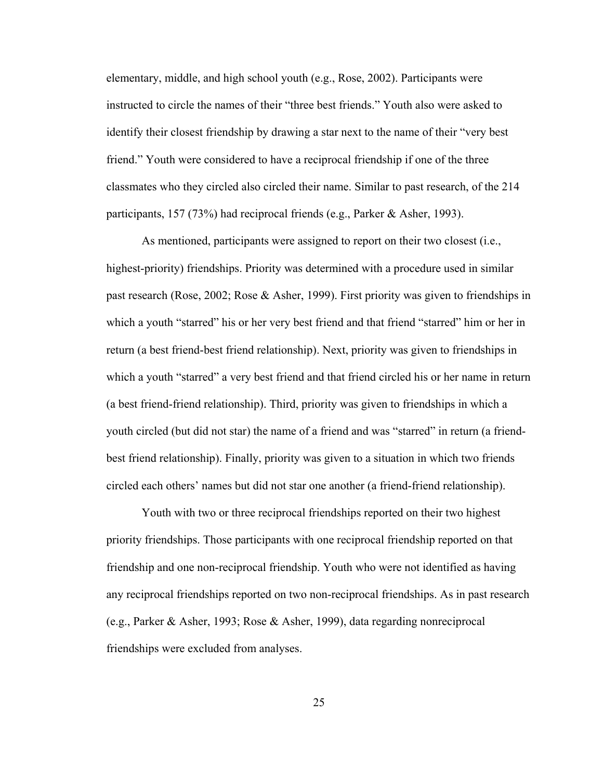elementary, middle, and high school youth (e.g., Rose, 2002). Participants were instructed to circle the names of their "three best friends." Youth also were asked to identify their closest friendship by drawing a star next to the name of their "very best friend." Youth were considered to have a reciprocal friendship if one of the three classmates who they circled also circled their name. Similar to past research, of the 214 participants, 157 (73%) had reciprocal friends (e.g., Parker & Asher, 1993).

 As mentioned, participants were assigned to report on their two closest (i.e., highest-priority) friendships. Priority was determined with a procedure used in similar past research (Rose, 2002; Rose & Asher, 1999). First priority was given to friendships in which a youth "starred" his or her very best friend and that friend "starred" him or her in return (a best friend-best friend relationship). Next, priority was given to friendships in which a youth "starred" a very best friend and that friend circled his or her name in return (a best friend-friend relationship). Third, priority was given to friendships in which a youth circled (but did not star) the name of a friend and was "starred" in return (a friendbest friend relationship). Finally, priority was given to a situation in which two friends circled each others' names but did not star one another (a friend-friend relationship).

Youth with two or three reciprocal friendships reported on their two highest priority friendships. Those participants with one reciprocal friendship reported on that friendship and one non-reciprocal friendship. Youth who were not identified as having any reciprocal friendships reported on two non-reciprocal friendships. As in past research (e.g., Parker & Asher, 1993; Rose & Asher, 1999), data regarding nonreciprocal friendships were excluded from analyses.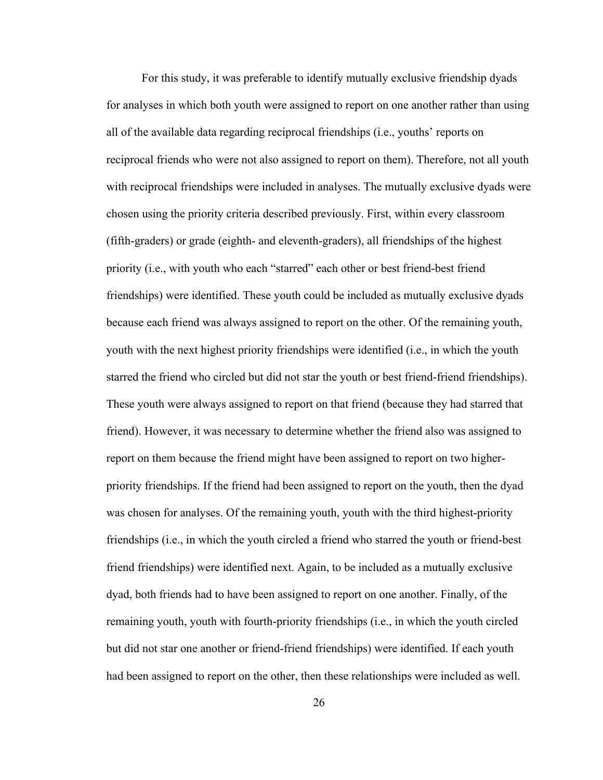For this study, it was preferable to identify mutually exclusive friendship dyads for analyses in which both youth were assigned to report on one another rather than using all of the available data regarding reciprocal friendships (i.e., youths' reports on reciprocal friends who were not also assigned to report on them). Therefore, not all youth with reciprocal friendships were included in analyses. The mutually exclusive dyads were chosen using the priority criteria described previously. First, within every classroom (fifth-graders) or grade (eighth- and eleventh-graders), all friendships of the highest priority (i.e., with youth who each "starred" each other or best friend-best friend friendships) were identified. These youth could be included as mutually exclusive dyads because each friend was always assigned to report on the other. Of the remaining youth, youth with the next highest priority friendships were identified (i.e., in which the youth starred the friend who circled but did not star the youth or best friend-friend friendships). These youth were always assigned to report on that friend (because they had starred that friend). However, it was necessary to determine whether the friend also was assigned to report on them because the friend might have been assigned to report on two higherpriority friendships. If the friend had been assigned to report on the youth, then the dyad was chosen for analyses. Of the remaining youth, youth with the third highest-priority friendships (i.e., in which the youth circled a friend who starred the youth or friend-best friend friendships) were identified next. Again, to be included as a mutually exclusive dyad, both friends had to have been assigned to report on one another. Finally, of the remaining youth, youth with fourth-priority friendships (i.e., in which the youth circled but did not star one another or friend-friend friendships) were identified. If each youth had been assigned to report on the other, then these relationships were included as well.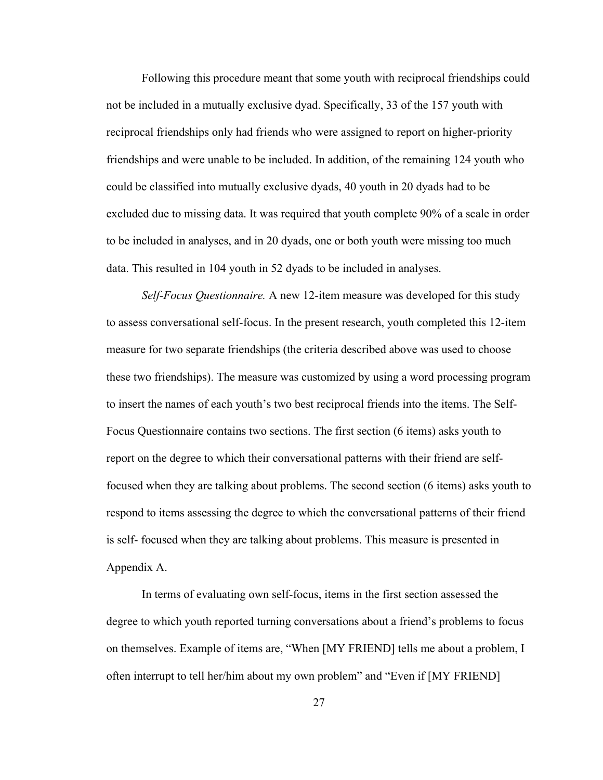Following this procedure meant that some youth with reciprocal friendships could not be included in a mutually exclusive dyad. Specifically, 33 of the 157 youth with reciprocal friendships only had friends who were assigned to report on higher-priority friendships and were unable to be included. In addition, of the remaining 124 youth who could be classified into mutually exclusive dyads, 40 youth in 20 dyads had to be excluded due to missing data. It was required that youth complete 90% of a scale in order to be included in analyses, and in 20 dyads, one or both youth were missing too much data. This resulted in 104 youth in 52 dyads to be included in analyses.

*Self-Focus Questionnaire.* A new 12-item measure was developed for this study to assess conversational self-focus. In the present research, youth completed this 12-item measure for two separate friendships (the criteria described above was used to choose these two friendships). The measure was customized by using a word processing program to insert the names of each youth's two best reciprocal friends into the items. The Self-Focus Questionnaire contains two sections. The first section (6 items) asks youth to report on the degree to which their conversational patterns with their friend are selffocused when they are talking about problems. The second section (6 items) asks youth to respond to items assessing the degree to which the conversational patterns of their friend is self- focused when they are talking about problems. This measure is presented in Appendix A.

In terms of evaluating own self-focus, items in the first section assessed the degree to which youth reported turning conversations about a friend's problems to focus on themselves. Example of items are, "When [MY FRIEND] tells me about a problem, I often interrupt to tell her/him about my own problem" and "Even if [MY FRIEND]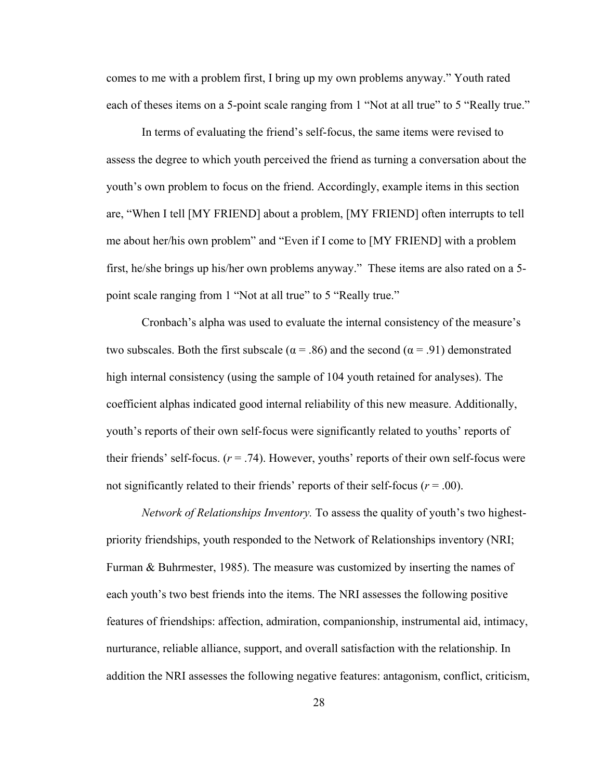comes to me with a problem first, I bring up my own problems anyway." Youth rated each of theses items on a 5-point scale ranging from 1 "Not at all true" to 5 "Really true."

In terms of evaluating the friend's self-focus, the same items were revised to assess the degree to which youth perceived the friend as turning a conversation about the youth's own problem to focus on the friend. Accordingly, example items in this section are, "When I tell [MY FRIEND] about a problem, [MY FRIEND] often interrupts to tell me about her/his own problem" and "Even if I come to [MY FRIEND] with a problem first, he/she brings up his/her own problems anyway." These items are also rated on a 5 point scale ranging from 1 "Not at all true" to 5 "Really true."

Cronbach's alpha was used to evaluate the internal consistency of the measure's two subscales. Both the first subscale ( $\alpha$  = .86) and the second ( $\alpha$  = .91) demonstrated high internal consistency (using the sample of 104 youth retained for analyses). The coefficient alphas indicated good internal reliability of this new measure. Additionally, youth's reports of their own self-focus were significantly related to youths' reports of their friends' self-focus.  $(r = .74)$ . However, youths' reports of their own self-focus were not significantly related to their friends' reports of their self-focus ( $r = .00$ ).

*Network of Relationships Inventory.* To assess the quality of youth's two highestpriority friendships, youth responded to the Network of Relationships inventory (NRI; Furman & Buhrmester, 1985). The measure was customized by inserting the names of each youth's two best friends into the items. The NRI assesses the following positive features of friendships: affection, admiration, companionship, instrumental aid, intimacy, nurturance, reliable alliance, support, and overall satisfaction with the relationship. In addition the NRI assesses the following negative features: antagonism, conflict, criticism,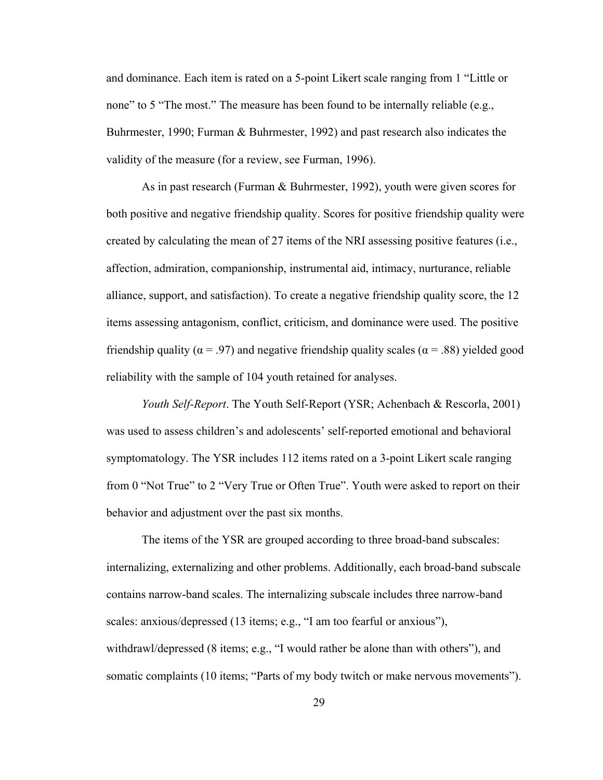and dominance. Each item is rated on a 5-point Likert scale ranging from 1 "Little or none" to 5 "The most." The measure has been found to be internally reliable (e.g., Buhrmester, 1990; Furman & Buhrmester, 1992) and past research also indicates the validity of the measure (for a review, see Furman, 1996).

As in past research (Furman & Buhrmester, 1992), youth were given scores for both positive and negative friendship quality. Scores for positive friendship quality were created by calculating the mean of 27 items of the NRI assessing positive features (i.e., affection, admiration, companionship, instrumental aid, intimacy, nurturance, reliable alliance, support, and satisfaction). To create a negative friendship quality score, the 12 items assessing antagonism, conflict, criticism, and dominance were used. The positive friendship quality ( $\alpha$  = .97) and negative friendship quality scales ( $\alpha$  = .88) yielded good reliability with the sample of 104 youth retained for analyses.

*Youth Self-Report*. The Youth Self-Report (YSR; Achenbach & Rescorla, 2001) was used to assess children's and adolescents' self-reported emotional and behavioral symptomatology. The YSR includes 112 items rated on a 3-point Likert scale ranging from 0 "Not True" to 2 "Very True or Often True". Youth were asked to report on their behavior and adjustment over the past six months.

The items of the YSR are grouped according to three broad-band subscales: internalizing, externalizing and other problems. Additionally, each broad-band subscale contains narrow-band scales. The internalizing subscale includes three narrow-band scales: anxious/depressed (13 items; e.g., "I am too fearful or anxious"), withdrawl/depressed (8 items; e.g., "I would rather be alone than with others"), and somatic complaints (10 items; "Parts of my body twitch or make nervous movements").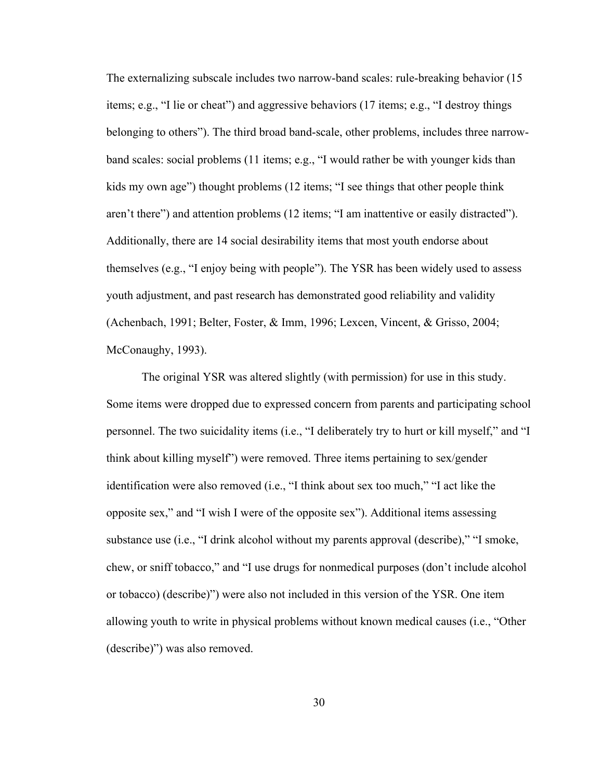The externalizing subscale includes two narrow-band scales: rule-breaking behavior (15 items; e.g., "I lie or cheat") and aggressive behaviors (17 items; e.g., "I destroy things belonging to others"). The third broad band-scale, other problems, includes three narrowband scales: social problems (11 items; e.g., "I would rather be with younger kids than kids my own age") thought problems (12 items; "I see things that other people think aren't there") and attention problems (12 items; "I am inattentive or easily distracted"). Additionally, there are 14 social desirability items that most youth endorse about themselves (e.g., "I enjoy being with people"). The YSR has been widely used to assess youth adjustment, and past research has demonstrated good reliability and validity (Achenbach, 1991; Belter, Foster, & Imm, 1996; Lexcen, Vincent, & Grisso, 2004; McConaughy, 1993).

 The original YSR was altered slightly (with permission) for use in this study. Some items were dropped due to expressed concern from parents and participating school personnel. The two suicidality items (i.e., "I deliberately try to hurt or kill myself," and "I think about killing myself") were removed. Three items pertaining to sex/gender identification were also removed (i.e., "I think about sex too much," "I act like the opposite sex," and "I wish I were of the opposite sex"). Additional items assessing substance use (i.e., "I drink alcohol without my parents approval (describe)," "I smoke, chew, or sniff tobacco," and "I use drugs for nonmedical purposes (don't include alcohol or tobacco) (describe)") were also not included in this version of the YSR. One item allowing youth to write in physical problems without known medical causes (i.e., "Other (describe)") was also removed.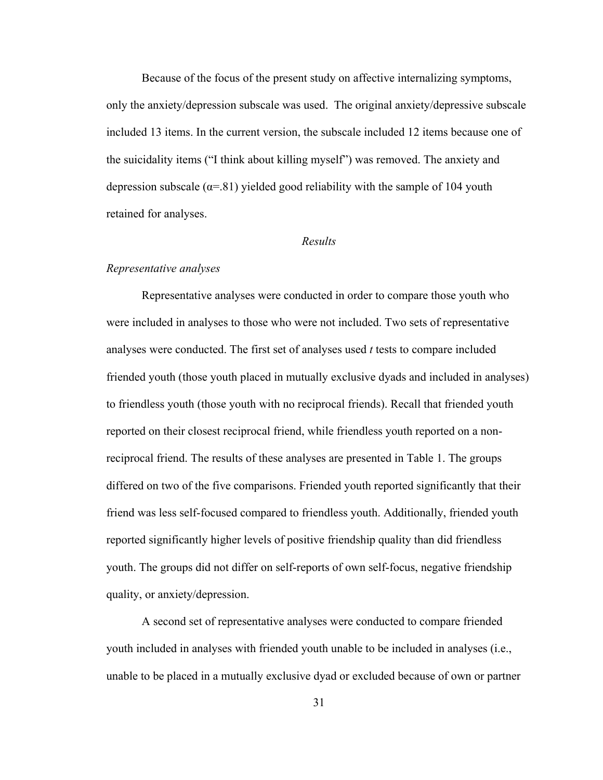Because of the focus of the present study on affective internalizing symptoms, only the anxiety/depression subscale was used. The original anxiety/depressive subscale included 13 items. In the current version, the subscale included 12 items because one of the suicidality items ("I think about killing myself") was removed. The anxiety and depression subscale  $(\alpha = 81)$  yielded good reliability with the sample of 104 youth retained for analyses.

## *Results*

#### *Representative analyses*

Representative analyses were conducted in order to compare those youth who were included in analyses to those who were not included. Two sets of representative analyses were conducted. The first set of analyses used *t* tests to compare included friended youth (those youth placed in mutually exclusive dyads and included in analyses) to friendless youth (those youth with no reciprocal friends). Recall that friended youth reported on their closest reciprocal friend, while friendless youth reported on a nonreciprocal friend. The results of these analyses are presented in Table 1. The groups differed on two of the five comparisons. Friended youth reported significantly that their friend was less self-focused compared to friendless youth. Additionally, friended youth reported significantly higher levels of positive friendship quality than did friendless youth. The groups did not differ on self-reports of own self-focus, negative friendship quality, or anxiety/depression.

 A second set of representative analyses were conducted to compare friended youth included in analyses with friended youth unable to be included in analyses (i.e., unable to be placed in a mutually exclusive dyad or excluded because of own or partner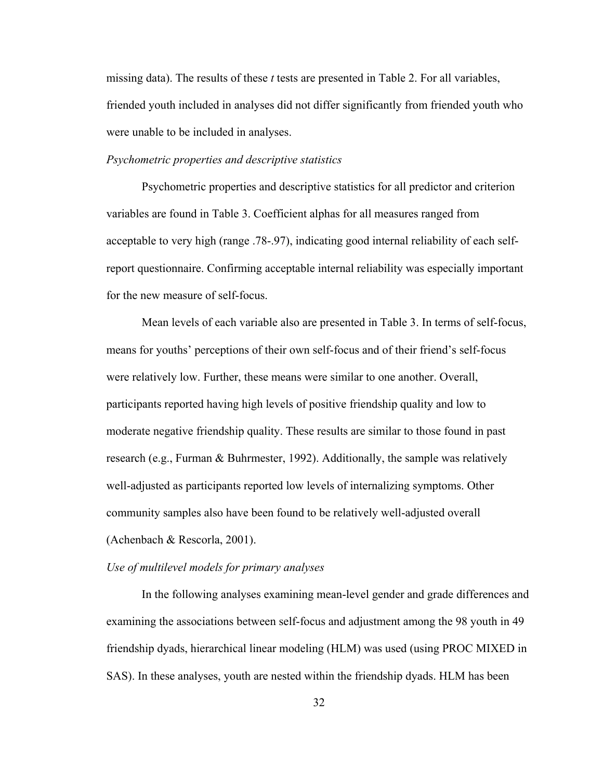missing data). The results of these *t* tests are presented in Table 2. For all variables, friended youth included in analyses did not differ significantly from friended youth who were unable to be included in analyses.

#### *Psychometric properties and descriptive statistics*

 Psychometric properties and descriptive statistics for all predictor and criterion variables are found in Table 3. Coefficient alphas for all measures ranged from acceptable to very high (range .78-.97), indicating good internal reliability of each selfreport questionnaire. Confirming acceptable internal reliability was especially important for the new measure of self-focus.

Mean levels of each variable also are presented in Table 3. In terms of self-focus, means for youths' perceptions of their own self-focus and of their friend's self-focus were relatively low. Further, these means were similar to one another. Overall, participants reported having high levels of positive friendship quality and low to moderate negative friendship quality. These results are similar to those found in past research (e.g., Furman & Buhrmester, 1992). Additionally, the sample was relatively well-adjusted as participants reported low levels of internalizing symptoms. Other community samples also have been found to be relatively well-adjusted overall (Achenbach & Rescorla, 2001).

## *Use of multilevel models for primary analyses*

In the following analyses examining mean-level gender and grade differences and examining the associations between self-focus and adjustment among the 98 youth in 49 friendship dyads, hierarchical linear modeling (HLM) was used (using PROC MIXED in SAS). In these analyses, youth are nested within the friendship dyads. HLM has been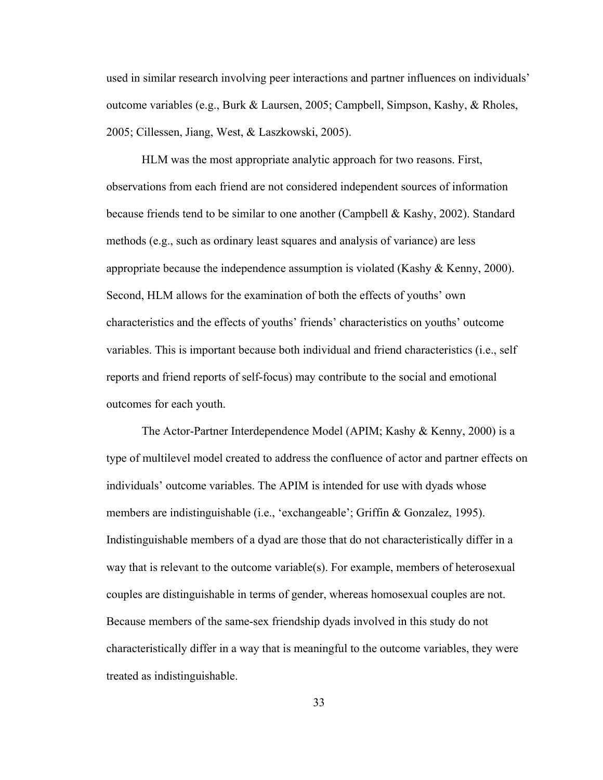used in similar research involving peer interactions and partner influences on individuals' outcome variables (e.g., Burk & Laursen, 2005; Campbell, Simpson, Kashy, & Rholes, 2005; Cillessen, Jiang, West, & Laszkowski, 2005).

HLM was the most appropriate analytic approach for two reasons. First, observations from each friend are not considered independent sources of information because friends tend to be similar to one another (Campbell & Kashy, 2002). Standard methods (e.g., such as ordinary least squares and analysis of variance) are less appropriate because the independence assumption is violated (Kashy  $\&$  Kenny, 2000). Second, HLM allows for the examination of both the effects of youths' own characteristics and the effects of youths' friends' characteristics on youths' outcome variables. This is important because both individual and friend characteristics (i.e., self reports and friend reports of self-focus) may contribute to the social and emotional outcomes for each youth.

The Actor-Partner Interdependence Model (APIM; Kashy & Kenny, 2000) is a type of multilevel model created to address the confluence of actor and partner effects on individuals' outcome variables. The APIM is intended for use with dyads whose members are indistinguishable (i.e., 'exchangeable'; Griffin & Gonzalez, 1995). Indistinguishable members of a dyad are those that do not characteristically differ in a way that is relevant to the outcome variable(s). For example, members of heterosexual couples are distinguishable in terms of gender, whereas homosexual couples are not. Because members of the same-sex friendship dyads involved in this study do not characteristically differ in a way that is meaningful to the outcome variables, they were treated as indistinguishable.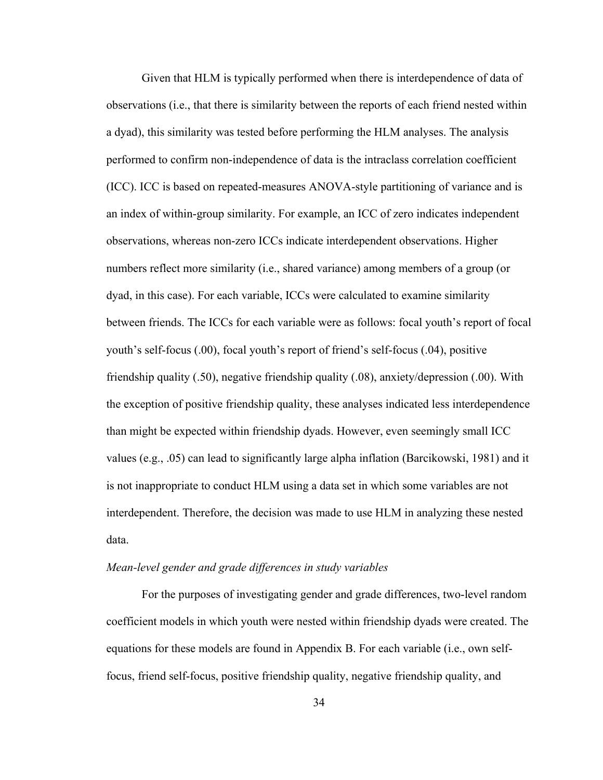Given that HLM is typically performed when there is interdependence of data of observations (i.e., that there is similarity between the reports of each friend nested within a dyad), this similarity was tested before performing the HLM analyses. The analysis performed to confirm non-independence of data is the intraclass correlation coefficient (ICC). ICC is based on repeated-measures ANOVA-style partitioning of variance and is an index of within-group similarity. For example, an ICC of zero indicates independent observations, whereas non-zero ICCs indicate interdependent observations. Higher numbers reflect more similarity (i.e., shared variance) among members of a group (or dyad, in this case). For each variable, ICCs were calculated to examine similarity between friends. The ICCs for each variable were as follows: focal youth's report of focal youth's self-focus (.00), focal youth's report of friend's self-focus (.04), positive friendship quality (.50), negative friendship quality (.08), anxiety/depression (.00). With the exception of positive friendship quality, these analyses indicated less interdependence than might be expected within friendship dyads. However, even seemingly small ICC values (e.g., .05) can lead to significantly large alpha inflation (Barcikowski, 1981) and it is not inappropriate to conduct HLM using a data set in which some variables are not interdependent. Therefore, the decision was made to use HLM in analyzing these nested data.

#### *Mean-level gender and grade differences in study variables*

For the purposes of investigating gender and grade differences, two-level random coefficient models in which youth were nested within friendship dyads were created. The equations for these models are found in Appendix B. For each variable (i.e., own selffocus, friend self-focus, positive friendship quality, negative friendship quality, and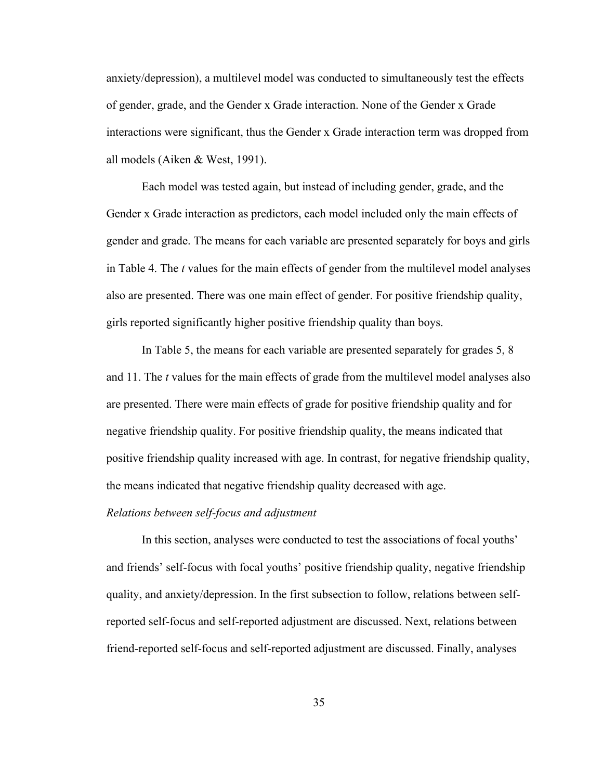anxiety/depression), a multilevel model was conducted to simultaneously test the effects of gender, grade, and the Gender x Grade interaction. None of the Gender x Grade interactions were significant, thus the Gender x Grade interaction term was dropped from all models (Aiken & West, 1991).

Each model was tested again, but instead of including gender, grade, and the Gender x Grade interaction as predictors, each model included only the main effects of gender and grade. The means for each variable are presented separately for boys and girls in Table 4. The *t* values for the main effects of gender from the multilevel model analyses also are presented. There was one main effect of gender. For positive friendship quality, girls reported significantly higher positive friendship quality than boys.

In Table 5, the means for each variable are presented separately for grades 5, 8 and 11. The *t* values for the main effects of grade from the multilevel model analyses also are presented. There were main effects of grade for positive friendship quality and for negative friendship quality. For positive friendship quality, the means indicated that positive friendship quality increased with age. In contrast, for negative friendship quality, the means indicated that negative friendship quality decreased with age.

## *Relations between self-focus and adjustment*

In this section, analyses were conducted to test the associations of focal youths' and friends' self-focus with focal youths' positive friendship quality, negative friendship quality, and anxiety/depression. In the first subsection to follow, relations between selfreported self-focus and self-reported adjustment are discussed. Next, relations between friend-reported self-focus and self-reported adjustment are discussed. Finally, analyses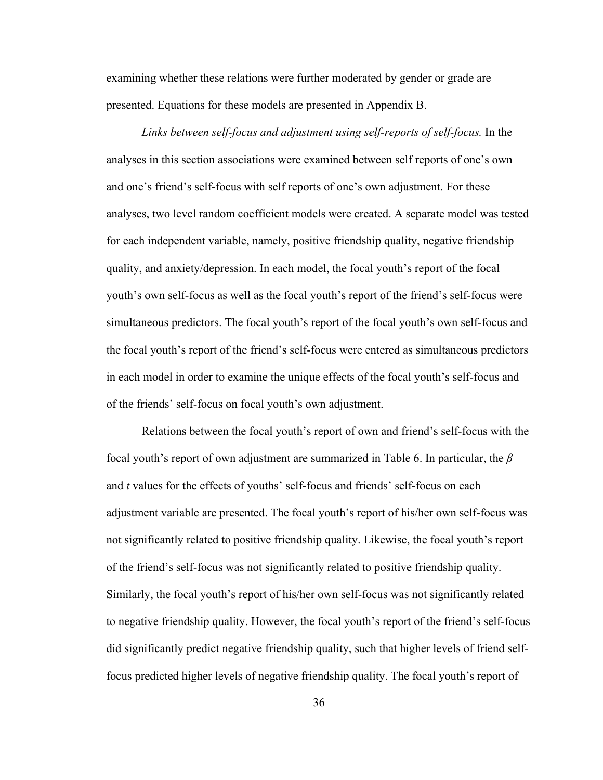examining whether these relations were further moderated by gender or grade are presented. Equations for these models are presented in Appendix B.

*Links between self-focus and adjustment using self-reports of self-focus.* In the analyses in this section associations were examined between self reports of one's own and one's friend's self-focus with self reports of one's own adjustment. For these analyses, two level random coefficient models were created. A separate model was tested for each independent variable, namely, positive friendship quality, negative friendship quality, and anxiety/depression. In each model, the focal youth's report of the focal youth's own self-focus as well as the focal youth's report of the friend's self-focus were simultaneous predictors. The focal youth's report of the focal youth's own self-focus and the focal youth's report of the friend's self-focus were entered as simultaneous predictors in each model in order to examine the unique effects of the focal youth's self-focus and of the friends' self-focus on focal youth's own adjustment.

Relations between the focal youth's report of own and friend's self-focus with the focal youth's report of own adjustment are summarized in Table 6. In particular, the *β* and *t* values for the effects of youths' self-focus and friends' self-focus on each adjustment variable are presented. The focal youth's report of his/her own self-focus was not significantly related to positive friendship quality. Likewise, the focal youth's report of the friend's self-focus was not significantly related to positive friendship quality. Similarly, the focal youth's report of his/her own self-focus was not significantly related to negative friendship quality. However, the focal youth's report of the friend's self-focus did significantly predict negative friendship quality, such that higher levels of friend selffocus predicted higher levels of negative friendship quality. The focal youth's report of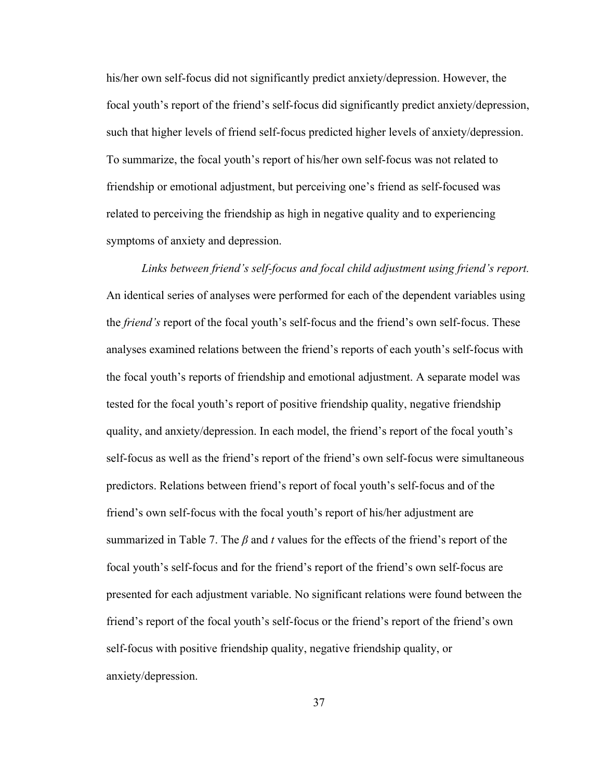his/her own self-focus did not significantly predict anxiety/depression. However, the focal youth's report of the friend's self-focus did significantly predict anxiety/depression, such that higher levels of friend self-focus predicted higher levels of anxiety/depression. To summarize, the focal youth's report of his/her own self-focus was not related to friendship or emotional adjustment, but perceiving one's friend as self-focused was related to perceiving the friendship as high in negative quality and to experiencing symptoms of anxiety and depression.

*Links between friend's self-focus and focal child adjustment using friend's report.*  An identical series of analyses were performed for each of the dependent variables using the *friend's* report of the focal youth's self-focus and the friend's own self-focus. These analyses examined relations between the friend's reports of each youth's self-focus with the focal youth's reports of friendship and emotional adjustment. A separate model was tested for the focal youth's report of positive friendship quality, negative friendship quality, and anxiety/depression. In each model, the friend's report of the focal youth's self-focus as well as the friend's report of the friend's own self-focus were simultaneous predictors. Relations between friend's report of focal youth's self-focus and of the friend's own self-focus with the focal youth's report of his/her adjustment are summarized in Table 7. The *β* and *t* values for the effects of the friend's report of the focal youth's self-focus and for the friend's report of the friend's own self-focus are presented for each adjustment variable. No significant relations were found between the friend's report of the focal youth's self-focus or the friend's report of the friend's own self-focus with positive friendship quality, negative friendship quality, or anxiety/depression.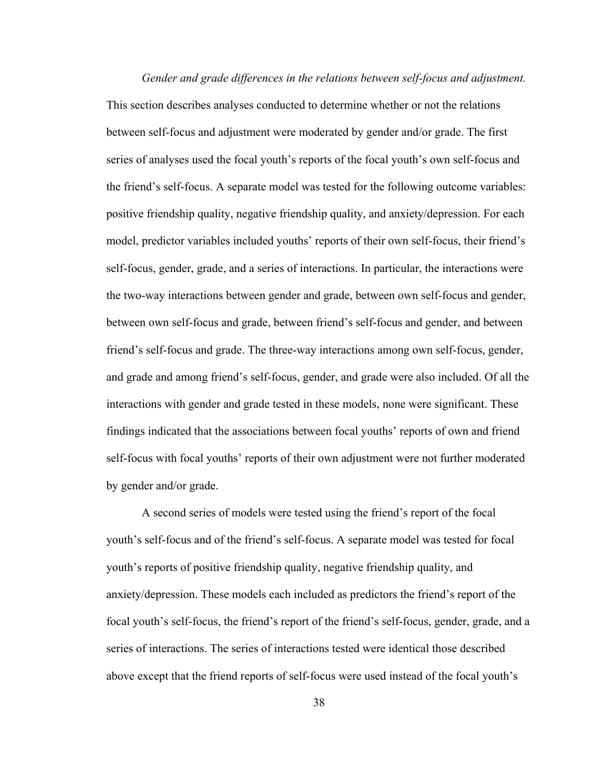*Gender and grade differences in the relations between self-focus and adjustment.* This section describes analyses conducted to determine whether or not the relations between self-focus and adjustment were moderated by gender and/or grade. The first series of analyses used the focal youth's reports of the focal youth's own self-focus and the friend's self-focus. A separate model was tested for the following outcome variables: positive friendship quality, negative friendship quality, and anxiety/depression. For each model, predictor variables included youths' reports of their own self-focus, their friend's self-focus, gender, grade, and a series of interactions. In particular, the interactions were the two-way interactions between gender and grade, between own self-focus and gender, between own self-focus and grade, between friend's self-focus and gender, and between friend's self-focus and grade. The three-way interactions among own self-focus, gender, and grade and among friend's self-focus, gender, and grade were also included. Of all the interactions with gender and grade tested in these models, none were significant. These findings indicated that the associations between focal youths' reports of own and friend self-focus with focal youths' reports of their own adjustment were not further moderated by gender and/or grade.

A second series of models were tested using the friend's report of the focal youth's self-focus and of the friend's self-focus. A separate model was tested for focal youth's reports of positive friendship quality, negative friendship quality, and anxiety/depression. These models each included as predictors the friend's report of the focal youth's self-focus, the friend's report of the friend's self-focus, gender, grade, and a series of interactions. The series of interactions tested were identical those described above except that the friend reports of self-focus were used instead of the focal youth's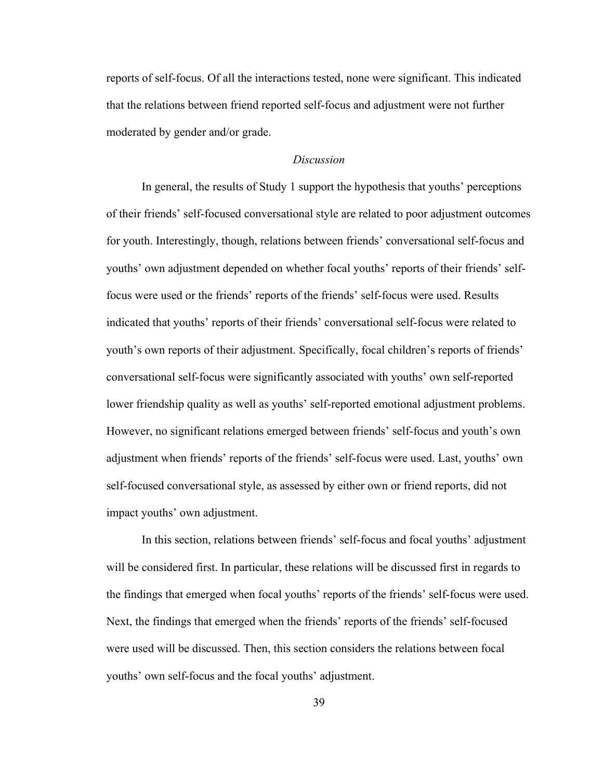reports of self-focus. Of all the interactions tested, none were significant. This indicated that the relations between friend reported self-focus and adjustment were not further moderated by gender and/or grade.

# *Discussion*

 In general, the results of Study 1 support the hypothesis that youths' perceptions of their friends' self-focused conversational style are related to poor adjustment outcomes for youth. Interestingly, though, relations between friends' conversational self-focus and youths' own adjustment depended on whether focal youths' reports of their friends' selffocus were used or the friends' reports of the friends' self-focus were used. Results indicated that youths' reports of their friends' conversational self-focus were related to youth's own reports of their adjustment. Specifically, focal children's reports of friends' conversational self-focus were significantly associated with youths' own self-reported lower friendship quality as well as youths' self-reported emotional adjustment problems. However, no significant relations emerged between friends' self-focus and youth's own adjustment when friends' reports of the friends' self-focus were used. Last, youths' own self-focused conversational style, as assessed by either own or friend reports, did not impact youths' own adjustment.

 In this section, relations between friends' self-focus and focal youths' adjustment will be considered first. In particular, these relations will be discussed first in regards to the findings that emerged when focal youths' reports of the friends' self-focus were used. Next, the findings that emerged when the friends' reports of the friends' self-focused were used will be discussed. Then, this section considers the relations between focal youths' own self-focus and the focal youths' adjustment.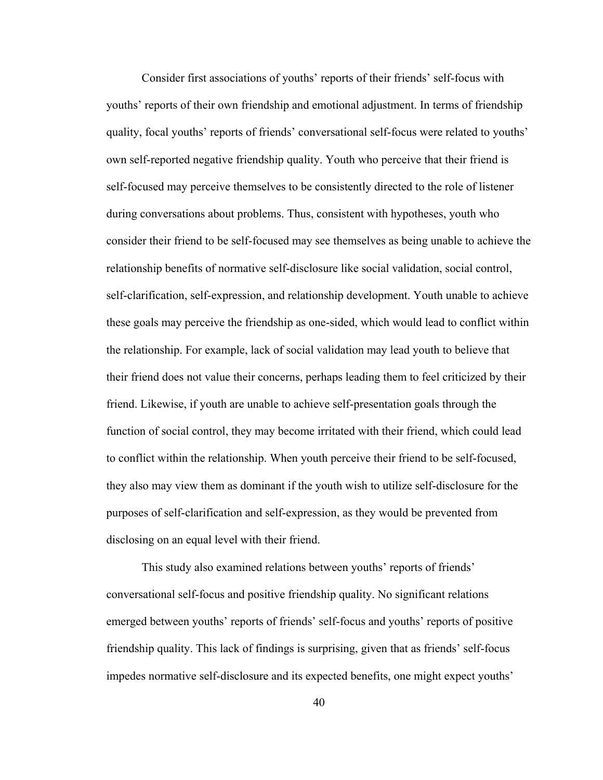Consider first associations of youths' reports of their friends' self-focus with youths' reports of their own friendship and emotional adjustment. In terms of friendship quality, focal youths' reports of friends' conversational self-focus were related to youths' own self-reported negative friendship quality. Youth who perceive that their friend is self-focused may perceive themselves to be consistently directed to the role of listener during conversations about problems. Thus, consistent with hypotheses, youth who consider their friend to be self-focused may see themselves as being unable to achieve the relationship benefits of normative self-disclosure like social validation, social control, self-clarification, self-expression, and relationship development. Youth unable to achieve these goals may perceive the friendship as one-sided, which would lead to conflict within the relationship. For example, lack of social validation may lead youth to believe that their friend does not value their concerns, perhaps leading them to feel criticized by their friend. Likewise, if youth are unable to achieve self-presentation goals through the function of social control, they may become irritated with their friend, which could lead to conflict within the relationship. When youth perceive their friend to be self-focused, they also may view them as dominant if the youth wish to utilize self-disclosure for the purposes of self-clarification and self-expression, as they would be prevented from disclosing on an equal level with their friend.

 This study also examined relations between youths' reports of friends' conversational self-focus and positive friendship quality. No significant relations emerged between youths' reports of friends' self-focus and youths' reports of positive friendship quality. This lack of findings is surprising, given that as friends' self-focus impedes normative self-disclosure and its expected benefits, one might expect youths'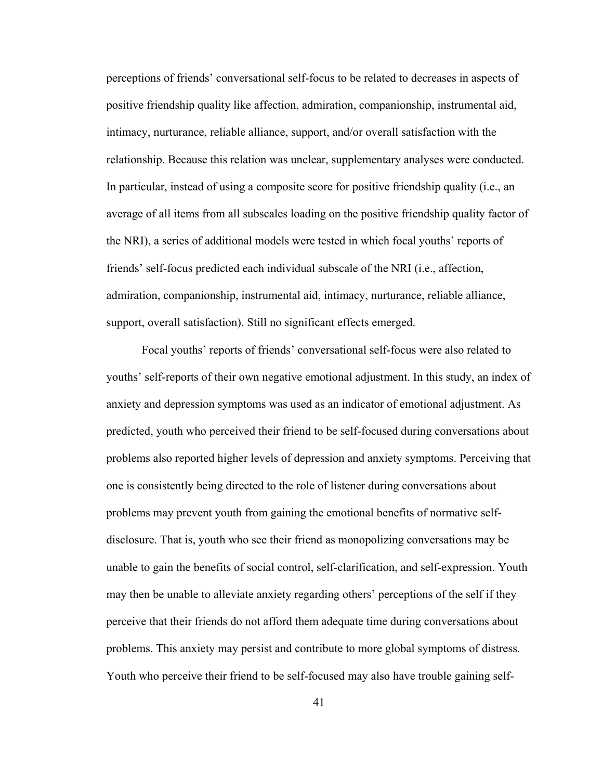perceptions of friends' conversational self-focus to be related to decreases in aspects of positive friendship quality like affection, admiration, companionship, instrumental aid, intimacy, nurturance, reliable alliance, support, and/or overall satisfaction with the relationship. Because this relation was unclear, supplementary analyses were conducted. In particular, instead of using a composite score for positive friendship quality (i.e., an average of all items from all subscales loading on the positive friendship quality factor of the NRI), a series of additional models were tested in which focal youths' reports of friends' self-focus predicted each individual subscale of the NRI (i.e., affection, admiration, companionship, instrumental aid, intimacy, nurturance, reliable alliance, support, overall satisfaction). Still no significant effects emerged.

 Focal youths' reports of friends' conversational self-focus were also related to youths' self-reports of their own negative emotional adjustment. In this study, an index of anxiety and depression symptoms was used as an indicator of emotional adjustment. As predicted, youth who perceived their friend to be self-focused during conversations about problems also reported higher levels of depression and anxiety symptoms. Perceiving that one is consistently being directed to the role of listener during conversations about problems may prevent youth from gaining the emotional benefits of normative selfdisclosure. That is, youth who see their friend as monopolizing conversations may be unable to gain the benefits of social control, self-clarification, and self-expression. Youth may then be unable to alleviate anxiety regarding others' perceptions of the self if they perceive that their friends do not afford them adequate time during conversations about problems. This anxiety may persist and contribute to more global symptoms of distress. Youth who perceive their friend to be self-focused may also have trouble gaining self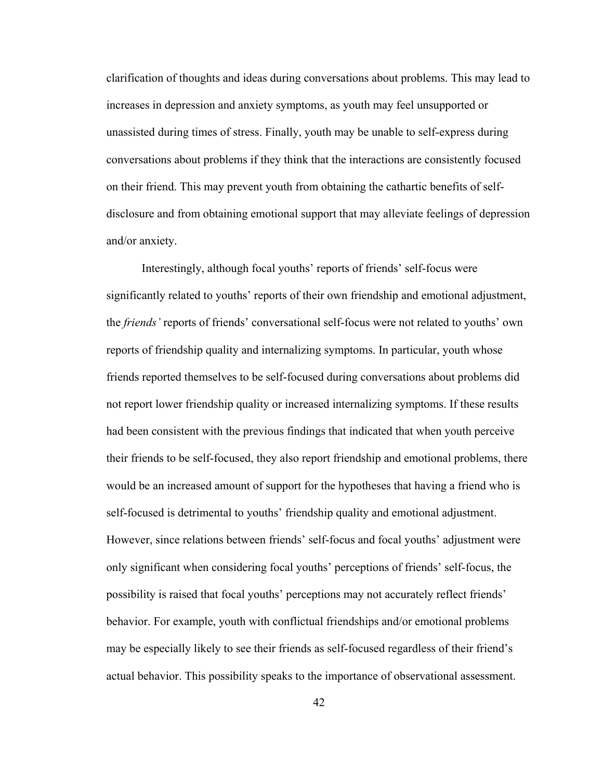clarification of thoughts and ideas during conversations about problems. This may lead to increases in depression and anxiety symptoms, as youth may feel unsupported or unassisted during times of stress. Finally, youth may be unable to self-express during conversations about problems if they think that the interactions are consistently focused on their friend. This may prevent youth from obtaining the cathartic benefits of selfdisclosure and from obtaining emotional support that may alleviate feelings of depression and/or anxiety.

 Interestingly, although focal youths' reports of friends' self-focus were significantly related to youths' reports of their own friendship and emotional adjustment, the *friends'* reports of friends' conversational self-focus were not related to youths' own reports of friendship quality and internalizing symptoms. In particular, youth whose friends reported themselves to be self-focused during conversations about problems did not report lower friendship quality or increased internalizing symptoms. If these results had been consistent with the previous findings that indicated that when youth perceive their friends to be self-focused, they also report friendship and emotional problems, there would be an increased amount of support for the hypotheses that having a friend who is self-focused is detrimental to youths' friendship quality and emotional adjustment. However, since relations between friends' self-focus and focal youths' adjustment were only significant when considering focal youths' perceptions of friends' self-focus, the possibility is raised that focal youths' perceptions may not accurately reflect friends' behavior. For example, youth with conflictual friendships and/or emotional problems may be especially likely to see their friends as self-focused regardless of their friend's actual behavior. This possibility speaks to the importance of observational assessment.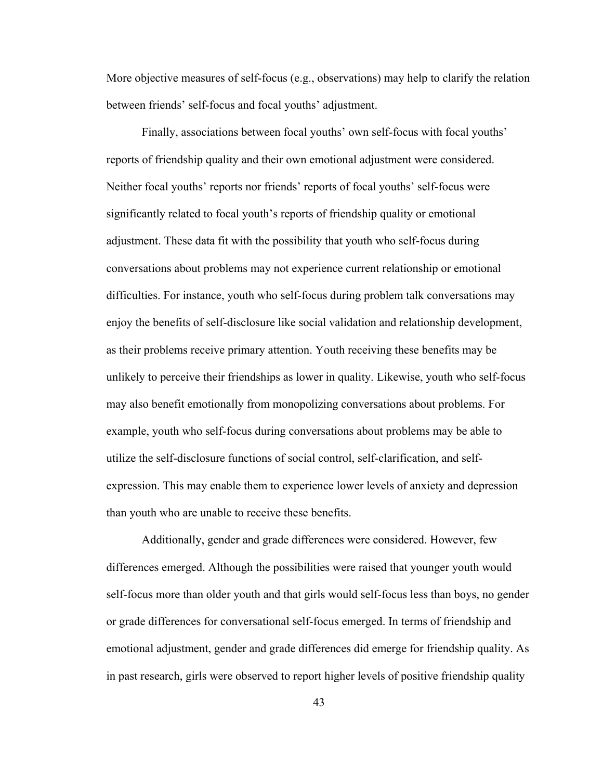More objective measures of self-focus (e.g., observations) may help to clarify the relation between friends' self-focus and focal youths' adjustment.

 Finally, associations between focal youths' own self-focus with focal youths' reports of friendship quality and their own emotional adjustment were considered. Neither focal youths' reports nor friends' reports of focal youths' self-focus were significantly related to focal youth's reports of friendship quality or emotional adjustment. These data fit with the possibility that youth who self-focus during conversations about problems may not experience current relationship or emotional difficulties. For instance, youth who self-focus during problem talk conversations may enjoy the benefits of self-disclosure like social validation and relationship development, as their problems receive primary attention. Youth receiving these benefits may be unlikely to perceive their friendships as lower in quality. Likewise, youth who self-focus may also benefit emotionally from monopolizing conversations about problems. For example, youth who self-focus during conversations about problems may be able to utilize the self-disclosure functions of social control, self-clarification, and selfexpression. This may enable them to experience lower levels of anxiety and depression than youth who are unable to receive these benefits.

 Additionally, gender and grade differences were considered. However, few differences emerged. Although the possibilities were raised that younger youth would self-focus more than older youth and that girls would self-focus less than boys, no gender or grade differences for conversational self-focus emerged. In terms of friendship and emotional adjustment, gender and grade differences did emerge for friendship quality. As in past research, girls were observed to report higher levels of positive friendship quality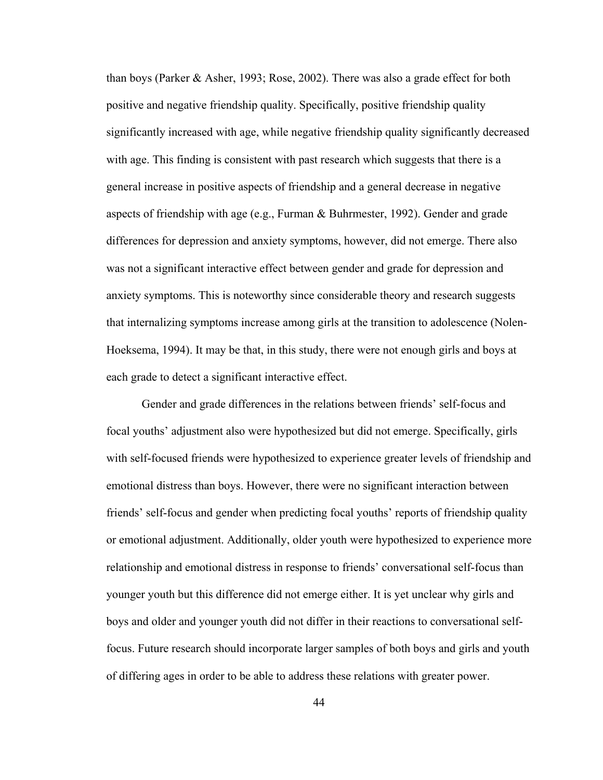than boys (Parker & Asher, 1993; Rose, 2002). There was also a grade effect for both positive and negative friendship quality. Specifically, positive friendship quality significantly increased with age, while negative friendship quality significantly decreased with age. This finding is consistent with past research which suggests that there is a general increase in positive aspects of friendship and a general decrease in negative aspects of friendship with age (e.g., Furman  $&$  Buhrmester, 1992). Gender and grade differences for depression and anxiety symptoms, however, did not emerge. There also was not a significant interactive effect between gender and grade for depression and anxiety symptoms. This is noteworthy since considerable theory and research suggests that internalizing symptoms increase among girls at the transition to adolescence (Nolen-Hoeksema, 1994). It may be that, in this study, there were not enough girls and boys at each grade to detect a significant interactive effect.

 Gender and grade differences in the relations between friends' self-focus and focal youths' adjustment also were hypothesized but did not emerge. Specifically, girls with self-focused friends were hypothesized to experience greater levels of friendship and emotional distress than boys. However, there were no significant interaction between friends' self-focus and gender when predicting focal youths' reports of friendship quality or emotional adjustment. Additionally, older youth were hypothesized to experience more relationship and emotional distress in response to friends' conversational self-focus than younger youth but this difference did not emerge either. It is yet unclear why girls and boys and older and younger youth did not differ in their reactions to conversational selffocus. Future research should incorporate larger samples of both boys and girls and youth of differing ages in order to be able to address these relations with greater power.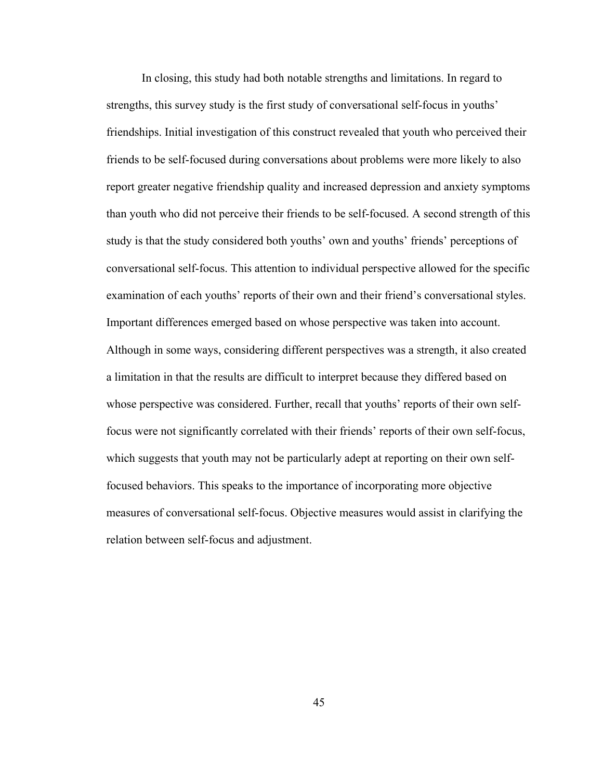In closing, this study had both notable strengths and limitations. In regard to strengths, this survey study is the first study of conversational self-focus in youths' friendships. Initial investigation of this construct revealed that youth who perceived their friends to be self-focused during conversations about problems were more likely to also report greater negative friendship quality and increased depression and anxiety symptoms than youth who did not perceive their friends to be self-focused. A second strength of this study is that the study considered both youths' own and youths' friends' perceptions of conversational self-focus. This attention to individual perspective allowed for the specific examination of each youths' reports of their own and their friend's conversational styles. Important differences emerged based on whose perspective was taken into account. Although in some ways, considering different perspectives was a strength, it also created a limitation in that the results are difficult to interpret because they differed based on whose perspective was considered. Further, recall that youths' reports of their own selffocus were not significantly correlated with their friends' reports of their own self-focus, which suggests that youth may not be particularly adept at reporting on their own selffocused behaviors. This speaks to the importance of incorporating more objective measures of conversational self-focus. Objective measures would assist in clarifying the relation between self-focus and adjustment.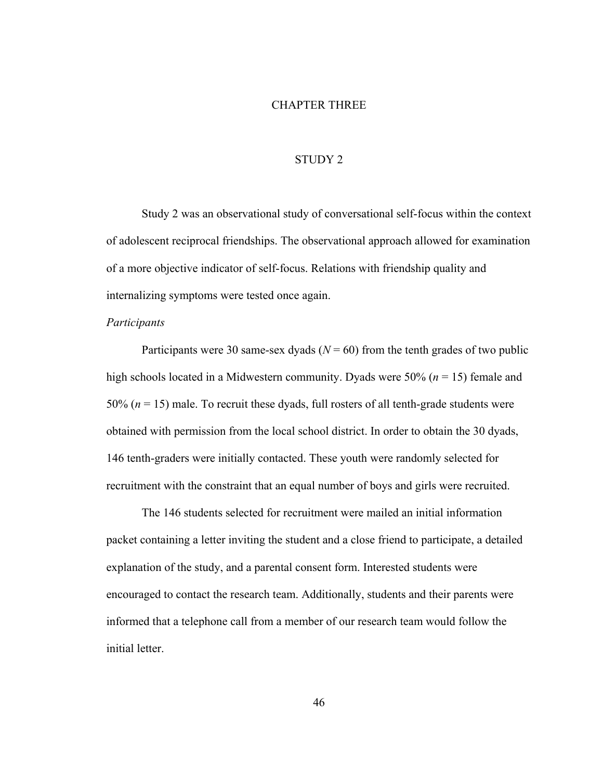# CHAPTER THREE

## STUDY 2

Study 2 was an observational study of conversational self-focus within the context of adolescent reciprocal friendships. The observational approach allowed for examination of a more objective indicator of self-focus. Relations with friendship quality and internalizing symptoms were tested once again.

## *Participants*

Participants were 30 same-sex dyads ( $N = 60$ ) from the tenth grades of two public high schools located in a Midwestern community. Dyads were 50% (*n* = 15) female and 50% (*n* = 15) male. To recruit these dyads, full rosters of all tenth-grade students were obtained with permission from the local school district. In order to obtain the 30 dyads, 146 tenth-graders were initially contacted. These youth were randomly selected for recruitment with the constraint that an equal number of boys and girls were recruited.

 The 146 students selected for recruitment were mailed an initial information packet containing a letter inviting the student and a close friend to participate, a detailed explanation of the study, and a parental consent form. Interested students were encouraged to contact the research team. Additionally, students and their parents were informed that a telephone call from a member of our research team would follow the initial letter.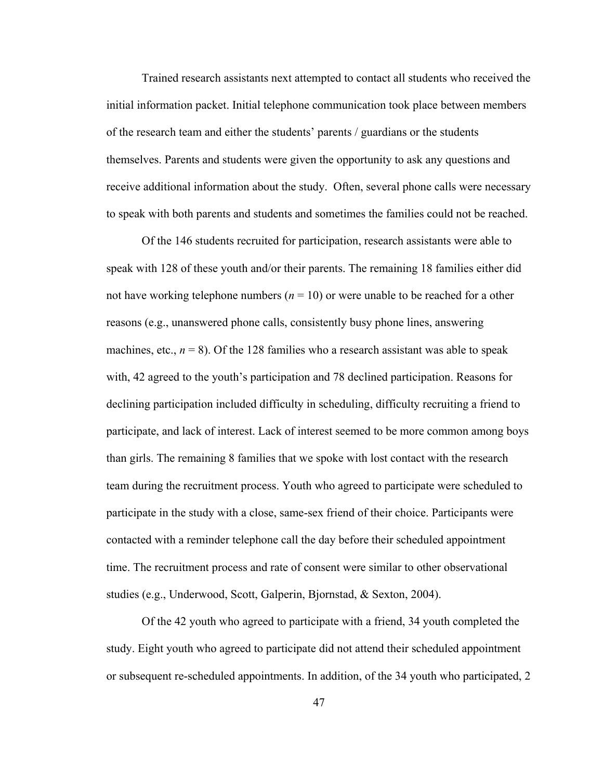Trained research assistants next attempted to contact all students who received the initial information packet. Initial telephone communication took place between members of the research team and either the students' parents / guardians or the students themselves. Parents and students were given the opportunity to ask any questions and receive additional information about the study. Often, several phone calls were necessary to speak with both parents and students and sometimes the families could not be reached.

Of the 146 students recruited for participation, research assistants were able to speak with 128 of these youth and/or their parents. The remaining 18 families either did not have working telephone numbers  $(n = 10)$  or were unable to be reached for a other reasons (e.g., unanswered phone calls, consistently busy phone lines, answering machines, etc.,  $n = 8$ ). Of the 128 families who a research assistant was able to speak with, 42 agreed to the youth's participation and 78 declined participation. Reasons for declining participation included difficulty in scheduling, difficulty recruiting a friend to participate, and lack of interest. Lack of interest seemed to be more common among boys than girls. The remaining 8 families that we spoke with lost contact with the research team during the recruitment process. Youth who agreed to participate were scheduled to participate in the study with a close, same-sex friend of their choice. Participants were contacted with a reminder telephone call the day before their scheduled appointment time. The recruitment process and rate of consent were similar to other observational studies (e.g., Underwood, Scott, Galperin, Bjornstad, & Sexton, 2004).

Of the 42 youth who agreed to participate with a friend, 34 youth completed the study. Eight youth who agreed to participate did not attend their scheduled appointment or subsequent re-scheduled appointments. In addition, of the 34 youth who participated, 2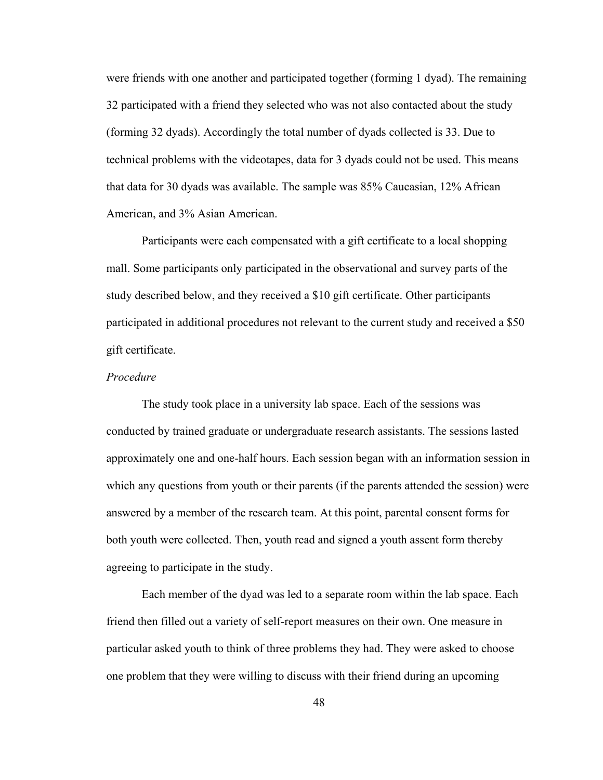were friends with one another and participated together (forming 1 dyad). The remaining 32 participated with a friend they selected who was not also contacted about the study (forming 32 dyads). Accordingly the total number of dyads collected is 33. Due to technical problems with the videotapes, data for 3 dyads could not be used. This means that data for 30 dyads was available. The sample was 85% Caucasian, 12% African American, and 3% Asian American.

Participants were each compensated with a gift certificate to a local shopping mall. Some participants only participated in the observational and survey parts of the study described below, and they received a \$10 gift certificate. Other participants participated in additional procedures not relevant to the current study and received a \$50 gift certificate.

# *Procedure*

The study took place in a university lab space. Each of the sessions was conducted by trained graduate or undergraduate research assistants. The sessions lasted approximately one and one-half hours. Each session began with an information session in which any questions from youth or their parents (if the parents attended the session) were answered by a member of the research team. At this point, parental consent forms for both youth were collected. Then, youth read and signed a youth assent form thereby agreeing to participate in the study.

Each member of the dyad was led to a separate room within the lab space. Each friend then filled out a variety of self-report measures on their own. One measure in particular asked youth to think of three problems they had. They were asked to choose one problem that they were willing to discuss with their friend during an upcoming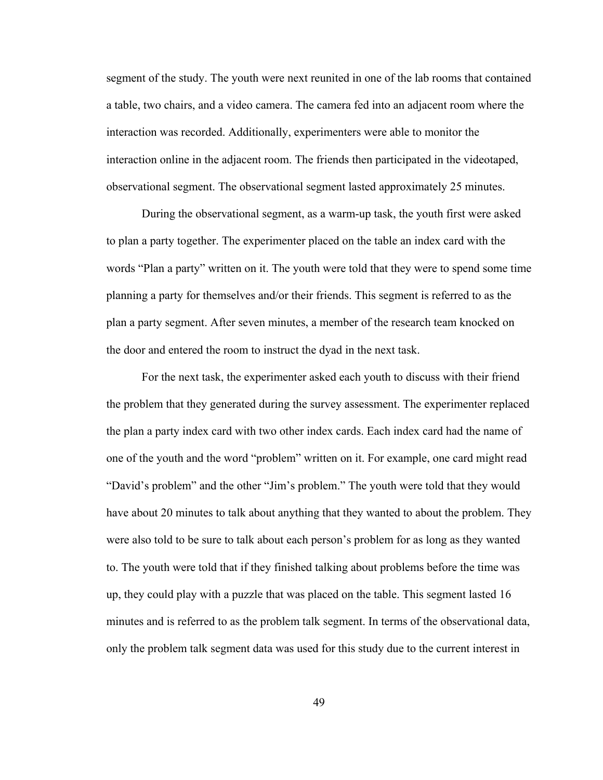segment of the study. The youth were next reunited in one of the lab rooms that contained a table, two chairs, and a video camera. The camera fed into an adjacent room where the interaction was recorded. Additionally, experimenters were able to monitor the interaction online in the adjacent room. The friends then participated in the videotaped, observational segment. The observational segment lasted approximately 25 minutes.

During the observational segment, as a warm-up task, the youth first were asked to plan a party together. The experimenter placed on the table an index card with the words "Plan a party" written on it. The youth were told that they were to spend some time planning a party for themselves and/or their friends. This segment is referred to as the plan a party segment. After seven minutes, a member of the research team knocked on the door and entered the room to instruct the dyad in the next task.

For the next task, the experimenter asked each youth to discuss with their friend the problem that they generated during the survey assessment. The experimenter replaced the plan a party index card with two other index cards. Each index card had the name of one of the youth and the word "problem" written on it. For example, one card might read "David's problem" and the other "Jim's problem." The youth were told that they would have about 20 minutes to talk about anything that they wanted to about the problem. They were also told to be sure to talk about each person's problem for as long as they wanted to. The youth were told that if they finished talking about problems before the time was up, they could play with a puzzle that was placed on the table. This segment lasted 16 minutes and is referred to as the problem talk segment. In terms of the observational data, only the problem talk segment data was used for this study due to the current interest in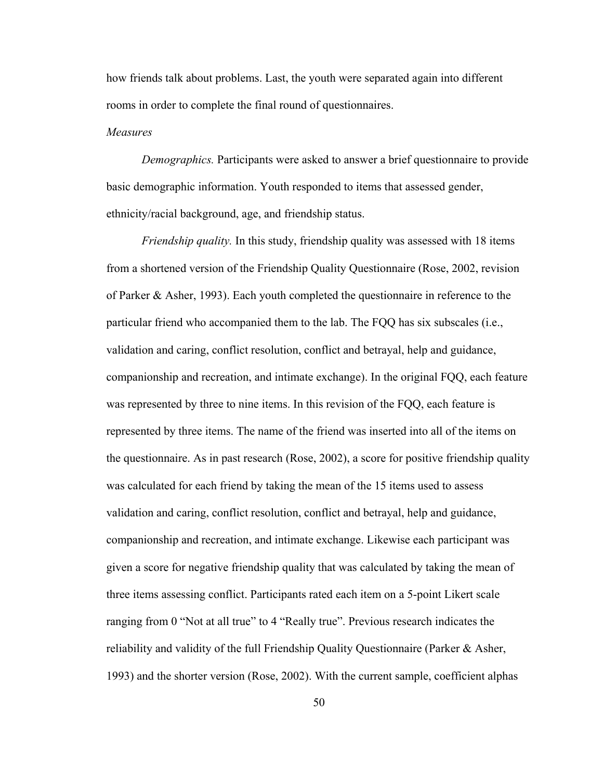how friends talk about problems. Last, the youth were separated again into different rooms in order to complete the final round of questionnaires.

# *Measures*

*Demographics.* Participants were asked to answer a brief questionnaire to provide basic demographic information. Youth responded to items that assessed gender, ethnicity/racial background, age, and friendship status.

*Friendship quality.* In this study, friendship quality was assessed with 18 items from a shortened version of the Friendship Quality Questionnaire (Rose, 2002, revision of Parker & Asher, 1993). Each youth completed the questionnaire in reference to the particular friend who accompanied them to the lab. The FQQ has six subscales (i.e., validation and caring, conflict resolution, conflict and betrayal, help and guidance, companionship and recreation, and intimate exchange). In the original FQQ, each feature was represented by three to nine items. In this revision of the FQQ, each feature is represented by three items. The name of the friend was inserted into all of the items on the questionnaire. As in past research (Rose, 2002), a score for positive friendship quality was calculated for each friend by taking the mean of the 15 items used to assess validation and caring, conflict resolution, conflict and betrayal, help and guidance, companionship and recreation, and intimate exchange. Likewise each participant was given a score for negative friendship quality that was calculated by taking the mean of three items assessing conflict. Participants rated each item on a 5-point Likert scale ranging from 0 "Not at all true" to 4 "Really true". Previous research indicates the reliability and validity of the full Friendship Quality Questionnaire (Parker & Asher, 1993) and the shorter version (Rose, 2002). With the current sample, coefficient alphas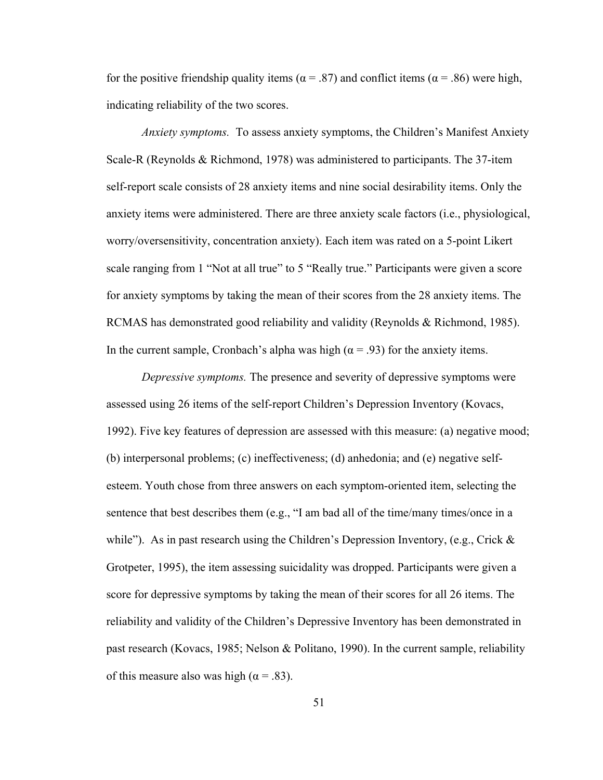for the positive friendship quality items ( $\alpha$  = .87) and conflict items ( $\alpha$  = .86) were high, indicating reliability of the two scores.

*Anxiety symptoms.* To assess anxiety symptoms, the Children's Manifest Anxiety Scale-R (Reynolds & Richmond, 1978) was administered to participants. The 37-item self-report scale consists of 28 anxiety items and nine social desirability items. Only the anxiety items were administered. There are three anxiety scale factors (i.e., physiological, worry/oversensitivity, concentration anxiety). Each item was rated on a 5-point Likert scale ranging from 1 "Not at all true" to 5 "Really true." Participants were given a score for anxiety symptoms by taking the mean of their scores from the 28 anxiety items. The RCMAS has demonstrated good reliability and validity (Reynolds & Richmond, 1985). In the current sample, Cronbach's alpha was high ( $\alpha$  = .93) for the anxiety items.

*Depressive symptoms.* The presence and severity of depressive symptoms were assessed using 26 items of the self-report Children's Depression Inventory (Kovacs, 1992). Five key features of depression are assessed with this measure: (a) negative mood; (b) interpersonal problems; (c) ineffectiveness; (d) anhedonia; and (e) negative selfesteem. Youth chose from three answers on each symptom-oriented item, selecting the sentence that best describes them (e.g., "I am bad all of the time/many times/once in a while"). As in past research using the Children's Depression Inventory, (e.g., Crick  $\&$ Grotpeter, 1995), the item assessing suicidality was dropped. Participants were given a score for depressive symptoms by taking the mean of their scores for all 26 items. The reliability and validity of the Children's Depressive Inventory has been demonstrated in past research (Kovacs, 1985; Nelson & Politano, 1990). In the current sample, reliability of this measure also was high ( $\alpha$  = .83).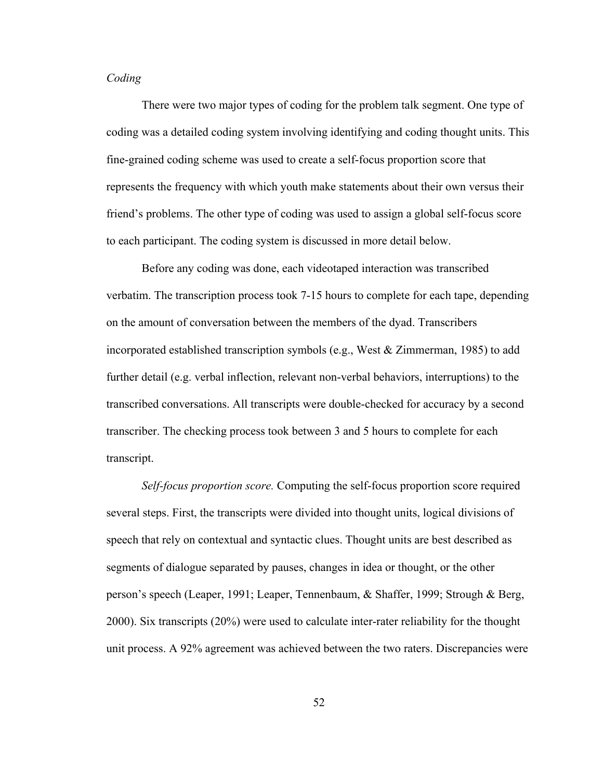# *Coding*

There were two major types of coding for the problem talk segment. One type of coding was a detailed coding system involving identifying and coding thought units. This fine-grained coding scheme was used to create a self-focus proportion score that represents the frequency with which youth make statements about their own versus their friend's problems. The other type of coding was used to assign a global self-focus score to each participant. The coding system is discussed in more detail below.

Before any coding was done, each videotaped interaction was transcribed verbatim. The transcription process took 7-15 hours to complete for each tape, depending on the amount of conversation between the members of the dyad. Transcribers incorporated established transcription symbols (e.g., West  $\&$  Zimmerman, 1985) to add further detail (e.g. verbal inflection, relevant non-verbal behaviors, interruptions) to the transcribed conversations. All transcripts were double-checked for accuracy by a second transcriber. The checking process took between 3 and 5 hours to complete for each transcript.

*Self-focus proportion score.* Computing the self-focus proportion score required several steps. First, the transcripts were divided into thought units, logical divisions of speech that rely on contextual and syntactic clues. Thought units are best described as segments of dialogue separated by pauses, changes in idea or thought, or the other person's speech (Leaper, 1991; Leaper, Tennenbaum, & Shaffer, 1999; Strough & Berg, 2000). Six transcripts (20%) were used to calculate inter-rater reliability for the thought unit process. A 92% agreement was achieved between the two raters. Discrepancies were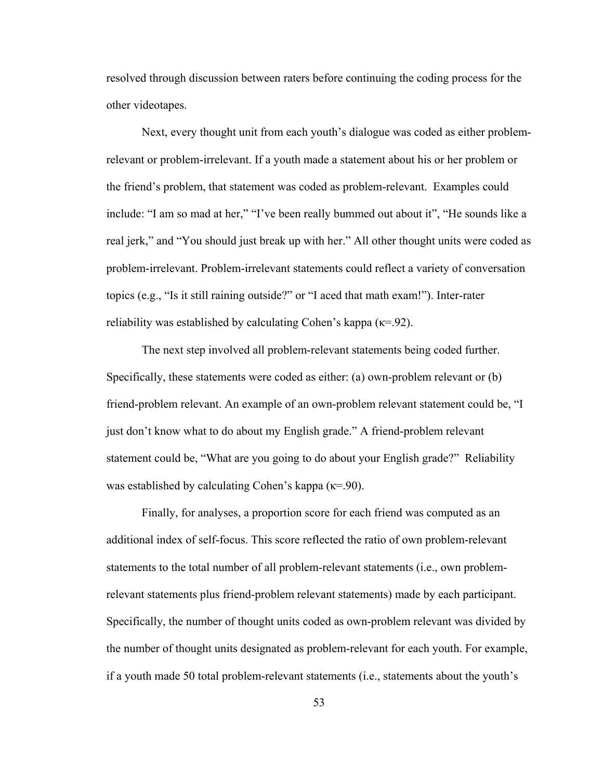resolved through discussion between raters before continuing the coding process for the other videotapes.

Next, every thought unit from each youth's dialogue was coded as either problemrelevant or problem-irrelevant. If a youth made a statement about his or her problem or the friend's problem, that statement was coded as problem-relevant. Examples could include: "I am so mad at her," "I've been really bummed out about it", "He sounds like a real jerk," and "You should just break up with her." All other thought units were coded as problem-irrelevant. Problem-irrelevant statements could reflect a variety of conversation topics (e.g., "Is it still raining outside?" or "I aced that math exam!"). Inter-rater reliability was established by calculating Cohen's kappa ( $\kappa$ =.92).

The next step involved all problem-relevant statements being coded further. Specifically, these statements were coded as either: (a) own-problem relevant or (b) friend-problem relevant. An example of an own-problem relevant statement could be, "I just don't know what to do about my English grade." A friend-problem relevant statement could be, "What are you going to do about your English grade?" Reliability was established by calculating Cohen's kappa ( $\kappa$ =.90).

Finally, for analyses, a proportion score for each friend was computed as an additional index of self-focus. This score reflected the ratio of own problem-relevant statements to the total number of all problem-relevant statements (i.e., own problemrelevant statements plus friend-problem relevant statements) made by each participant. Specifically, the number of thought units coded as own-problem relevant was divided by the number of thought units designated as problem-relevant for each youth. For example, if a youth made 50 total problem-relevant statements (i.e., statements about the youth's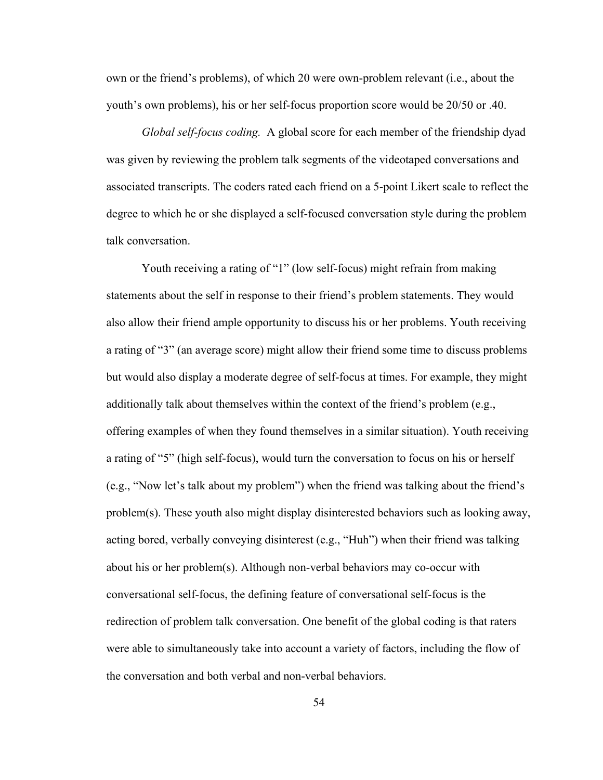own or the friend's problems), of which 20 were own-problem relevant (i.e., about the youth's own problems), his or her self-focus proportion score would be 20/50 or .40.

*Global self-focus coding.* A global score for each member of the friendship dyad was given by reviewing the problem talk segments of the videotaped conversations and associated transcripts. The coders rated each friend on a 5-point Likert scale to reflect the degree to which he or she displayed a self-focused conversation style during the problem talk conversation.

Youth receiving a rating of "1" (low self-focus) might refrain from making statements about the self in response to their friend's problem statements. They would also allow their friend ample opportunity to discuss his or her problems. Youth receiving a rating of "3" (an average score) might allow their friend some time to discuss problems but would also display a moderate degree of self-focus at times. For example, they might additionally talk about themselves within the context of the friend's problem (e.g., offering examples of when they found themselves in a similar situation). Youth receiving a rating of "5" (high self-focus), would turn the conversation to focus on his or herself (e.g., "Now let's talk about my problem") when the friend was talking about the friend's problem(s). These youth also might display disinterested behaviors such as looking away, acting bored, verbally conveying disinterest (e.g., "Huh") when their friend was talking about his or her problem(s). Although non-verbal behaviors may co-occur with conversational self-focus, the defining feature of conversational self-focus is the redirection of problem talk conversation. One benefit of the global coding is that raters were able to simultaneously take into account a variety of factors, including the flow of the conversation and both verbal and non-verbal behaviors.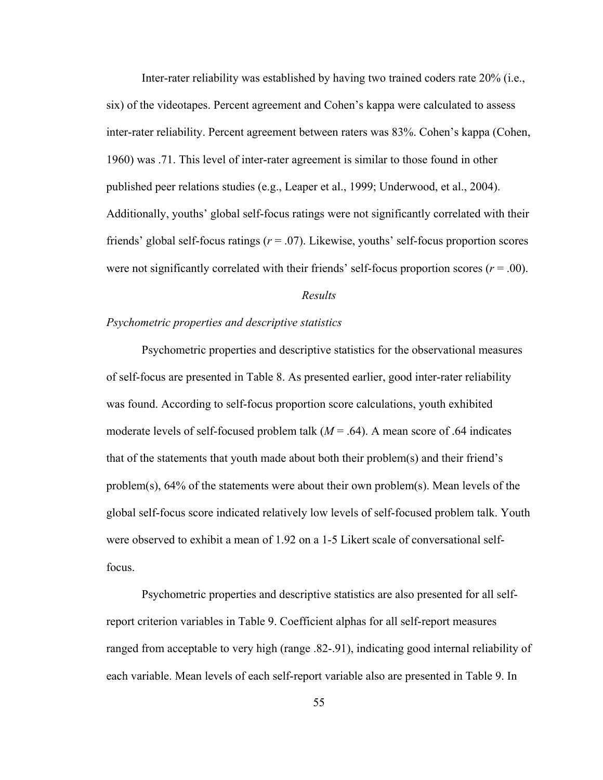Inter-rater reliability was established by having two trained coders rate 20% (i.e., six) of the videotapes. Percent agreement and Cohen's kappa were calculated to assess inter-rater reliability. Percent agreement between raters was 83%. Cohen's kappa (Cohen, 1960) was .71. This level of inter-rater agreement is similar to those found in other published peer relations studies (e.g., Leaper et al., 1999; Underwood, et al., 2004). Additionally, youths' global self-focus ratings were not significantly correlated with their friends' global self-focus ratings (*r* = .07). Likewise, youths' self-focus proportion scores were not significantly correlated with their friends' self-focus proportion scores ( $r = .00$ ).

# *Results*

## *Psychometric properties and descriptive statistics*

 Psychometric properties and descriptive statistics for the observational measures of self-focus are presented in Table 8. As presented earlier, good inter-rater reliability was found. According to self-focus proportion score calculations, youth exhibited moderate levels of self-focused problem talk  $(M = .64)$ . A mean score of .64 indicates that of the statements that youth made about both their problem(s) and their friend's problem(s), 64% of the statements were about their own problem(s). Mean levels of the global self-focus score indicated relatively low levels of self-focused problem talk. Youth were observed to exhibit a mean of 1.92 on a 1-5 Likert scale of conversational selffocus.

Psychometric properties and descriptive statistics are also presented for all selfreport criterion variables in Table 9. Coefficient alphas for all self-report measures ranged from acceptable to very high (range .82-.91), indicating good internal reliability of each variable. Mean levels of each self-report variable also are presented in Table 9. In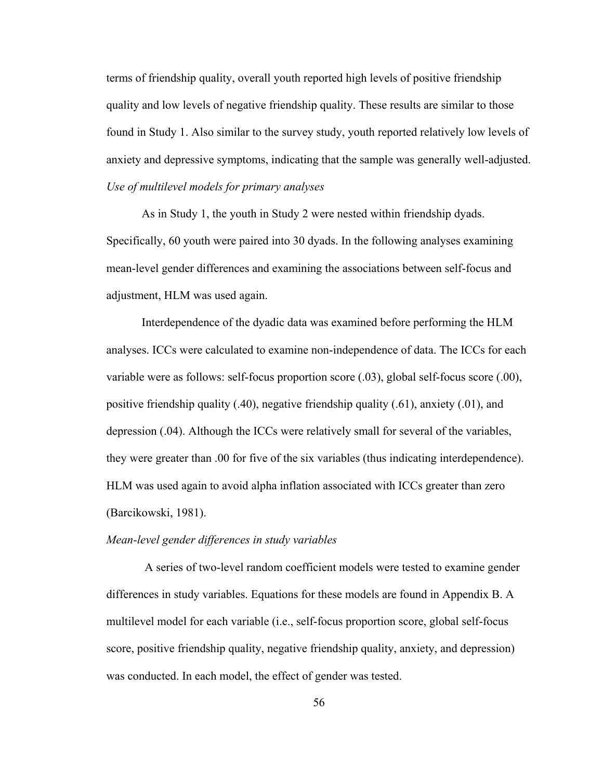terms of friendship quality, overall youth reported high levels of positive friendship quality and low levels of negative friendship quality. These results are similar to those found in Study 1. Also similar to the survey study, youth reported relatively low levels of anxiety and depressive symptoms, indicating that the sample was generally well-adjusted. *Use of multilevel models for primary analyses*

As in Study 1, the youth in Study 2 were nested within friendship dyads. Specifically, 60 youth were paired into 30 dyads. In the following analyses examining mean-level gender differences and examining the associations between self-focus and adjustment, HLM was used again.

Interdependence of the dyadic data was examined before performing the HLM analyses. ICCs were calculated to examine non-independence of data. The ICCs for each variable were as follows: self-focus proportion score (.03), global self-focus score (.00), positive friendship quality (.40), negative friendship quality (.61), anxiety (.01), and depression (.04). Although the ICCs were relatively small for several of the variables, they were greater than .00 for five of the six variables (thus indicating interdependence). HLM was used again to avoid alpha inflation associated with ICCs greater than zero (Barcikowski, 1981).

## *Mean-level gender differences in study variables*

 A series of two-level random coefficient models were tested to examine gender differences in study variables. Equations for these models are found in Appendix B. A multilevel model for each variable (i.e., self-focus proportion score, global self-focus score, positive friendship quality, negative friendship quality, anxiety, and depression) was conducted. In each model, the effect of gender was tested.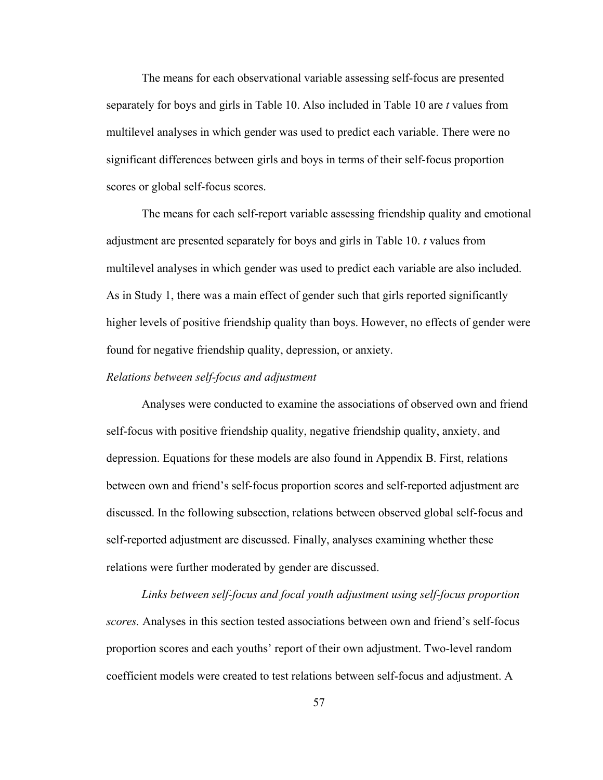The means for each observational variable assessing self-focus are presented separately for boys and girls in Table 10. Also included in Table 10 are *t* values from multilevel analyses in which gender was used to predict each variable. There were no significant differences between girls and boys in terms of their self-focus proportion scores or global self-focus scores.

The means for each self-report variable assessing friendship quality and emotional adjustment are presented separately for boys and girls in Table 10. *t* values from multilevel analyses in which gender was used to predict each variable are also included. As in Study 1, there was a main effect of gender such that girls reported significantly higher levels of positive friendship quality than boys. However, no effects of gender were found for negative friendship quality, depression, or anxiety.

### *Relations between self-focus and adjustment*

Analyses were conducted to examine the associations of observed own and friend self-focus with positive friendship quality, negative friendship quality, anxiety, and depression. Equations for these models are also found in Appendix B. First, relations between own and friend's self-focus proportion scores and self-reported adjustment are discussed. In the following subsection, relations between observed global self-focus and self-reported adjustment are discussed. Finally, analyses examining whether these relations were further moderated by gender are discussed.

*Links between self-focus and focal youth adjustment using self-focus proportion scores.* Analyses in this section tested associations between own and friend's self-focus proportion scores and each youths' report of their own adjustment. Two-level random coefficient models were created to test relations between self-focus and adjustment. A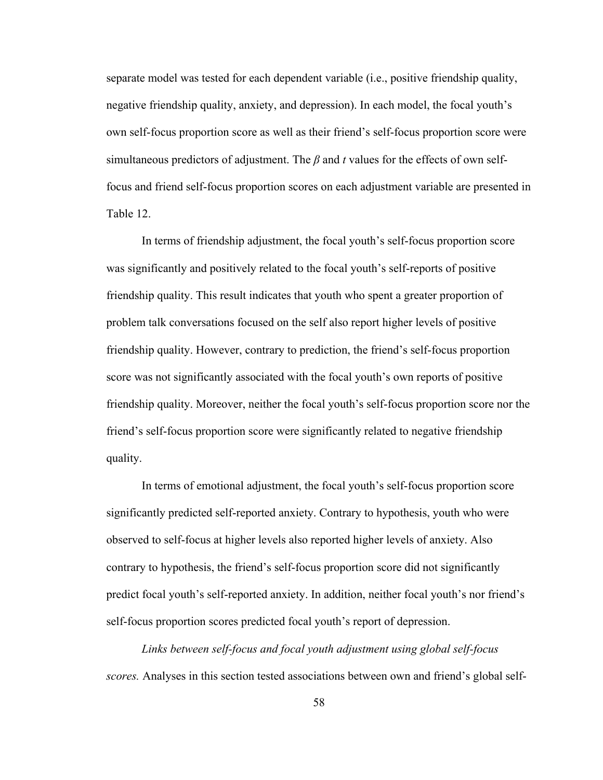separate model was tested for each dependent variable (i.e., positive friendship quality, negative friendship quality, anxiety, and depression). In each model, the focal youth's own self-focus proportion score as well as their friend's self-focus proportion score were simultaneous predictors of adjustment. The *β* and *t* values for the effects of own selffocus and friend self-focus proportion scores on each adjustment variable are presented in Table 12.

In terms of friendship adjustment, the focal youth's self-focus proportion score was significantly and positively related to the focal youth's self-reports of positive friendship quality. This result indicates that youth who spent a greater proportion of problem talk conversations focused on the self also report higher levels of positive friendship quality. However, contrary to prediction, the friend's self-focus proportion score was not significantly associated with the focal youth's own reports of positive friendship quality. Moreover, neither the focal youth's self-focus proportion score nor the friend's self-focus proportion score were significantly related to negative friendship quality.

In terms of emotional adjustment, the focal youth's self-focus proportion score significantly predicted self-reported anxiety. Contrary to hypothesis, youth who were observed to self-focus at higher levels also reported higher levels of anxiety. Also contrary to hypothesis, the friend's self-focus proportion score did not significantly predict focal youth's self-reported anxiety. In addition, neither focal youth's nor friend's self-focus proportion scores predicted focal youth's report of depression.

*Links between self-focus and focal youth adjustment using global self-focus scores.* Analyses in this section tested associations between own and friend's global self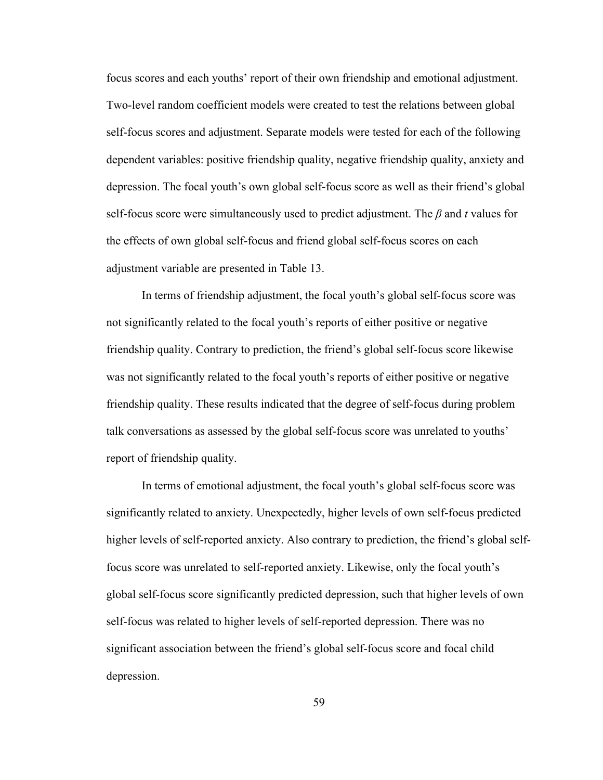focus scores and each youths' report of their own friendship and emotional adjustment. Two-level random coefficient models were created to test the relations between global self-focus scores and adjustment. Separate models were tested for each of the following dependent variables: positive friendship quality, negative friendship quality, anxiety and depression. The focal youth's own global self-focus score as well as their friend's global self-focus score were simultaneously used to predict adjustment. The *β* and *t* values for the effects of own global self-focus and friend global self-focus scores on each adjustment variable are presented in Table 13.

In terms of friendship adjustment, the focal youth's global self-focus score was not significantly related to the focal youth's reports of either positive or negative friendship quality. Contrary to prediction, the friend's global self-focus score likewise was not significantly related to the focal youth's reports of either positive or negative friendship quality. These results indicated that the degree of self-focus during problem talk conversations as assessed by the global self-focus score was unrelated to youths' report of friendship quality.

In terms of emotional adjustment, the focal youth's global self-focus score was significantly related to anxiety. Unexpectedly, higher levels of own self-focus predicted higher levels of self-reported anxiety. Also contrary to prediction, the friend's global selffocus score was unrelated to self-reported anxiety. Likewise, only the focal youth's global self-focus score significantly predicted depression, such that higher levels of own self-focus was related to higher levels of self-reported depression. There was no significant association between the friend's global self-focus score and focal child depression.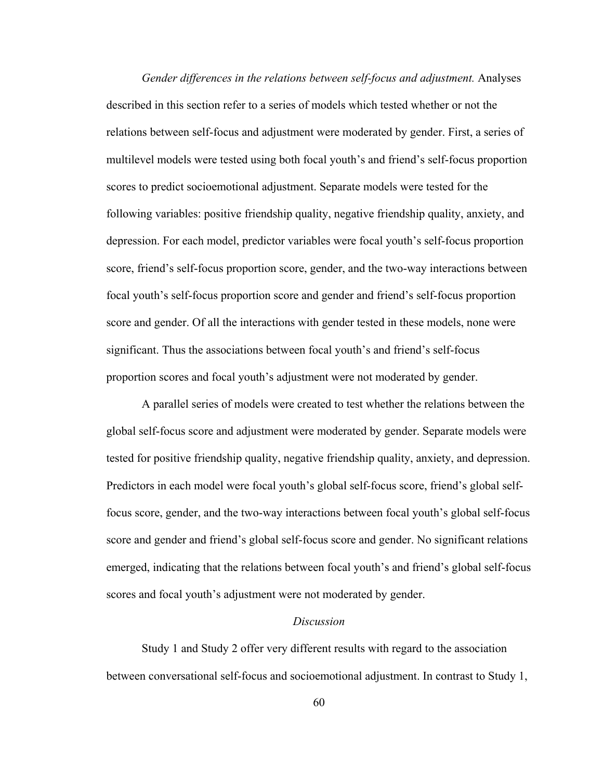*Gender differences in the relations between self-focus and adjustment.* Analyses described in this section refer to a series of models which tested whether or not the relations between self-focus and adjustment were moderated by gender. First, a series of multilevel models were tested using both focal youth's and friend's self-focus proportion scores to predict socioemotional adjustment. Separate models were tested for the following variables: positive friendship quality, negative friendship quality, anxiety, and depression. For each model, predictor variables were focal youth's self-focus proportion score, friend's self-focus proportion score, gender, and the two-way interactions between focal youth's self-focus proportion score and gender and friend's self-focus proportion score and gender. Of all the interactions with gender tested in these models, none were significant. Thus the associations between focal youth's and friend's self-focus proportion scores and focal youth's adjustment were not moderated by gender.

A parallel series of models were created to test whether the relations between the global self-focus score and adjustment were moderated by gender. Separate models were tested for positive friendship quality, negative friendship quality, anxiety, and depression. Predictors in each model were focal youth's global self-focus score, friend's global selffocus score, gender, and the two-way interactions between focal youth's global self-focus score and gender and friend's global self-focus score and gender. No significant relations emerged, indicating that the relations between focal youth's and friend's global self-focus scores and focal youth's adjustment were not moderated by gender.

#### *Discussion*

 Study 1 and Study 2 offer very different results with regard to the association between conversational self-focus and socioemotional adjustment. In contrast to Study 1,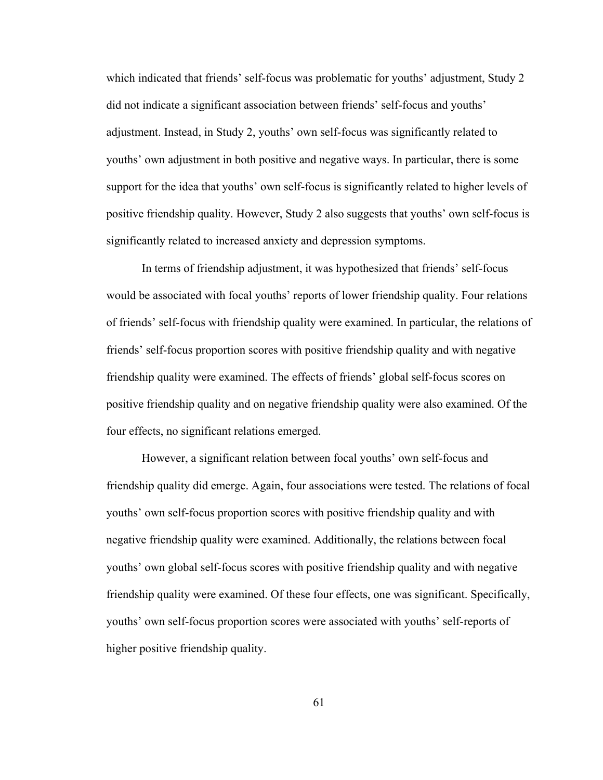which indicated that friends' self-focus was problematic for youths' adjustment, Study 2 did not indicate a significant association between friends' self-focus and youths' adjustment. Instead, in Study 2, youths' own self-focus was significantly related to youths' own adjustment in both positive and negative ways. In particular, there is some support for the idea that youths' own self-focus is significantly related to higher levels of positive friendship quality. However, Study 2 also suggests that youths' own self-focus is significantly related to increased anxiety and depression symptoms.

 In terms of friendship adjustment, it was hypothesized that friends' self-focus would be associated with focal youths' reports of lower friendship quality. Four relations of friends' self-focus with friendship quality were examined. In particular, the relations of friends' self-focus proportion scores with positive friendship quality and with negative friendship quality were examined. The effects of friends' global self-focus scores on positive friendship quality and on negative friendship quality were also examined. Of the four effects, no significant relations emerged.

 However, a significant relation between focal youths' own self-focus and friendship quality did emerge. Again, four associations were tested. The relations of focal youths' own self-focus proportion scores with positive friendship quality and with negative friendship quality were examined. Additionally, the relations between focal youths' own global self-focus scores with positive friendship quality and with negative friendship quality were examined. Of these four effects, one was significant. Specifically, youths' own self-focus proportion scores were associated with youths' self-reports of higher positive friendship quality.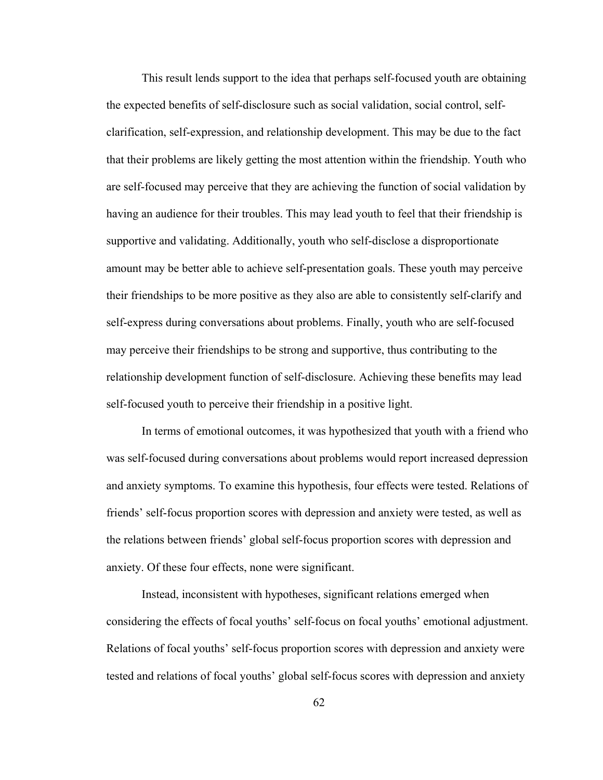This result lends support to the idea that perhaps self-focused youth are obtaining the expected benefits of self-disclosure such as social validation, social control, selfclarification, self-expression, and relationship development. This may be due to the fact that their problems are likely getting the most attention within the friendship. Youth who are self-focused may perceive that they are achieving the function of social validation by having an audience for their troubles. This may lead youth to feel that their friendship is supportive and validating. Additionally, youth who self-disclose a disproportionate amount may be better able to achieve self-presentation goals. These youth may perceive their friendships to be more positive as they also are able to consistently self-clarify and self-express during conversations about problems. Finally, youth who are self-focused may perceive their friendships to be strong and supportive, thus contributing to the relationship development function of self-disclosure. Achieving these benefits may lead self-focused youth to perceive their friendship in a positive light.

 In terms of emotional outcomes, it was hypothesized that youth with a friend who was self-focused during conversations about problems would report increased depression and anxiety symptoms. To examine this hypothesis, four effects were tested. Relations of friends' self-focus proportion scores with depression and anxiety were tested, as well as the relations between friends' global self-focus proportion scores with depression and anxiety. Of these four effects, none were significant.

Instead, inconsistent with hypotheses, significant relations emerged when considering the effects of focal youths' self-focus on focal youths' emotional adjustment. Relations of focal youths' self-focus proportion scores with depression and anxiety were tested and relations of focal youths' global self-focus scores with depression and anxiety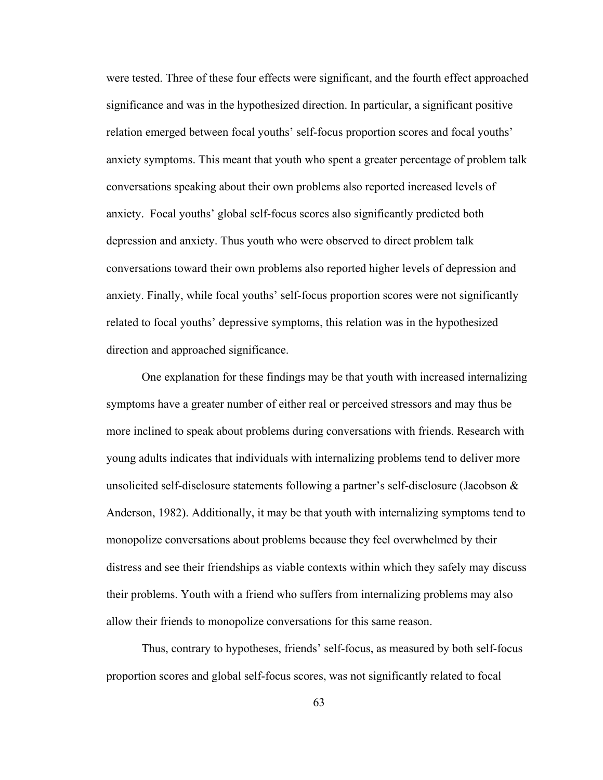were tested. Three of these four effects were significant, and the fourth effect approached significance and was in the hypothesized direction. In particular, a significant positive relation emerged between focal youths' self-focus proportion scores and focal youths' anxiety symptoms. This meant that youth who spent a greater percentage of problem talk conversations speaking about their own problems also reported increased levels of anxiety. Focal youths' global self-focus scores also significantly predicted both depression and anxiety. Thus youth who were observed to direct problem talk conversations toward their own problems also reported higher levels of depression and anxiety. Finally, while focal youths' self-focus proportion scores were not significantly related to focal youths' depressive symptoms, this relation was in the hypothesized direction and approached significance.

One explanation for these findings may be that youth with increased internalizing symptoms have a greater number of either real or perceived stressors and may thus be more inclined to speak about problems during conversations with friends. Research with young adults indicates that individuals with internalizing problems tend to deliver more unsolicited self-disclosure statements following a partner's self-disclosure (Jacobson  $\&$ Anderson, 1982). Additionally, it may be that youth with internalizing symptoms tend to monopolize conversations about problems because they feel overwhelmed by their distress and see their friendships as viable contexts within which they safely may discuss their problems. Youth with a friend who suffers from internalizing problems may also allow their friends to monopolize conversations for this same reason.

Thus, contrary to hypotheses, friends' self-focus, as measured by both self-focus proportion scores and global self-focus scores, was not significantly related to focal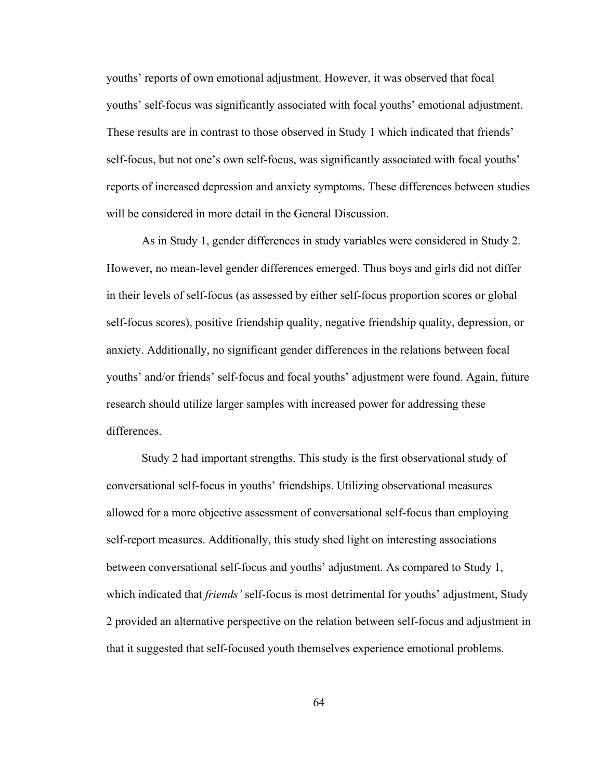youths' reports of own emotional adjustment. However, it was observed that focal youths' self-focus was significantly associated with focal youths' emotional adjustment. These results are in contrast to those observed in Study 1 which indicated that friends' self-focus, but not one's own self-focus, was significantly associated with focal youths' reports of increased depression and anxiety symptoms. These differences between studies will be considered in more detail in the General Discussion.

As in Study 1, gender differences in study variables were considered in Study 2. However, no mean-level gender differences emerged. Thus boys and girls did not differ in their levels of self-focus (as assessed by either self-focus proportion scores or global self-focus scores), positive friendship quality, negative friendship quality, depression, or anxiety. Additionally, no significant gender differences in the relations between focal youths' and/or friends' self-focus and focal youths' adjustment were found. Again, future research should utilize larger samples with increased power for addressing these differences.

 Study 2 had important strengths. This study is the first observational study of conversational self-focus in youths' friendships. Utilizing observational measures allowed for a more objective assessment of conversational self-focus than employing self-report measures. Additionally, this study shed light on interesting associations between conversational self-focus and youths' adjustment. As compared to Study 1, which indicated that *friends'* self-focus is most detrimental for youths' adjustment, Study 2 provided an alternative perspective on the relation between self-focus and adjustment in that it suggested that self-focused youth themselves experience emotional problems.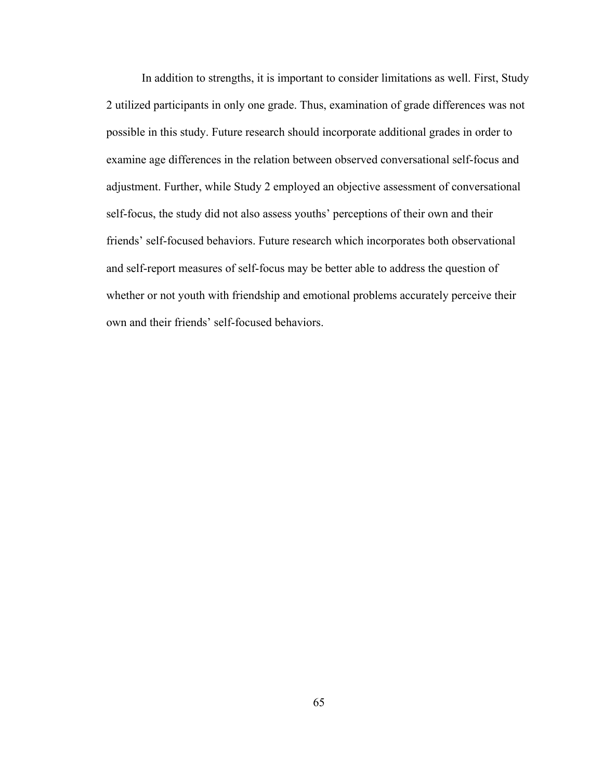In addition to strengths, it is important to consider limitations as well. First, Study 2 utilized participants in only one grade. Thus, examination of grade differences was not possible in this study. Future research should incorporate additional grades in order to examine age differences in the relation between observed conversational self-focus and adjustment. Further, while Study 2 employed an objective assessment of conversational self-focus, the study did not also assess youths' perceptions of their own and their friends' self-focused behaviors. Future research which incorporates both observational and self-report measures of self-focus may be better able to address the question of whether or not youth with friendship and emotional problems accurately perceive their own and their friends' self-focused behaviors.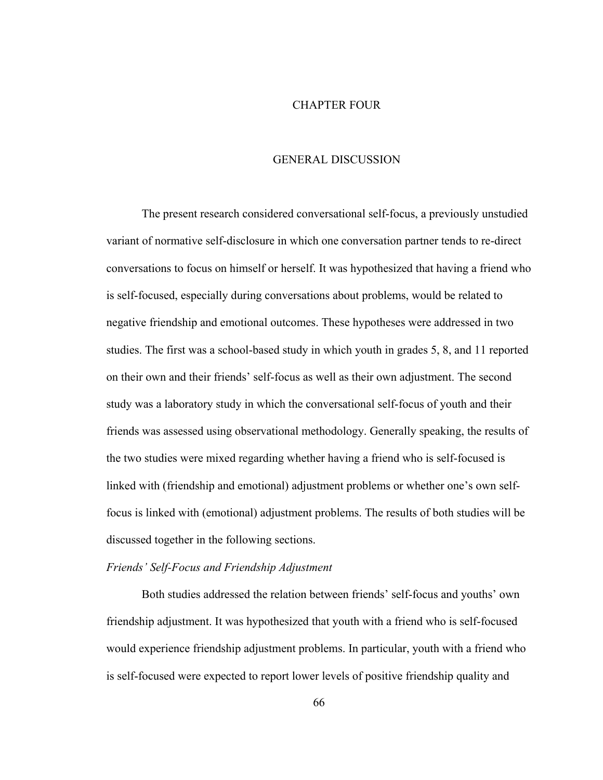#### CHAPTER FOUR

#### GENERAL DISCUSSION

The present research considered conversational self-focus, a previously unstudied variant of normative self-disclosure in which one conversation partner tends to re-direct conversations to focus on himself or herself. It was hypothesized that having a friend who is self-focused, especially during conversations about problems, would be related to negative friendship and emotional outcomes. These hypotheses were addressed in two studies. The first was a school-based study in which youth in grades 5, 8, and 11 reported on their own and their friends' self-focus as well as their own adjustment. The second study was a laboratory study in which the conversational self-focus of youth and their friends was assessed using observational methodology. Generally speaking, the results of the two studies were mixed regarding whether having a friend who is self-focused is linked with (friendship and emotional) adjustment problems or whether one's own selffocus is linked with (emotional) adjustment problems. The results of both studies will be discussed together in the following sections.

### *Friends' Self-Focus and Friendship Adjustment*

 Both studies addressed the relation between friends' self-focus and youths' own friendship adjustment. It was hypothesized that youth with a friend who is self-focused would experience friendship adjustment problems. In particular, youth with a friend who is self-focused were expected to report lower levels of positive friendship quality and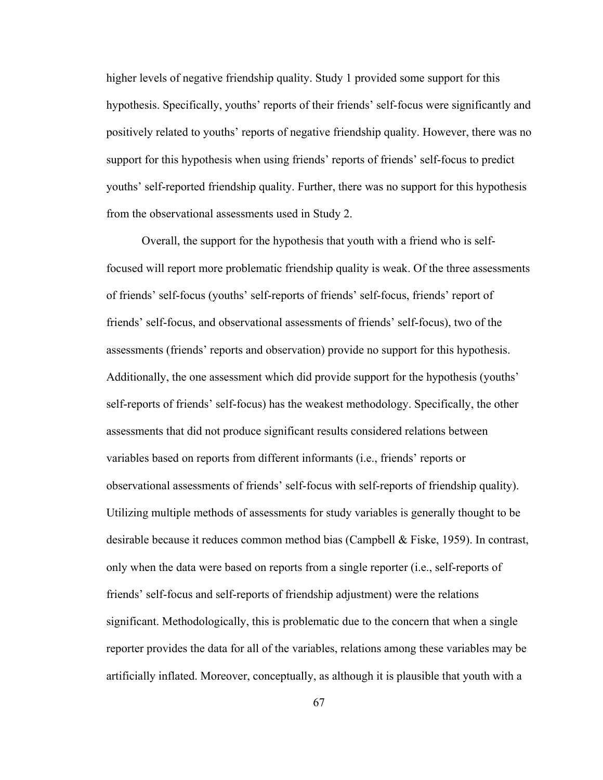higher levels of negative friendship quality. Study 1 provided some support for this hypothesis. Specifically, youths' reports of their friends' self-focus were significantly and positively related to youths' reports of negative friendship quality. However, there was no support for this hypothesis when using friends' reports of friends' self-focus to predict youths' self-reported friendship quality. Further, there was no support for this hypothesis from the observational assessments used in Study 2.

Overall, the support for the hypothesis that youth with a friend who is selffocused will report more problematic friendship quality is weak. Of the three assessments of friends' self-focus (youths' self-reports of friends' self-focus, friends' report of friends' self-focus, and observational assessments of friends' self-focus), two of the assessments (friends' reports and observation) provide no support for this hypothesis. Additionally, the one assessment which did provide support for the hypothesis (youths' self-reports of friends' self-focus) has the weakest methodology. Specifically, the other assessments that did not produce significant results considered relations between variables based on reports from different informants (i.e., friends' reports or observational assessments of friends' self-focus with self-reports of friendship quality). Utilizing multiple methods of assessments for study variables is generally thought to be desirable because it reduces common method bias (Campbell & Fiske, 1959). In contrast, only when the data were based on reports from a single reporter (i.e., self-reports of friends' self-focus and self-reports of friendship adjustment) were the relations significant. Methodologically, this is problematic due to the concern that when a single reporter provides the data for all of the variables, relations among these variables may be artificially inflated. Moreover, conceptually, as although it is plausible that youth with a

67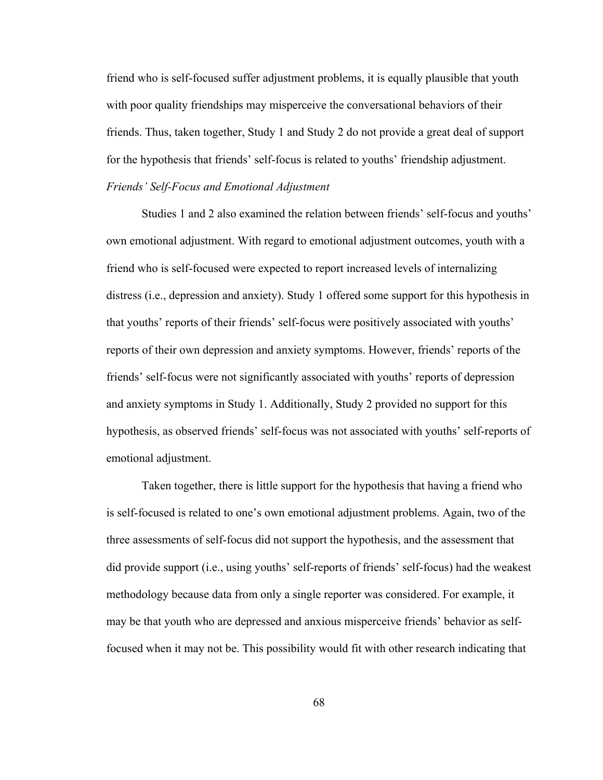friend who is self-focused suffer adjustment problems, it is equally plausible that youth with poor quality friendships may misperceive the conversational behaviors of their friends. Thus, taken together, Study 1 and Study 2 do not provide a great deal of support for the hypothesis that friends' self-focus is related to youths' friendship adjustment. *Friends' Self-Focus and Emotional Adjustment* 

 Studies 1 and 2 also examined the relation between friends' self-focus and youths' own emotional adjustment. With regard to emotional adjustment outcomes, youth with a friend who is self-focused were expected to report increased levels of internalizing distress (i.e., depression and anxiety). Study 1 offered some support for this hypothesis in that youths' reports of their friends' self-focus were positively associated with youths' reports of their own depression and anxiety symptoms. However, friends' reports of the friends' self-focus were not significantly associated with youths' reports of depression and anxiety symptoms in Study 1. Additionally, Study 2 provided no support for this hypothesis, as observed friends' self-focus was not associated with youths' self-reports of emotional adjustment.

Taken together, there is little support for the hypothesis that having a friend who is self-focused is related to one's own emotional adjustment problems. Again, two of the three assessments of self-focus did not support the hypothesis, and the assessment that did provide support (i.e., using youths' self-reports of friends' self-focus) had the weakest methodology because data from only a single reporter was considered. For example, it may be that youth who are depressed and anxious misperceive friends' behavior as selffocused when it may not be. This possibility would fit with other research indicating that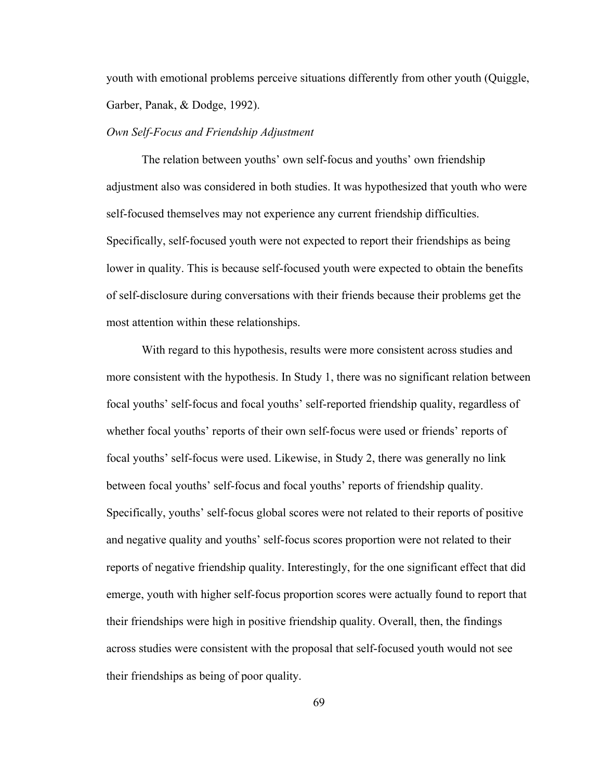youth with emotional problems perceive situations differently from other youth (Quiggle, Garber, Panak, & Dodge, 1992).

#### *Own Self-Focus and Friendship Adjustment*

The relation between youths' own self-focus and youths' own friendship adjustment also was considered in both studies. It was hypothesized that youth who were self-focused themselves may not experience any current friendship difficulties. Specifically, self-focused youth were not expected to report their friendships as being lower in quality. This is because self-focused youth were expected to obtain the benefits of self-disclosure during conversations with their friends because their problems get the most attention within these relationships.

With regard to this hypothesis, results were more consistent across studies and more consistent with the hypothesis. In Study 1, there was no significant relation between focal youths' self-focus and focal youths' self-reported friendship quality, regardless of whether focal youths' reports of their own self-focus were used or friends' reports of focal youths' self-focus were used. Likewise, in Study 2, there was generally no link between focal youths' self-focus and focal youths' reports of friendship quality. Specifically, youths' self-focus global scores were not related to their reports of positive and negative quality and youths' self-focus scores proportion were not related to their reports of negative friendship quality. Interestingly, for the one significant effect that did emerge, youth with higher self-focus proportion scores were actually found to report that their friendships were high in positive friendship quality. Overall, then, the findings across studies were consistent with the proposal that self-focused youth would not see their friendships as being of poor quality.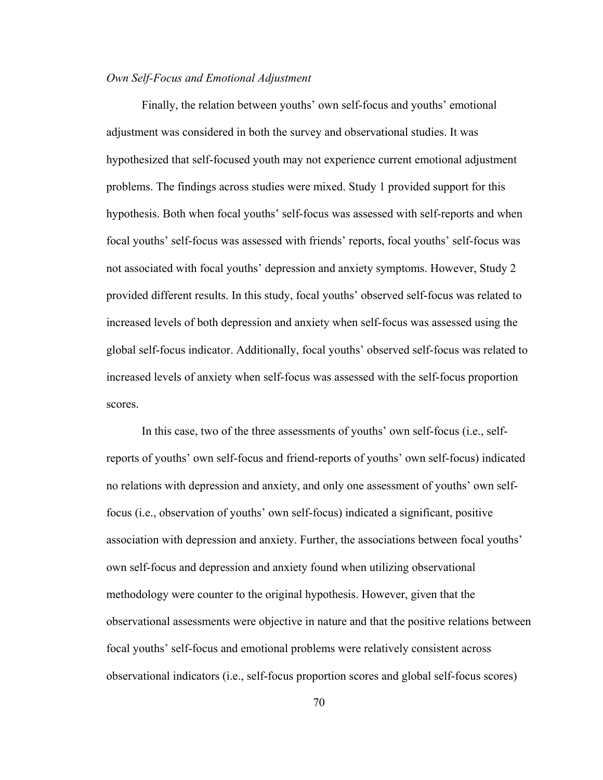### *Own Self-Focus and Emotional Adjustment*

 Finally, the relation between youths' own self-focus and youths' emotional adjustment was considered in both the survey and observational studies. It was hypothesized that self-focused youth may not experience current emotional adjustment problems. The findings across studies were mixed. Study 1 provided support for this hypothesis. Both when focal youths' self-focus was assessed with self-reports and when focal youths' self-focus was assessed with friends' reports, focal youths' self-focus was not associated with focal youths' depression and anxiety symptoms. However, Study 2 provided different results. In this study, focal youths' observed self-focus was related to increased levels of both depression and anxiety when self-focus was assessed using the global self-focus indicator. Additionally, focal youths' observed self-focus was related to increased levels of anxiety when self-focus was assessed with the self-focus proportion scores.

 In this case, two of the three assessments of youths' own self-focus (i.e., selfreports of youths' own self-focus and friend-reports of youths' own self-focus) indicated no relations with depression and anxiety, and only one assessment of youths' own selffocus (i.e., observation of youths' own self-focus) indicated a significant, positive association with depression and anxiety. Further, the associations between focal youths' own self-focus and depression and anxiety found when utilizing observational methodology were counter to the original hypothesis. However, given that the observational assessments were objective in nature and that the positive relations between focal youths' self-focus and emotional problems were relatively consistent across observational indicators (i.e., self-focus proportion scores and global self-focus scores)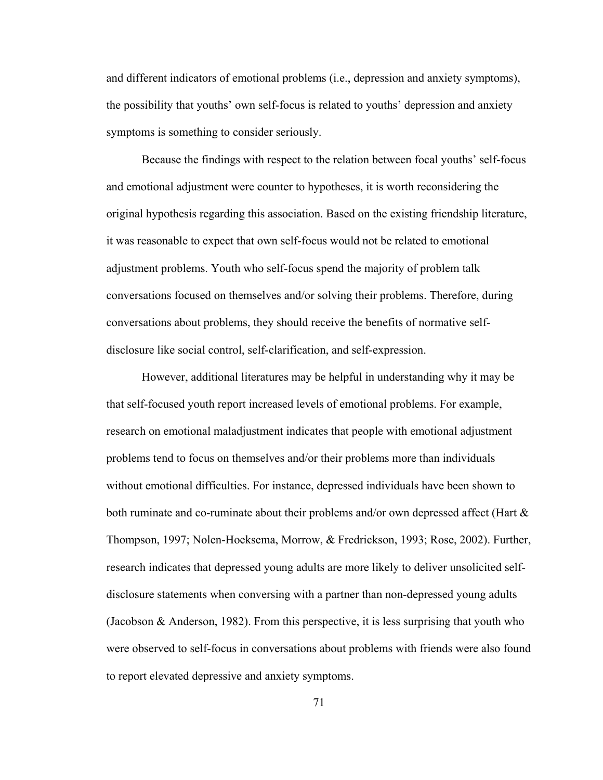and different indicators of emotional problems (i.e., depression and anxiety symptoms), the possibility that youths' own self-focus is related to youths' depression and anxiety symptoms is something to consider seriously.

 Because the findings with respect to the relation between focal youths' self-focus and emotional adjustment were counter to hypotheses, it is worth reconsidering the original hypothesis regarding this association. Based on the existing friendship literature, it was reasonable to expect that own self-focus would not be related to emotional adjustment problems. Youth who self-focus spend the majority of problem talk conversations focused on themselves and/or solving their problems. Therefore, during conversations about problems, they should receive the benefits of normative selfdisclosure like social control, self-clarification, and self-expression.

 However, additional literatures may be helpful in understanding why it may be that self-focused youth report increased levels of emotional problems. For example, research on emotional maladjustment indicates that people with emotional adjustment problems tend to focus on themselves and/or their problems more than individuals without emotional difficulties. For instance, depressed individuals have been shown to both ruminate and co-ruminate about their problems and/or own depressed affect (Hart  $\&$ Thompson, 1997; Nolen-Hoeksema, Morrow, & Fredrickson, 1993; Rose, 2002). Further, research indicates that depressed young adults are more likely to deliver unsolicited selfdisclosure statements when conversing with a partner than non-depressed young adults (Jacobson & Anderson, 1982). From this perspective, it is less surprising that youth who were observed to self-focus in conversations about problems with friends were also found to report elevated depressive and anxiety symptoms.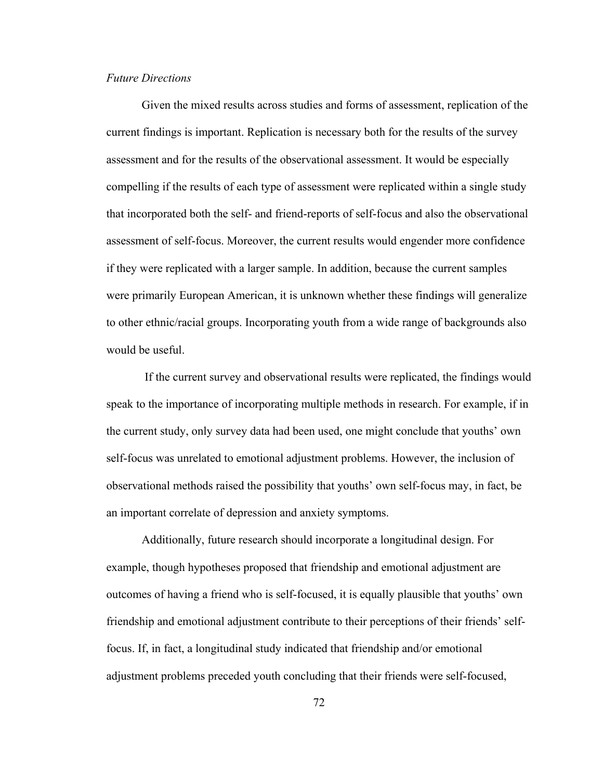### *Future Directions*

 Given the mixed results across studies and forms of assessment, replication of the current findings is important. Replication is necessary both for the results of the survey assessment and for the results of the observational assessment. It would be especially compelling if the results of each type of assessment were replicated within a single study that incorporated both the self- and friend-reports of self-focus and also the observational assessment of self-focus. Moreover, the current results would engender more confidence if they were replicated with a larger sample. In addition, because the current samples were primarily European American, it is unknown whether these findings will generalize to other ethnic/racial groups. Incorporating youth from a wide range of backgrounds also would be useful.

 If the current survey and observational results were replicated, the findings would speak to the importance of incorporating multiple methods in research. For example, if in the current study, only survey data had been used, one might conclude that youths' own self-focus was unrelated to emotional adjustment problems. However, the inclusion of observational methods raised the possibility that youths' own self-focus may, in fact, be an important correlate of depression and anxiety symptoms.

Additionally, future research should incorporate a longitudinal design. For example, though hypotheses proposed that friendship and emotional adjustment are outcomes of having a friend who is self-focused, it is equally plausible that youths' own friendship and emotional adjustment contribute to their perceptions of their friends' selffocus. If, in fact, a longitudinal study indicated that friendship and/or emotional adjustment problems preceded youth concluding that their friends were self-focused,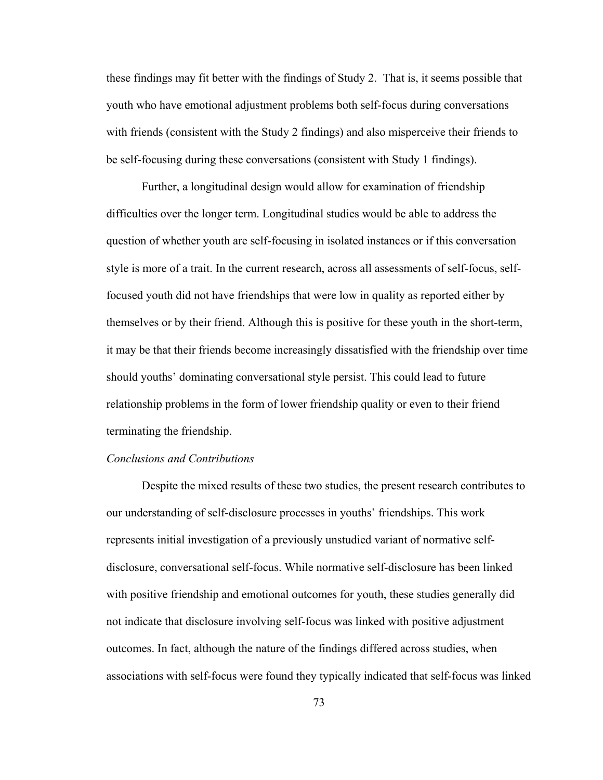these findings may fit better with the findings of Study 2. That is, it seems possible that youth who have emotional adjustment problems both self-focus during conversations with friends (consistent with the Study 2 findings) and also misperceive their friends to be self-focusing during these conversations (consistent with Study 1 findings).

Further, a longitudinal design would allow for examination of friendship difficulties over the longer term. Longitudinal studies would be able to address the question of whether youth are self-focusing in isolated instances or if this conversation style is more of a trait. In the current research, across all assessments of self-focus, selffocused youth did not have friendships that were low in quality as reported either by themselves or by their friend. Although this is positive for these youth in the short-term, it may be that their friends become increasingly dissatisfied with the friendship over time should youths' dominating conversational style persist. This could lead to future relationship problems in the form of lower friendship quality or even to their friend terminating the friendship.

#### *Conclusions and Contributions*

 Despite the mixed results of these two studies, the present research contributes to our understanding of self-disclosure processes in youths' friendships. This work represents initial investigation of a previously unstudied variant of normative selfdisclosure, conversational self-focus. While normative self-disclosure has been linked with positive friendship and emotional outcomes for youth, these studies generally did not indicate that disclosure involving self-focus was linked with positive adjustment outcomes. In fact, although the nature of the findings differed across studies, when associations with self-focus were found they typically indicated that self-focus was linked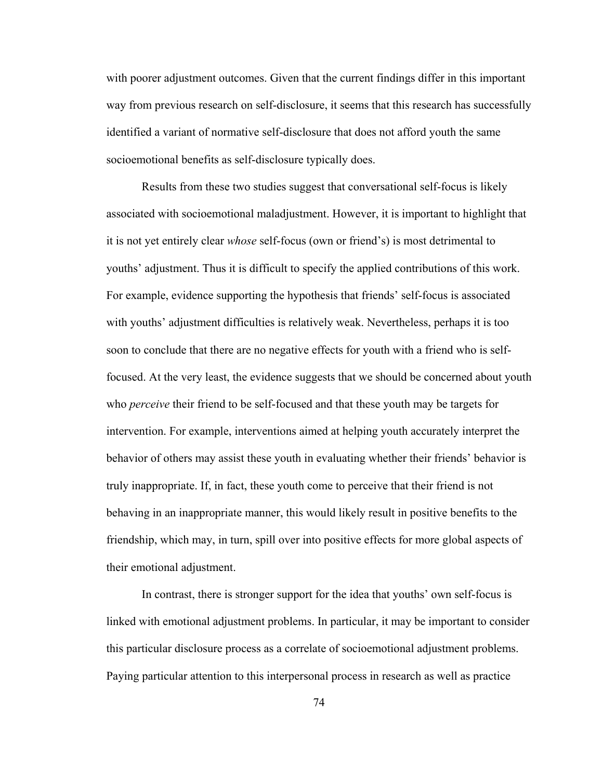with poorer adjustment outcomes. Given that the current findings differ in this important way from previous research on self-disclosure, it seems that this research has successfully identified a variant of normative self-disclosure that does not afford youth the same socioemotional benefits as self-disclosure typically does.

Results from these two studies suggest that conversational self-focus is likely associated with socioemotional maladjustment. However, it is important to highlight that it is not yet entirely clear *whose* self-focus (own or friend's) is most detrimental to youths' adjustment. Thus it is difficult to specify the applied contributions of this work. For example, evidence supporting the hypothesis that friends' self-focus is associated with youths' adjustment difficulties is relatively weak. Nevertheless, perhaps it is too soon to conclude that there are no negative effects for youth with a friend who is selffocused. At the very least, the evidence suggests that we should be concerned about youth who *perceive* their friend to be self-focused and that these youth may be targets for intervention. For example, interventions aimed at helping youth accurately interpret the behavior of others may assist these youth in evaluating whether their friends' behavior is truly inappropriate. If, in fact, these youth come to perceive that their friend is not behaving in an inappropriate manner, this would likely result in positive benefits to the friendship, which may, in turn, spill over into positive effects for more global aspects of their emotional adjustment.

In contrast, there is stronger support for the idea that youths' own self-focus is linked with emotional adjustment problems. In particular, it may be important to consider this particular disclosure process as a correlate of socioemotional adjustment problems. Paying particular attention to this interpersonal process in research as well as practice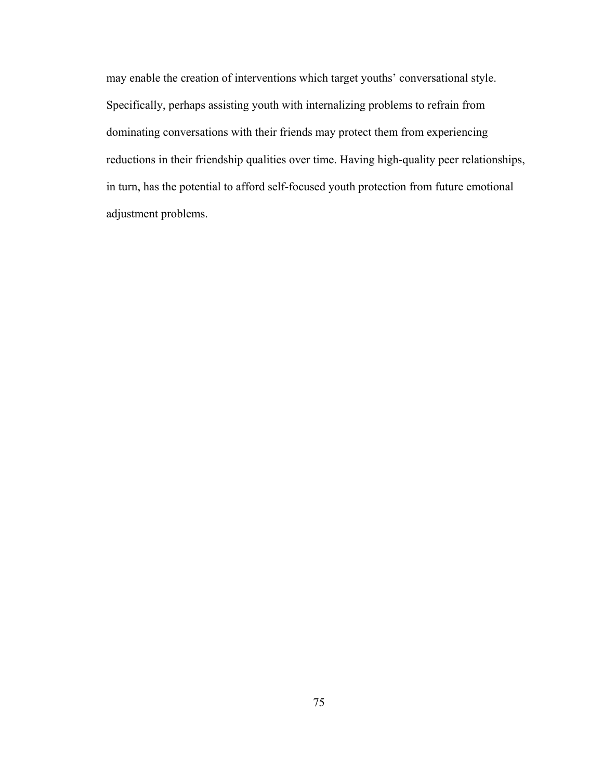may enable the creation of interventions which target youths' conversational style. Specifically, perhaps assisting youth with internalizing problems to refrain from dominating conversations with their friends may protect them from experiencing reductions in their friendship qualities over time. Having high-quality peer relationships, in turn, has the potential to afford self-focused youth protection from future emotional adjustment problems.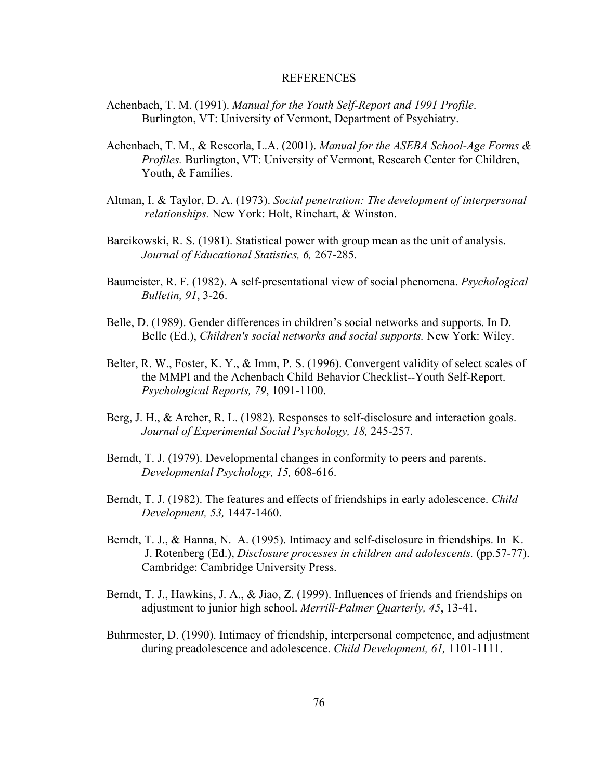#### REFERENCES

- Achenbach, T. M. (1991). *Manual for the Youth Self-Report and 1991 Profile*. Burlington, VT: University of Vermont, Department of Psychiatry.
- Achenbach, T. M., & Rescorla, L.A. (2001). *Manual for the ASEBA School-Age Forms & Profiles.* Burlington, VT: University of Vermont, Research Center for Children, Youth, & Families.
- Altman, I. & Taylor, D. A. (1973). *Social penetration: The development of interpersonal relationships.* New York: Holt, Rinehart, & Winston.
- Barcikowski, R. S. (1981). Statistical power with group mean as the unit of analysis. *Journal of Educational Statistics, 6,* 267-285.
- Baumeister, R. F. (1982). A self-presentational view of social phenomena. *Psychological Bulletin, 91*, 3-26.
- Belle, D. (1989). Gender differences in children's social networks and supports. In D. Belle (Ed.), *Children's social networks and social supports.* New York: Wiley.
- Belter, R. W., Foster, K. Y., & Imm, P. S. (1996). Convergent validity of select scales of the MMPI and the Achenbach Child Behavior Checklist--Youth Self-Report. *Psychological Reports, 79*, 1091-1100.
- Berg, J. H., & Archer, R. L. (1982). Responses to self-disclosure and interaction goals. *Journal of Experimental Social Psychology, 18,* 245-257.
- Berndt, T. J. (1979). Developmental changes in conformity to peers and parents. *Developmental Psychology, 15,* 608-616.
- Berndt, T. J. (1982). The features and effects of friendships in early adolescence. *Child Development, 53,* 1447-1460.
- Berndt, T. J., & Hanna, N. A. (1995). Intimacy and self-disclosure in friendships. In K. J. Rotenberg (Ed.), *Disclosure processes in children and adolescents.* (pp.57-77). Cambridge: Cambridge University Press.
- Berndt, T. J., Hawkins, J. A., & Jiao, Z. (1999). Influences of friends and friendships on adjustment to junior high school. *Merrill-Palmer Quarterly, 45*, 13-41.
- Buhrmester, D. (1990). Intimacy of friendship, interpersonal competence, and adjustment during preadolescence and adolescence. *Child Development, 61,* 1101-1111.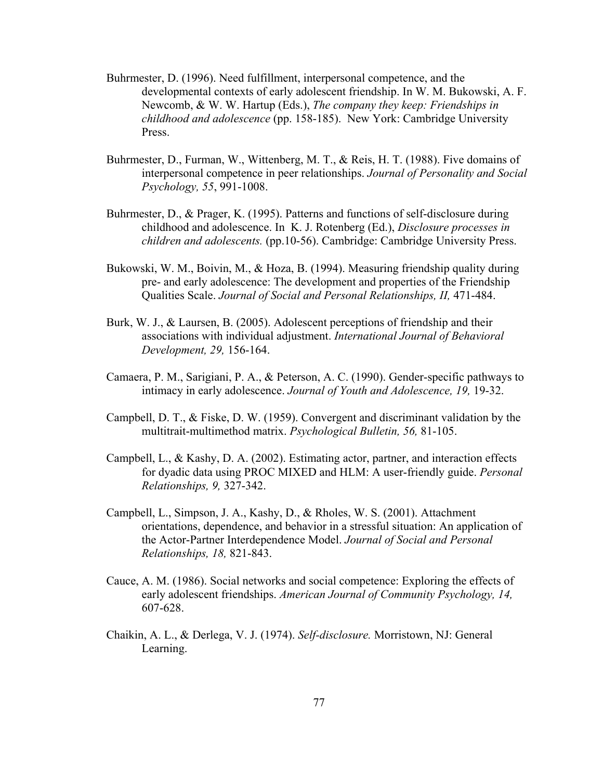- Buhrmester, D. (1996). Need fulfillment, interpersonal competence, and the developmental contexts of early adolescent friendship. In W. M. Bukowski, A. F. Newcomb, & W. W. Hartup (Eds.), *The company they keep: Friendships in childhood and adolescence* (pp. 158-185). New York: Cambridge University Press.
- Buhrmester, D., Furman, W., Wittenberg, M. T., & Reis, H. T. (1988). Five domains of interpersonal competence in peer relationships. *Journal of Personality and Social Psychology, 55*, 991-1008.
- Buhrmester, D., & Prager, K. (1995). Patterns and functions of self-disclosure during childhood and adolescence. In K. J. Rotenberg (Ed.), *Disclosure processes in children and adolescents.* (pp.10-56). Cambridge: Cambridge University Press.
- Bukowski, W. M., Boivin, M., & Hoza, B. (1994). Measuring friendship quality during pre- and early adolescence: The development and properties of the Friendship Qualities Scale. *Journal of Social and Personal Relationships, II,* 471-484.
- Burk, W. J., & Laursen, B. (2005). Adolescent perceptions of friendship and their associations with individual adjustment. *International Journal of Behavioral Development, 29,* 156-164.
- Camaera, P. M., Sarigiani, P. A., & Peterson, A. C. (1990). Gender-specific pathways to intimacy in early adolescence. *Journal of Youth and Adolescence, 19,* 19-32.
- Campbell, D. T., & Fiske, D. W. (1959). Convergent and discriminant validation by the multitrait-multimethod matrix. *Psychological Bulletin, 56,* 81-105.
- Campbell, L., & Kashy, D. A. (2002). Estimating actor, partner, and interaction effects for dyadic data using PROC MIXED and HLM: A user-friendly guide. *Personal Relationships, 9,* 327-342.
- Campbell, L., Simpson, J. A., Kashy, D., & Rholes, W. S. (2001). Attachment orientations, dependence, and behavior in a stressful situation: An application of the Actor-Partner Interdependence Model. *Journal of Social and Personal Relationships, 18,* 821-843.
- Cauce, A. M. (1986). Social networks and social competence: Exploring the effects of early adolescent friendships. *American Journal of Community Psychology, 14,*  607-628.
- Chaikin, A. L., & Derlega, V. J. (1974). *Self-disclosure.* Morristown, NJ: General Learning.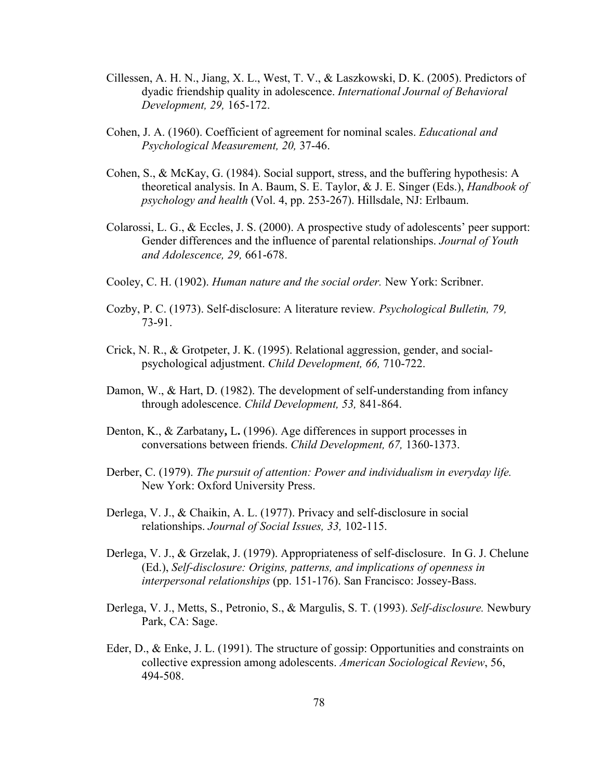- Cillessen, A. H. N., Jiang, X. L., West, T. V., & Laszkowski, D. K. (2005). Predictors of dyadic friendship quality in adolescence. *International Journal of Behavioral Development, 29,* 165-172.
- Cohen, J. A. (1960). Coefficient of agreement for nominal scales. *Educational and Psychological Measurement, 20,* 37-46.
- Cohen, S., & McKay, G. (1984). Social support, stress, and the buffering hypothesis: A theoretical analysis. In A. Baum, S. E. Taylor, & J. E. Singer (Eds.), *Handbook of psychology and health* (Vol. 4, pp. 253-267). Hillsdale, NJ: Erlbaum.
- Colarossi, L. G., & Eccles, J. S. (2000). A prospective study of adolescents' peer support: Gender differences and the influence of parental relationships. *Journal of Youth and Adolescence, 29,* 661-678.
- Cooley, C. H. (1902). *Human nature and the social order.* New York: Scribner.
- Cozby, P. C. (1973). Self-disclosure: A literature review*. Psychological Bulletin, 79,*  73-91.
- Crick, N. R., & Grotpeter, J. K. (1995). Relational aggression, gender, and social psychological adjustment. *Child Development, 66,* 710-722.
- Damon, W., & Hart, D. (1982). The development of self-understanding from infancy through adolescence. *Child Development, 53,* 841-864.
- Denton, K., & Zarbatany**,** L**.** (1996). Age differences in support processes in conversations between friends. *Child Development, 67,* 1360-1373.
- Derber, C. (1979). *The pursuit of attention: Power and individualism in everyday life.* New York: Oxford University Press.
- Derlega, V. J., & Chaikin, A. L. (1977). Privacy and self-disclosure in social relationships. *Journal of Social Issues, 33,* 102-115.
- Derlega, V. J., & Grzelak, J. (1979). Appropriateness of self-disclosure. In G. J. Chelune (Ed.), *Self-disclosure: Origins, patterns, and implications of openness in interpersonal relationships* (pp. 151-176). San Francisco: Jossey-Bass.
- Derlega, V. J., Metts, S., Petronio, S., & Margulis, S. T. (1993). *Self-disclosure.* Newbury Park, CA: Sage.
- Eder, D., & Enke, J. L. (1991). The structure of gossip: Opportunities and constraints on collective expression among adolescents. *American Sociological Review*, 56, 494-508.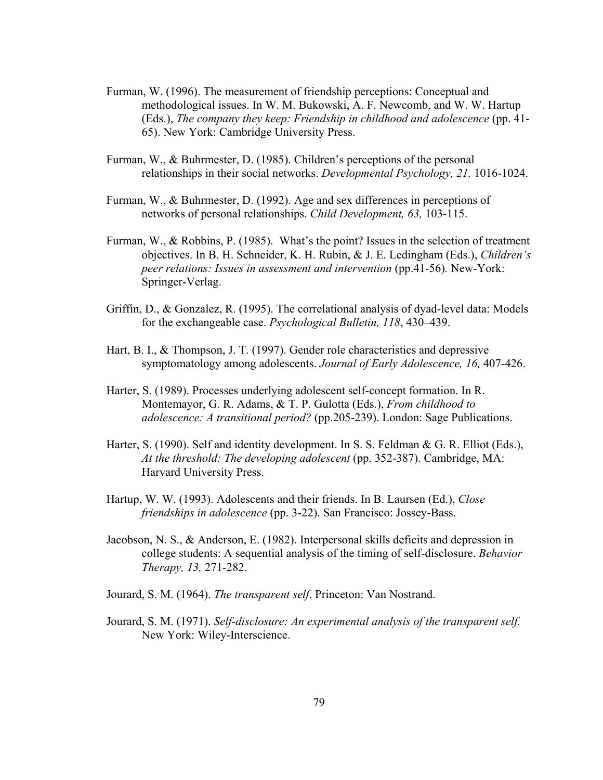- Furman, W. (1996). The measurement of friendship perceptions: Conceptual and methodological issues. In W. M. Bukowski, A. F. Newcomb, and W. W. Hartup (Eds*.*), *The company they keep: Friendship in childhood and adolescence* (pp. 41- 65). New York: Cambridge University Press.
- Furman, W., & Buhrmester, D. (1985). Children's perceptions of the personal relationships in their social networks. *Developmental Psychology, 21,* 1016-1024.
- Furman, W., & Buhrmester, D. (1992). Age and sex differences in perceptions of networks of personal relationships. *Child Development, 63,* 103-115.
- Furman, W., & Robbins, P. (1985). What's the point? Issues in the selection of treatment objectives. In B. H. Schneider, K. H. Rubin, & J. E. Ledingham (Eds.), *Children's peer relations: Issues in assessment and intervention (pp.41-56). New-York:* Springer-Verlag.
- Griffin, D., & Gonzalez, R. (1995). The correlational analysis of dyad-level data: Models for the exchangeable case. *Psychological Bulletin, 118*, 430–439.
- Hart, B. I., & Thompson, J. T. (1997). Gender role characteristics and depressive symptomatology among adolescents. *Journal of Early Adolescence, 16,* 407-426.
- Harter, S. (1989). Processes underlying adolescent self-concept formation. In R. Montemayor, G. R. Adams, & T. P. Gulotta (Eds.), *From childhood to adolescence: A transitional period?* (pp.205-239). London: Sage Publications.
- Harter, S. (1990). Self and identity development. In S. S. Feldman & G. R. Elliot (Eds.), *At the threshold: The developing adolescent* (pp. 352-387). Cambridge, MA: Harvard University Press.
- Hartup, W. W. (1993). Adolescents and their friends. In B. Laursen (Ed.), *Close friendships in adolescence* (pp. 3-22). San Francisco: Jossey-Bass.
- Jacobson, N. S., & Anderson, E. (1982). Interpersonal skills deficits and depression in college students: A sequential analysis of the timing of self-disclosure. *Behavior Therapy, 13,* 271-282.
- Jourard, S. M. (1964). *The transparent self*. Princeton: Van Nostrand.
- Jourard, S. M. (1971). *Self-disclosure: An experimental analysis of the transparent self.* New York: Wiley-Interscience.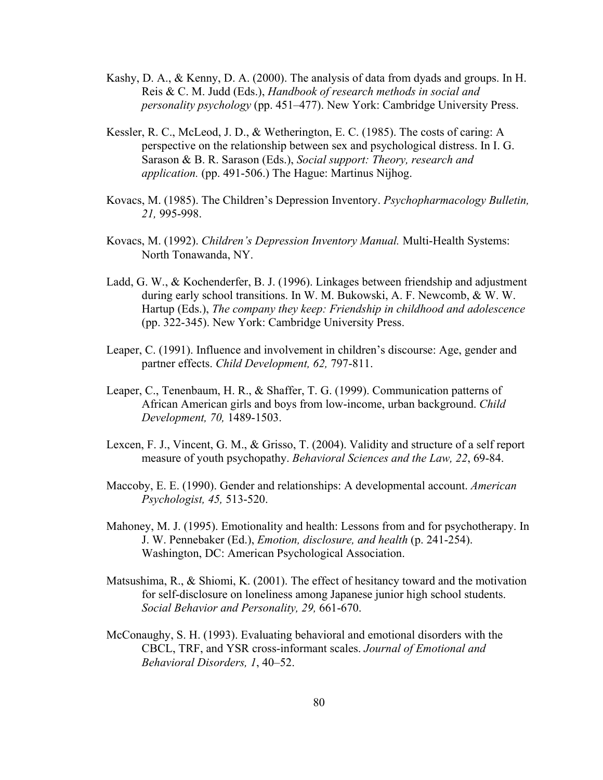- Kashy, D. A., & Kenny, D. A. (2000). The analysis of data from dyads and groups. In H. Reis & C. M. Judd (Eds.), *Handbook of research methods in social and personality psychology* (pp. 451–477). New York: Cambridge University Press.
- Kessler, R. C., McLeod, J. D., & Wetherington, E. C. (1985). The costs of caring: A perspective on the relationship between sex and psychological distress. In I. G. Sarason & B. R. Sarason (Eds.), *Social support: Theory, research and application.* (pp. 491-506.) The Hague: Martinus Nijhog.
- Kovacs, M. (1985). The Children's Depression Inventory. *Psychopharmacology Bulletin, 21,* 995-998.
- Kovacs, M. (1992). *Children's Depression Inventory Manual.* Multi-Health Systems: North Tonawanda, NY.
- Ladd, G. W., & Kochenderfer, B. J. (1996). Linkages between friendship and adjustment during early school transitions. In W. M. Bukowski, A. F. Newcomb, & W. W. Hartup (Eds.), *The company they keep: Friendship in childhood and adolescence* (pp. 322-345). New York: Cambridge University Press.
- Leaper, C. (1991). Influence and involvement in children's discourse: Age, gender and partner effects. *Child Development, 62,* 797-811.
- Leaper, C., Tenenbaum, H. R., & Shaffer, T. G. (1999). Communication patterns of African American girls and boys from low-income, urban background. *Child Development, 70,* 1489-1503.
- Lexcen, F. J., Vincent, G. M., & Grisso, T. (2004). Validity and structure of a self report measure of youth psychopathy. *Behavioral Sciences and the Law, 22*, 69-84.
- Maccoby, E. E. (1990). Gender and relationships: A developmental account. *American Psychologist, 45,* 513-520.
- Mahoney, M. J. (1995). Emotionality and health: Lessons from and for psychotherapy. In J. W. Pennebaker (Ed.), *Emotion, disclosure, and health* (p. 241-254). Washington, DC: American Psychological Association.
- Matsushima, R., & Shiomi, K. (2001). The effect of hesitancy toward and the motivation for self-disclosure on loneliness among Japanese junior high school students. *Social Behavior and Personality, 29,* 661-670.
- McConaughy, S. H. (1993). Evaluating behavioral and emotional disorders with the CBCL, TRF, and YSR cross-informant scales. *Journal of Emotional and Behavioral Disorders, 1*, 40–52.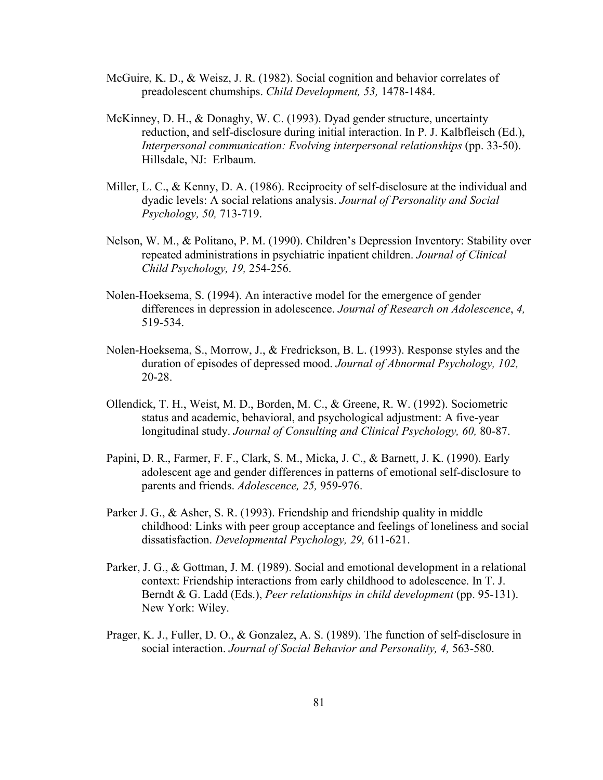- McGuire, K. D., & Weisz, J. R. (1982). Social cognition and behavior correlates of preadolescent chumships. *Child Development, 53,* 1478-1484.
- McKinney, D. H., & Donaghy, W. C. (1993). Dyad gender structure, uncertainty reduction, and self-disclosure during initial interaction. In P. J. Kalbfleisch (Ed.), *Interpersonal communication: Evolving interpersonal relationships* (pp. 33-50). Hillsdale, NJ: Erlbaum.
- Miller, L. C., & Kenny, D. A. (1986). Reciprocity of self-disclosure at the individual and dyadic levels: A social relations analysis. *Journal of Personality and Social Psychology, 50,* 713-719.
- Nelson, W. M., & Politano, P. M. (1990). Children's Depression Inventory: Stability over repeated administrations in psychiatric inpatient children. *Journal of Clinical Child Psychology, 19,* 254-256.
- Nolen-Hoeksema, S. (1994). An interactive model for the emergence of gender differences in depression in adolescence. *Journal of Research on Adolescence*, *4,* 519-534.
- Nolen-Hoeksema, S., Morrow, J., & Fredrickson, B. L. (1993). Response styles and the duration of episodes of depressed mood. *Journal of Abnormal Psychology, 102,*  20-28.
- Ollendick, T. H., Weist, M. D., Borden, M. C., & Greene, R. W. (1992). Sociometric status and academic, behavioral, and psychological adjustment: A five-year longitudinal study. *Journal of Consulting and Clinical Psychology, 60,* 80-87.
- Papini, D. R., Farmer, F. F., Clark, S. M., Micka, J. C., & Barnett, J. K. (1990). Early adolescent age and gender differences in patterns of emotional self-disclosure to parents and friends. *Adolescence, 25,* 959-976.
- Parker J. G., & Asher, S. R. (1993). Friendship and friendship quality in middle childhood: Links with peer group acceptance and feelings of loneliness and social dissatisfaction. *Developmental Psychology, 29,* 611-621.
- Parker, J. G., & Gottman, J. M. (1989). Social and emotional development in a relational context: Friendship interactions from early childhood to adolescence. In T. J. Berndt & G. Ladd (Eds.), *Peer relationships in child development* (pp. 95-131). New York: Wiley.
- Prager, K. J., Fuller, D. O., & Gonzalez, A. S. (1989). The function of self-disclosure in social interaction. *Journal of Social Behavior and Personality, 4,* 563-580.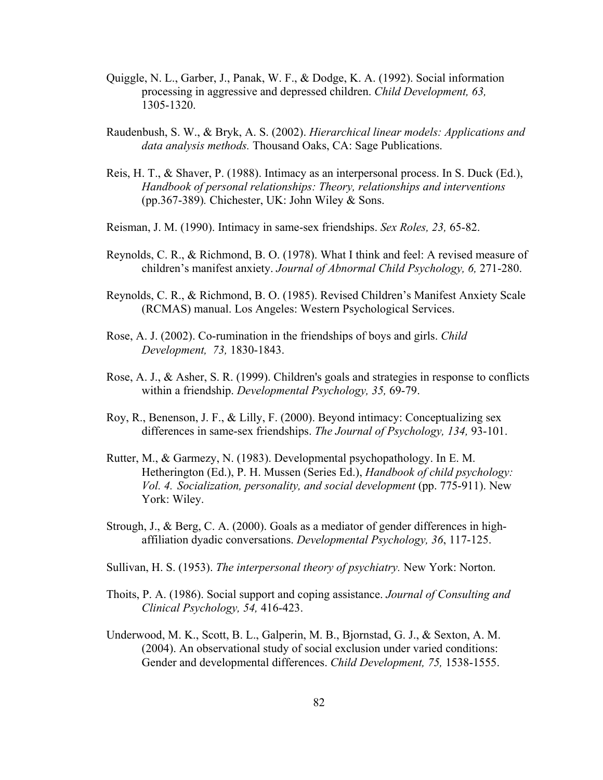- Quiggle, N. L., Garber, J., Panak, W. F., & Dodge, K. A. (1992). Social information processing in aggressive and depressed children. *Child Development, 63,*  1305-1320.
- Raudenbush, S. W., & Bryk, A. S. (2002). *Hierarchical linear models: Applications and data analysis methods.* Thousand Oaks, CA: Sage Publications.
- Reis, H. T., & Shaver, P. (1988). Intimacy as an interpersonal process. In S. Duck (Ed.), *Handbook of personal relationships: Theory, relationships and interventions*  (pp.367-389)*.* Chichester, UK: John Wiley & Sons.
- Reisman, J. M. (1990). Intimacy in same-sex friendships. *Sex Roles, 23,* 65-82.
- Reynolds, C. R., & Richmond, B. O. (1978). What I think and feel: A revised measure of children's manifest anxiety. *Journal of Abnormal Child Psychology, 6,* 271-280.
- Reynolds, C. R., & Richmond, B. O. (1985). Revised Children's Manifest Anxiety Scale (RCMAS) manual. Los Angeles: Western Psychological Services.
- Rose, A. J. (2002). Co-rumination in the friendships of boys and girls. *Child Development, 73,* 1830-1843.
- Rose, A. J., & Asher, S. R. (1999). Children's goals and strategies in response to conflicts within a friendship. *Developmental Psychology, 35,* 69-79.
- Roy, R., Benenson, J. F., & Lilly, F. (2000). Beyond intimacy: Conceptualizing sex differences in same-sex friendships. *The Journal of Psychology, 134,* 93-101.
- Rutter, M., & Garmezy, N. (1983). Developmental psychopathology. In E. M. Hetherington (Ed.), P. H. Mussen (Series Ed.), *Handbook of child psychology: Vol. 4. Socialization, personality, and social development* (pp. 775-911). New York: Wiley.
- Strough, J., & Berg, C. A. (2000). Goals as a mediator of gender differences in high affiliation dyadic conversations. *Developmental Psychology, 36*, 117-125.
- Sullivan, H. S. (1953). *The interpersonal theory of psychiatry.* New York: Norton.
- Thoits, P. A. (1986). Social support and coping assistance. *Journal of Consulting and Clinical Psychology, 54,* 416-423.
- Underwood, M. K., Scott, B. L., Galperin, M. B., Bjornstad, G. J., & Sexton, A. M. (2004). An observational study of social exclusion under varied conditions: Gender and developmental differences. *Child Development, 75,* 1538-1555.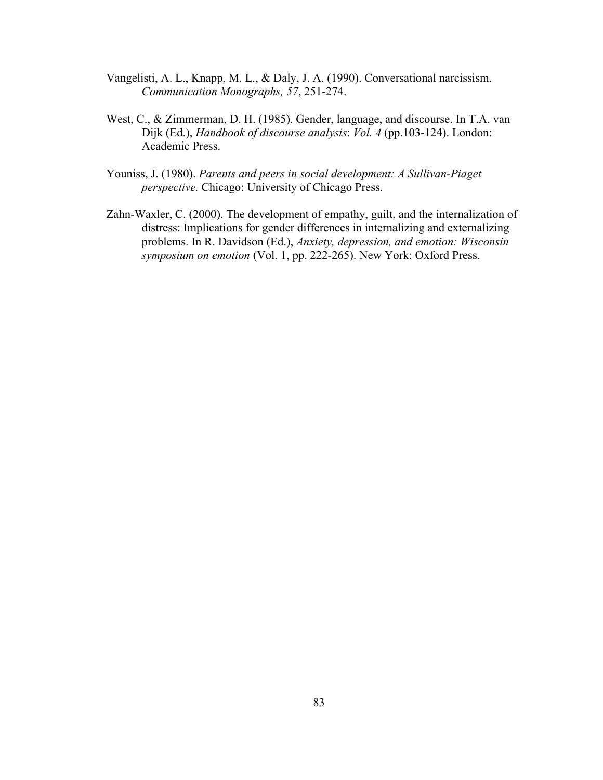- Vangelisti, A. L., Knapp, M. L., & Daly, J. A. (1990). Conversational narcissism. *Communication Monographs, 57*, 251-274.
- West, C., & Zimmerman, D. H. (1985). Gender, language, and discourse. In T.A. van Dijk (Ed.), *Handbook of discourse analysis*: *Vol. 4* (pp.103-124). London: Academic Press.
- Youniss, J. (1980). *Parents and peers in social development: A Sullivan-Piaget perspective.* Chicago: University of Chicago Press.
- Zahn-Waxler, C. (2000). The development of empathy, guilt, and the internalization of distress: Implications for gender differences in internalizing and externalizing problems. In R. Davidson (Ed.), *Anxiety, depression, and emotion: Wisconsin symposium on emotion* (Vol. 1, pp. 222-265). New York: Oxford Press.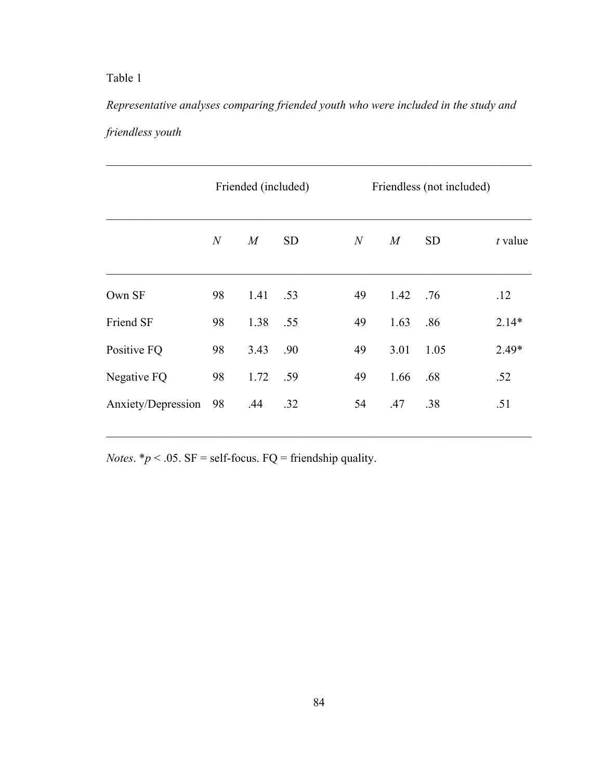*Representative analyses comparing friended youth who were included in the study and friendless youth*

|                    | Friended (included) |      |           | Friendless (not included) |      |           |         |  |  |
|--------------------|---------------------|------|-----------|---------------------------|------|-----------|---------|--|--|
|                    | $\mathcal N$        | M    | <b>SD</b> | N                         | M    | <b>SD</b> | t value |  |  |
| Own SF             | 98                  | 1.41 | .53       | 49                        | 1.42 | .76       | .12     |  |  |
| Friend SF          | 98                  | 1.38 | .55       | 49                        | 1.63 | .86       | $2.14*$ |  |  |
| Positive FQ        | 98                  | 3.43 | .90       | 49                        | 3.01 | 1.05      | $2.49*$ |  |  |
| Negative FQ        | 98                  | 1.72 | .59       | 49                        | 1.66 | .68       | .52     |  |  |
| Anxiety/Depression | 98                  | .44  | .32       | 54                        | .47  | .38       | .51     |  |  |
|                    |                     |      |           |                           |      |           |         |  |  |

 $\mathcal{L}_\text{max}$  , and the contribution of the contribution of the contribution of the contribution of the contribution of the contribution of the contribution of the contribution of the contribution of the contribution of t

*Notes*.  $* p < .05$ . SF = self-focus. FQ = friendship quality.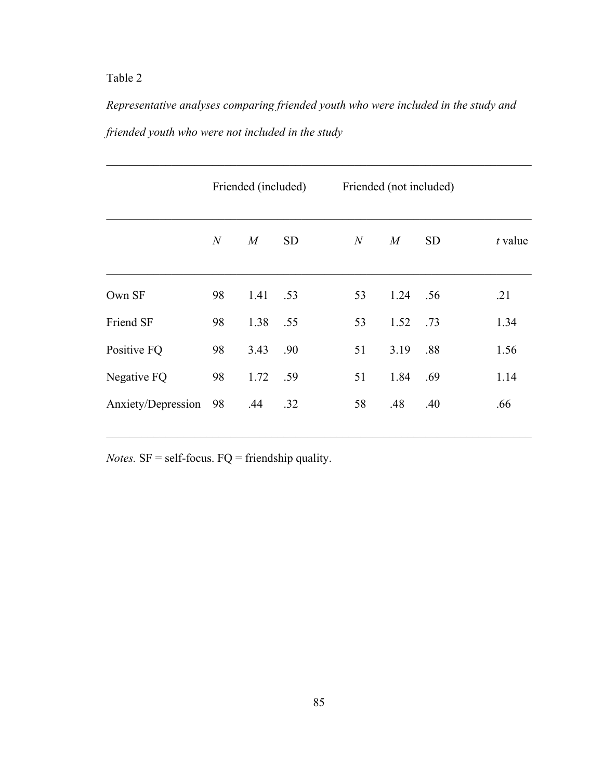*Representative analyses comparing friended youth who were included in the study and friended youth who were not included in the study*

|                    | Friended (included) |      |           |                  | Friended (not included) |           |           |  |  |
|--------------------|---------------------|------|-----------|------------------|-------------------------|-----------|-----------|--|--|
|                    | $\mathcal N$        | M    | <b>SD</b> | $\boldsymbol{N}$ | M                       | <b>SD</b> | $t$ value |  |  |
| Own SF             | 98                  | 1.41 | .53       | 53               | 1.24                    | .56       | .21       |  |  |
| Friend SF          | 98                  | 1.38 | .55       | 53               | 1.52                    | .73       | 1.34      |  |  |
| Positive FQ        | 98                  | 3.43 | .90       | 51               | 3.19                    | .88       | 1.56      |  |  |
| Negative FQ        | 98                  | 1.72 | .59       | 51               | 1.84                    | .69       | 1.14      |  |  |
| Anxiety/Depression | 98                  | .44  | .32       | 58               | .48                     | .40       | .66       |  |  |

*Notes.*  $SF = self-focus.$   $FQ = friendship quality.$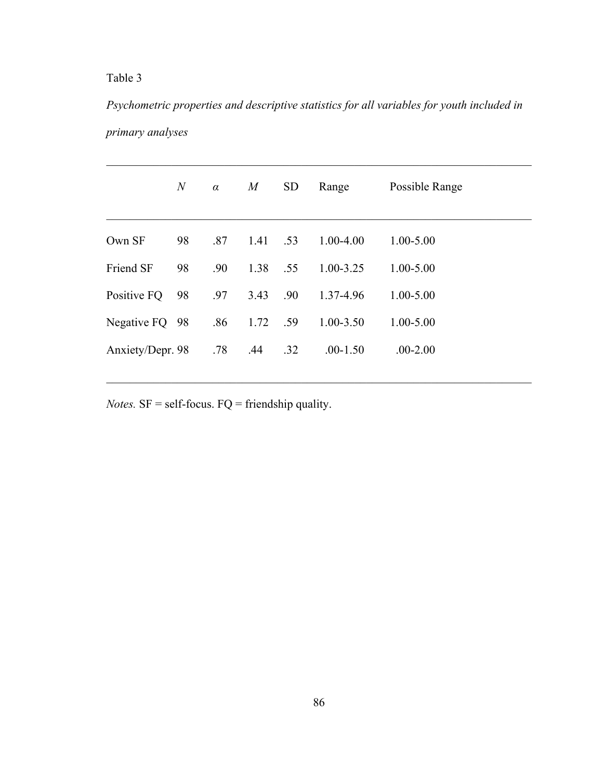*Psychometric properties and descriptive statistics for all variables for youth included in primary analyses*

|                  | $\boldsymbol{N}$ | $\alpha$ | M    | <b>SD</b> | Range         | Possible Range |
|------------------|------------------|----------|------|-----------|---------------|----------------|
| Own SF           | 98               | .87      | 1.41 | .53       | $1.00 - 4.00$ | $1.00 - 5.00$  |
| Friend SF        | 98               | .90      | 1.38 | .55       | $1.00 - 3.25$ | $1.00 - 5.00$  |
| Positive FQ      | 98               | .97      | 3.43 | .90       | 1.37-4.96     | $1.00 - 5.00$  |
| Negative FQ 98   |                  | .86      | 1.72 | .59       | $1.00 - 3.50$ | $1.00 - 5.00$  |
| Anxiety/Depr. 98 |                  | .78      | .44  | .32       | $.00-1.50$    | $.00 - 2.00$   |
|                  |                  |          |      |           |               |                |

 $\mathcal{L}_\text{max}$  , and the contribution of the contribution of the contribution of the contribution of the contribution of the contribution of the contribution of the contribution of the contribution of the contribution of t

*Notes.* SF = self-focus. FQ = friendship quality.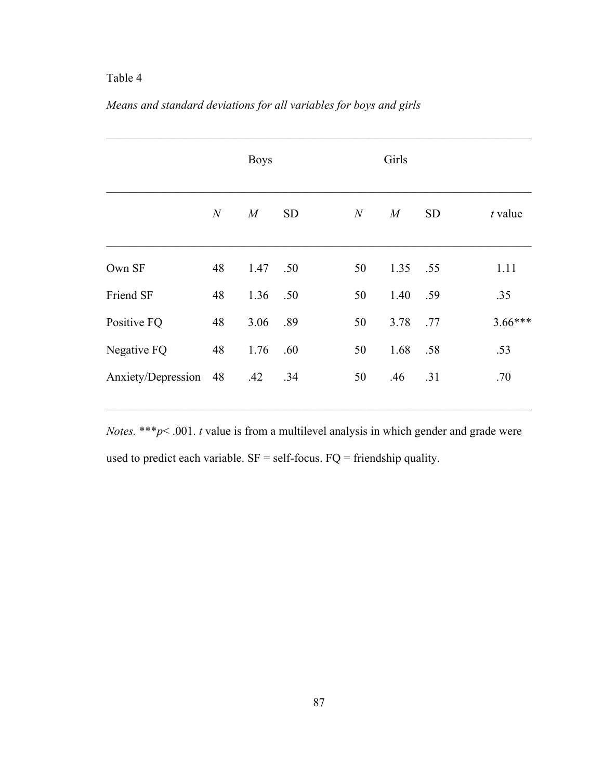|                    |    | <b>Boys</b>      |           |    | Girls |           |           |  |  |  |
|--------------------|----|------------------|-----------|----|-------|-----------|-----------|--|--|--|
|                    | N  | $\boldsymbol{M}$ | <b>SD</b> | N  | M     | <b>SD</b> | t value   |  |  |  |
| Own SF             | 48 | 1.47             | .50       | 50 | 1.35  | .55       | 1.11      |  |  |  |
| Friend SF          | 48 | 1.36             | .50       | 50 | 1.40  | .59       | .35       |  |  |  |
| Positive FQ        | 48 | 3.06             | .89       | 50 | 3.78  | .77       | $3.66***$ |  |  |  |
| Negative FQ        | 48 | 1.76             | .60       | 50 | 1.68  | .58       | .53       |  |  |  |
| Anxiety/Depression | 48 | .42              | .34       | 50 | .46   | .31       | .70       |  |  |  |

# *Means and standard deviations for all variables for boys and girls*

*Notes.* \*\*\**p*< .001. *t* value is from a multilevel analysis in which gender and grade were used to predict each variable.  $SF = self-focus$ .  $FQ = friendship$  quality.

 $\mathcal{L}_\text{max} = \mathcal{L}_\text{max} = \mathcal{L}_\text{max} = \mathcal{L}_\text{max} = \mathcal{L}_\text{max} = \mathcal{L}_\text{max} = \mathcal{L}_\text{max} = \mathcal{L}_\text{max} = \mathcal{L}_\text{max} = \mathcal{L}_\text{max} = \mathcal{L}_\text{max} = \mathcal{L}_\text{max} = \mathcal{L}_\text{max} = \mathcal{L}_\text{max} = \mathcal{L}_\text{max} = \mathcal{L}_\text{max} = \mathcal{L}_\text{max} = \mathcal{L}_\text{max} = \mathcal{$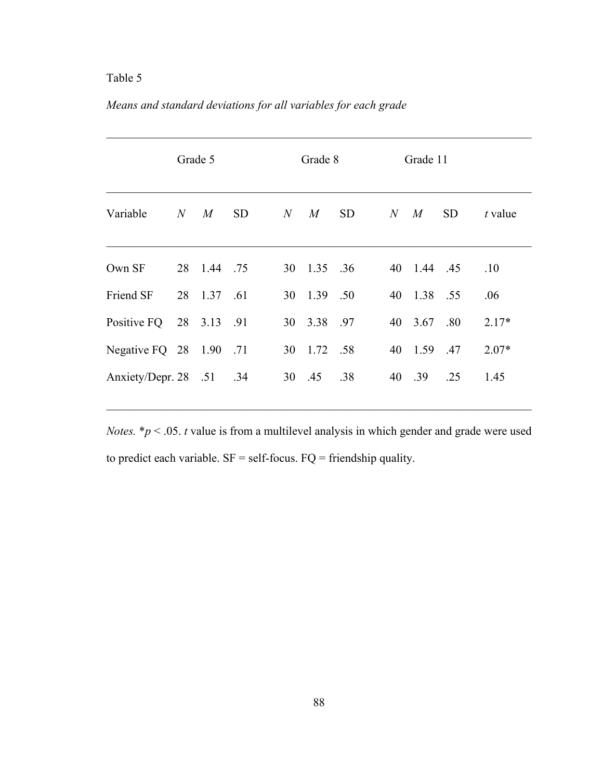|  |  | Means and standard deviations for all variables for each grade |
|--|--|----------------------------------------------------------------|
|  |  |                                                                |

|                       | Grade 5 |             | Grade 8   |         |             | Grade 11  |           |             |           |         |
|-----------------------|---------|-------------|-----------|---------|-------------|-----------|-----------|-------------|-----------|---------|
| Variable              | N       | M           | <b>SD</b> | $N_{-}$ | $M_{\rm}$   | <b>SD</b> | $N_{\rm}$ | M           | <b>SD</b> | t value |
| Own SF                |         | 28 1.44 .75 |           |         | 30 1.35 .36 |           |           | 40 1.44 .45 |           | .10     |
| Friend SF             | 28      | 1.37        | .61       |         | 30 1.39 .50 |           |           | 40 1.38     | .55       | .06     |
| Positive FQ           |         | 28 3.13 .91 |           |         | 30 3.38 .97 |           |           | 40 3.67     | .80       | $2.17*$ |
| Negative FQ $28$ 1.90 |         |             | .71       |         | 30 1.72 .58 |           |           | 40 1.59     | .47       | $2.07*$ |
| Anxiety/Depr. 28 .51  |         |             | .34       |         | 30 .45      | .38       | 40        | .39         | .25       | 1.45    |

 $\mathcal{L}_\text{max} = \mathcal{L}_\text{max} = \mathcal{L}_\text{max} = \mathcal{L}_\text{max} = \mathcal{L}_\text{max} = \mathcal{L}_\text{max} = \mathcal{L}_\text{max} = \mathcal{L}_\text{max} = \mathcal{L}_\text{max} = \mathcal{L}_\text{max} = \mathcal{L}_\text{max} = \mathcal{L}_\text{max} = \mathcal{L}_\text{max} = \mathcal{L}_\text{max} = \mathcal{L}_\text{max} = \mathcal{L}_\text{max} = \mathcal{L}_\text{max} = \mathcal{L}_\text{max} = \mathcal{$ 

*Notes.* \**p* < .05. *t* value is from a multilevel analysis in which gender and grade were used to predict each variable.  $SF = self$ -focus.  $FQ =$  friendship quality.

 $\mathcal{L}_\text{max} = \mathcal{L}_\text{max} = \mathcal{L}_\text{max} = \mathcal{L}_\text{max} = \mathcal{L}_\text{max} = \mathcal{L}_\text{max} = \mathcal{L}_\text{max} = \mathcal{L}_\text{max} = \mathcal{L}_\text{max} = \mathcal{L}_\text{max} = \mathcal{L}_\text{max} = \mathcal{L}_\text{max} = \mathcal{L}_\text{max} = \mathcal{L}_\text{max} = \mathcal{L}_\text{max} = \mathcal{L}_\text{max} = \mathcal{L}_\text{max} = \mathcal{L}_\text{max} = \mathcal{$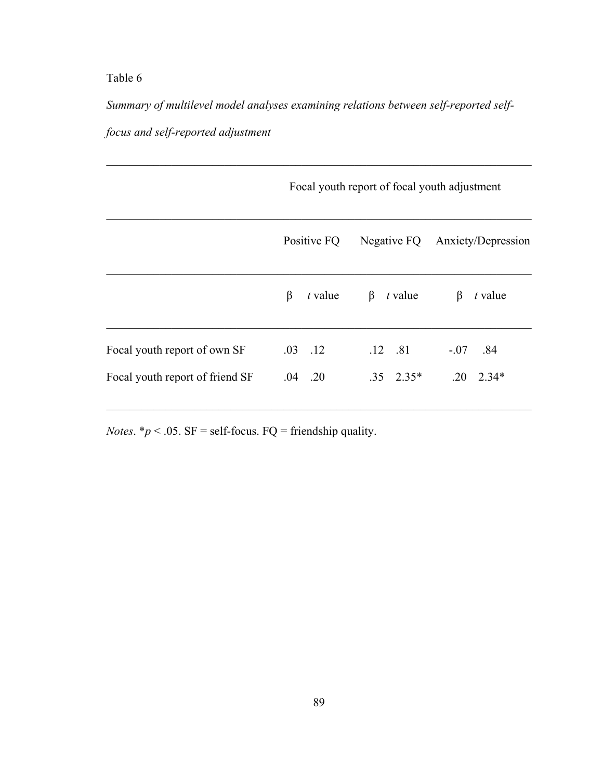*Summary of multilevel model analyses examining relations between self-reported selffocus and self-reported adjustment* 

 $\mathcal{L}_\text{max}$  , and the contribution of the contribution of the contribution of the contribution of the contribution of the contribution of the contribution of the contribution of the contribution of the contribution of t

|                                 | Focal youth report of focal youth adjustment |                    |                                |  |  |  |  |  |  |
|---------------------------------|----------------------------------------------|--------------------|--------------------------------|--|--|--|--|--|--|
|                                 | Positive FQ                                  |                    | Negative FQ Anxiety/Depression |  |  |  |  |  |  |
|                                 | β<br>$t$ value                               | $\beta$<br>t value | $t$ value<br>β                 |  |  |  |  |  |  |
| Focal youth report of own SF    | $.03$ $.12$                                  | $.12 \quad .81$    | $-.07-.84$                     |  |  |  |  |  |  |
| Focal youth report of friend SF | $.04$ . 20                                   | $.35 \quad 2.35*$  | $.20 \quad 2.34*$              |  |  |  |  |  |  |

*Notes*.  $* p < .05$ . SF = self-focus. FQ = friendship quality.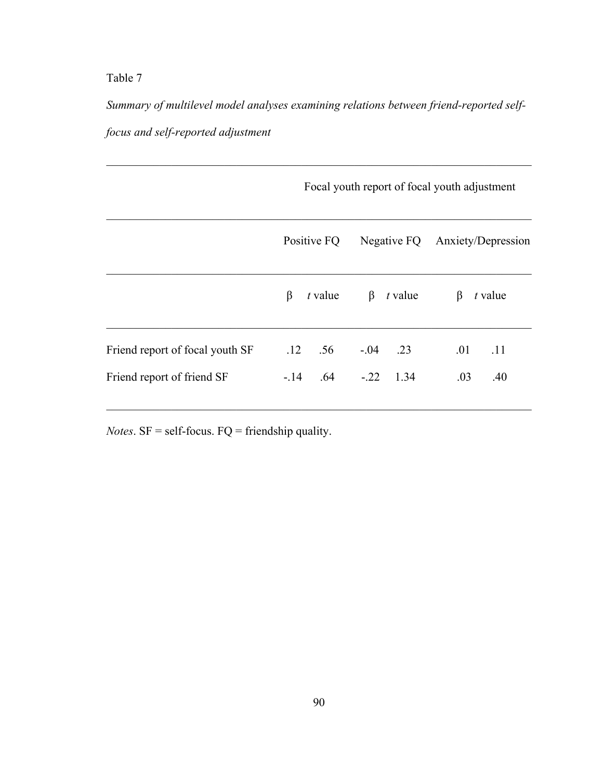*Summary of multilevel model analyses examining relations between friend-reported selffocus and self-reported adjustment* 

 $\mathcal{L}_\text{max}$  , and the contribution of the contribution of the contribution of the contribution of the contribution of the contribution of the contribution of the contribution of the contribution of the contribution of t

|                                 | Focal youth report of focal youth adjustment |                        |            |                                |     |           |  |  |  |  |
|---------------------------------|----------------------------------------------|------------------------|------------|--------------------------------|-----|-----------|--|--|--|--|
|                                 | Positive FQ                                  |                        |            | Negative FQ Anxiety/Depression |     |           |  |  |  |  |
|                                 | β                                            | $t$ value              |            | $\beta$ <i>t</i> value         | β   | $t$ value |  |  |  |  |
| Friend report of focal youth SF |                                              | $.12 \quad .56$        | $-.04$ .23 |                                | .01 | .11       |  |  |  |  |
| Friend report of friend SF      |                                              | $-.14$ .64 $-.22$ 1.34 |            |                                | .03 | .40       |  |  |  |  |

*Notes*. SF = self-focus. FQ = friendship quality.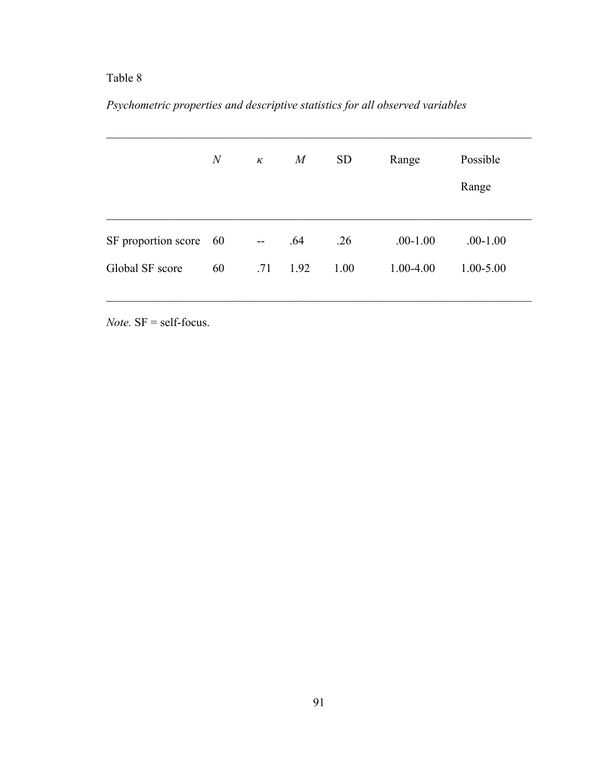# *Psychometric properties and descriptive statistics for all observed variables*

|                     | $\overline{N}$ | $\kappa$                 | $\boldsymbol{M}$ | <b>SD</b> | Range         | Possible      |
|---------------------|----------------|--------------------------|------------------|-----------|---------------|---------------|
|                     |                |                          |                  |           |               | Range         |
| SF proportion score | - 60           | $\overline{\phantom{a}}$ | .64              | .26       | $.00-1.00$    | $.00-1.00$    |
| Global SF score     | 60             | .71                      | 1.92             | 1.00      | $1.00 - 4.00$ | $1.00 - 5.00$ |

*Note.* SF = self-focus.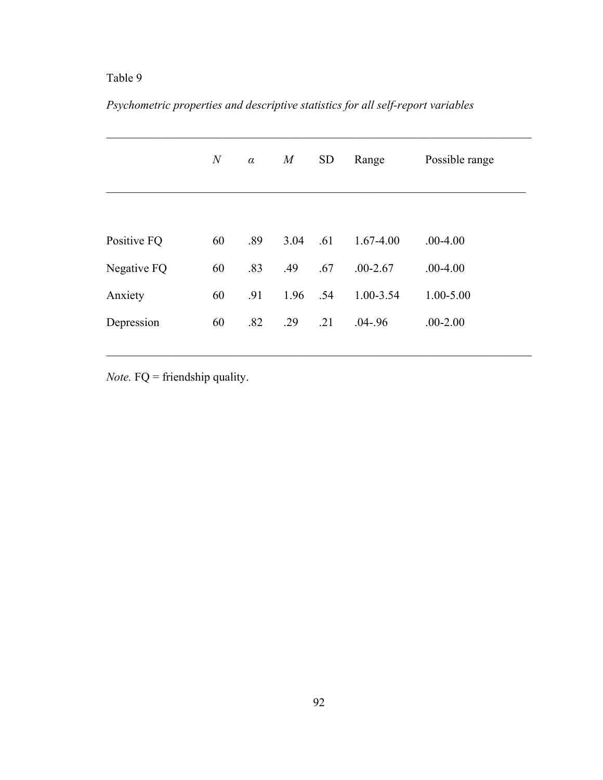# *Psychometric properties and descriptive statistics for all self-report variables*

|             | $\mathcal N$ | $\alpha$ | M    | <b>SD</b> | Range         | Possible range |
|-------------|--------------|----------|------|-----------|---------------|----------------|
|             |              |          |      |           |               |                |
| Positive FQ | 60           | .89      | 3.04 | .61       | $1.67 - 4.00$ | $.00-4.00$     |
| Negative FQ | 60           | .83      | .49  | .67       | $.00 - 2.67$  | $.00-4.00$     |
| Anxiety     | 60           | .91      | 1.96 | .54       | 1.00-3.54     | $1.00 - 5.00$  |
| Depression  | 60           | .82      | .29  | .21       | $.04 - .96$   | $.00 - 2.00$   |
|             |              |          |      |           |               |                |

*Note.* FQ = friendship quality.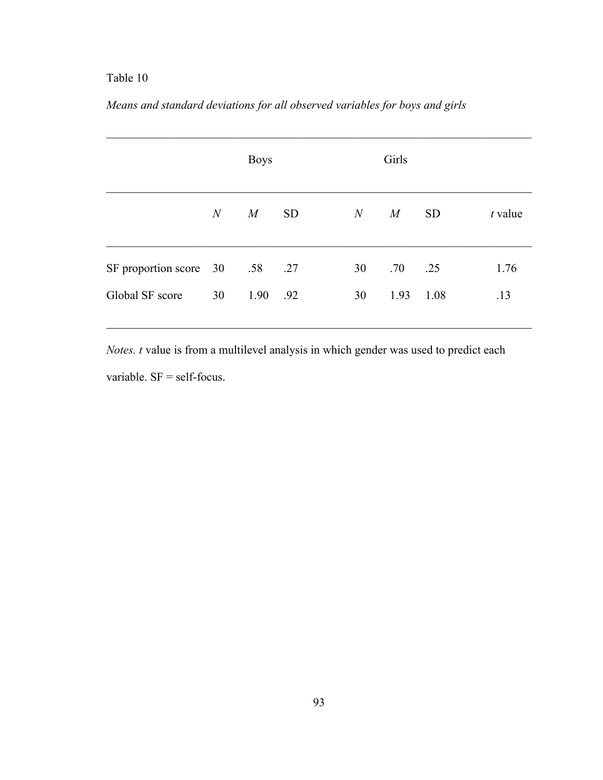|                                |           | <b>Boys</b> |           |    |              |           |           |
|--------------------------------|-----------|-------------|-----------|----|--------------|-----------|-----------|
|                                | $N_{\rm}$ | M           | <b>SD</b> | N  | M            | <b>SD</b> | $t$ value |
| SF proportion score 30 .58 .27 |           |             |           | 30 | $.70 \t .25$ |           | 1.76      |
| Global SF score                | 30        | 1.90        | .92       | 30 | 1.93         | 1.08      | .13       |

# *Means and standard deviations for all observed variables for boys and girls*

*Notes. t* value is from a multilevel analysis in which gender was used to predict each variable. SF = self-focus.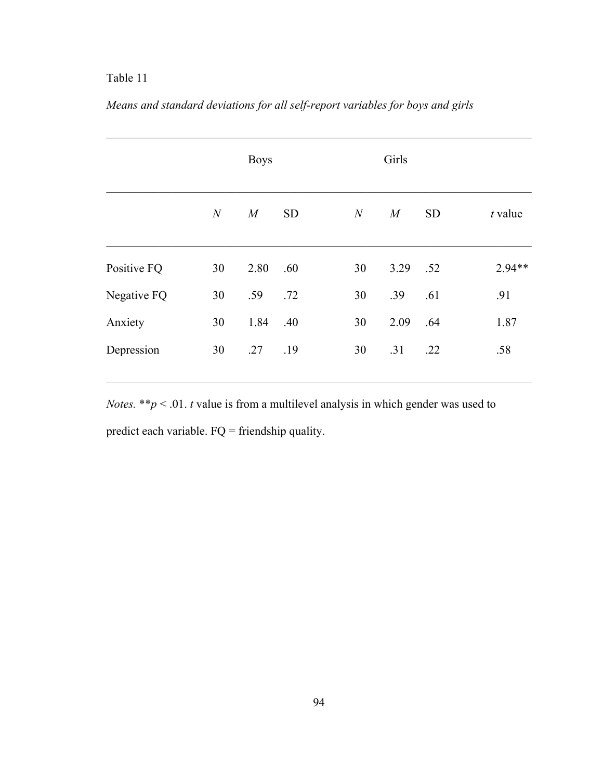|             |              | <b>Boys</b> |           |              | Girls |      |           |           |
|-------------|--------------|-------------|-----------|--------------|-------|------|-----------|-----------|
|             | $\mathcal N$ | M           | <b>SD</b> | $\mathcal N$ |       | M    | <b>SD</b> | $t$ value |
| Positive FQ | 30           | 2.80        | .60       | 30           |       | 3.29 | .52       | 2.94**    |
| Negative FQ | 30           | .59         | .72       | 30           |       | .39  | .61       | .91       |
| Anxiety     | 30           | 1.84        | .40       | 30           |       | 2.09 | .64       | 1.87      |
| Depression  | 30           | .27         | .19       | 30           |       | .31  | .22       | .58       |

# *Means and standard deviations for all self-report variables for boys and girls*

*Notes.* \*\**p* < .01. *t* value is from a multilevel analysis in which gender was used to predict each variable. FQ = friendship quality.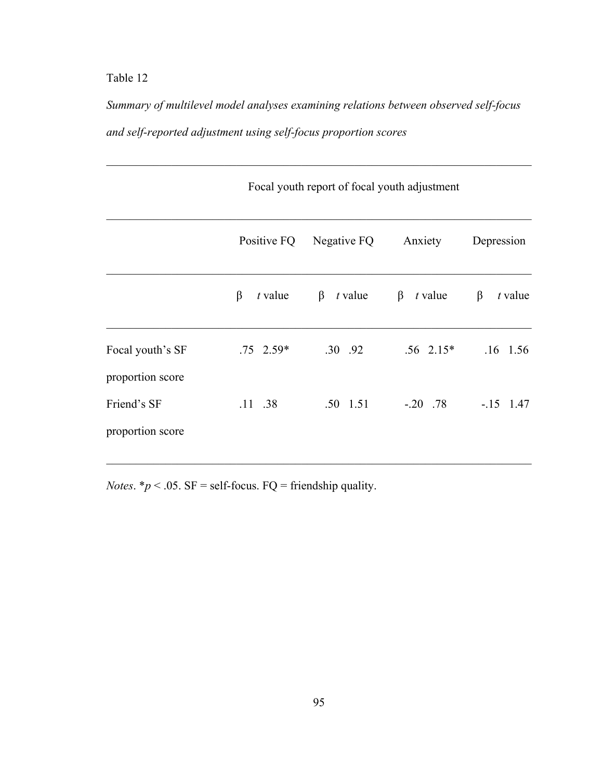*Summary of multilevel model analyses examining relations between observed self-focus and self-reported adjustment using self-focus proportion scores* 

 $\mathcal{L}_\text{max}$  , and the contribution of the contribution of the contribution of the contribution of the contribution of the contribution of the contribution of the contribution of the contribution of the contribution of t

|                                      | Focal youth report of focal youth adjustment |                         |                        |                      |
|--------------------------------------|----------------------------------------------|-------------------------|------------------------|----------------------|
|                                      |                                              | Positive FQ Negative FQ | Anxiety                | Depression           |
|                                      | $\beta$<br>$t$ value                         | $\beta$ <i>t</i> value  | $\beta$ <i>t</i> value | $\beta$<br>$t$ value |
| Focal youth's SF<br>proportion score | $.75 \quad 2.59*$                            | $.30 \t .92$            | $.56 \text{ } 2.15^*$  | $.16$ 1.56           |
| Friend's SF<br>proportion score      | $.11$ .38                                    | $.50 \quad 1.51$        | $-.20$ .78             | $-15$ 1.47           |

*Notes*.  $* p < .05$ . SF = self-focus. FQ = friendship quality.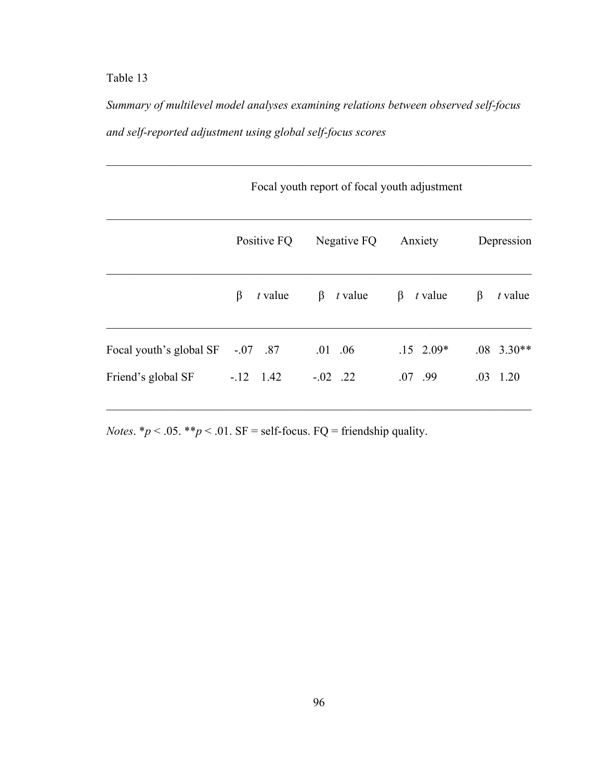*Summary of multilevel model analyses examining relations between observed self-focus and self-reported adjustment using global self-focus scores* 

 $\mathcal{L}_\text{max}$  , and the contribution of the contribution of the contribution of the contribution of the contribution of the contribution of the contribution of the contribution of the contribution of the contribution of t

|                                  | Focal youth report of focal youth adjustment |                        |                        |                  |  |
|----------------------------------|----------------------------------------------|------------------------|------------------------|------------------|--|
|                                  | Positive FQ                                  | Negative FQ            | Anxiety                | Depression       |  |
|                                  | β<br>$t$ value                               | $\beta$ <i>t</i> value | $\beta$ <i>t</i> value | β<br>$t$ value   |  |
| Focal youth's global SF -.07 .87 |                                              | $.01$ $.06$            | $.15 \t2.09*$          | $.08$ 3.30**     |  |
| Friend's global SF               | $-12$ 1.42                                   | $-.02$ .22             | $.07$ .99              | $.03 \quad 1.20$ |  |

*Notes.*  $* p < .05$ .  $* p < .01$ . SF = self-focus. FQ = friendship quality.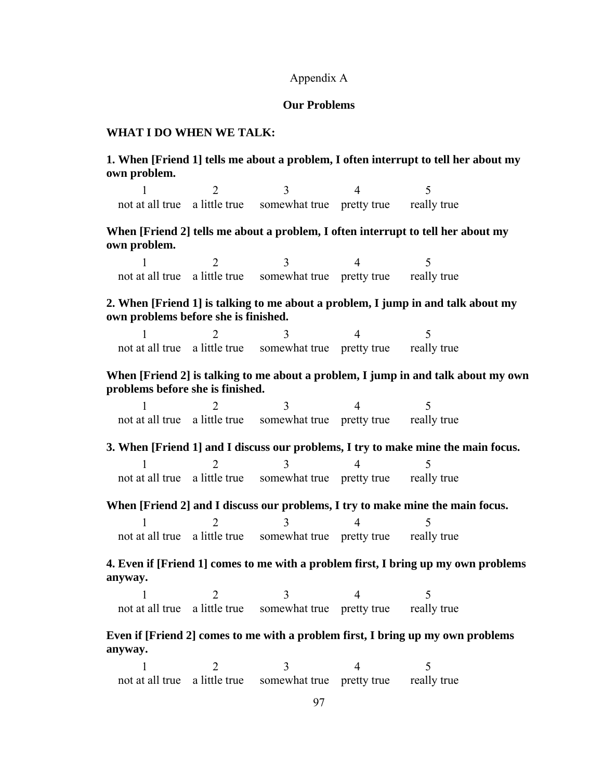#### Appendix A

### **Our Problems**

#### **WHAT I DO WHEN WE TALK:**

### **1. When [Friend 1] tells me about a problem, I often interrupt to tell her about my own problem.**

 $1 2 3 4 5$ not at all true a little true somewhat true pretty true really true

### **When [Friend 2] tells me about a problem, I often interrupt to tell her about my own problem.**

 $1 2 3 4 5$ not at all true a little true somewhat true pretty true really true

### **2. When [Friend 1] is talking to me about a problem, I jump in and talk about my own problems before she is finished.**

 $1 2 3 4 5$ not at all true a little true somewhat true pretty true really true

### **When [Friend 2] is talking to me about a problem, I jump in and talk about my own problems before she is finished.**

 $1 2 3 4 5$ not at all true a little true somewhat true pretty true really true

**3. When [Friend 1] and I discuss our problems, I try to make mine the main focus.**   $1 2 3 4 5$ not at all true a little true somewhat true pretty true really true

**When [Friend 2] and I discuss our problems, I try to make mine the main focus.** 

 $1 2 3 4 5$ not at all true a little true somewhat true pretty true really true

### **4. Even if [Friend 1] comes to me with a problem first, I bring up my own problems anyway.**

 $1 2 3 4 5$ not at all true a little true somewhat true pretty true really true

### **Even if [Friend 2] comes to me with a problem first, I bring up my own problems anyway.**

 $1 2 3 4 5$ not at all true a little true somewhat true pretty true really true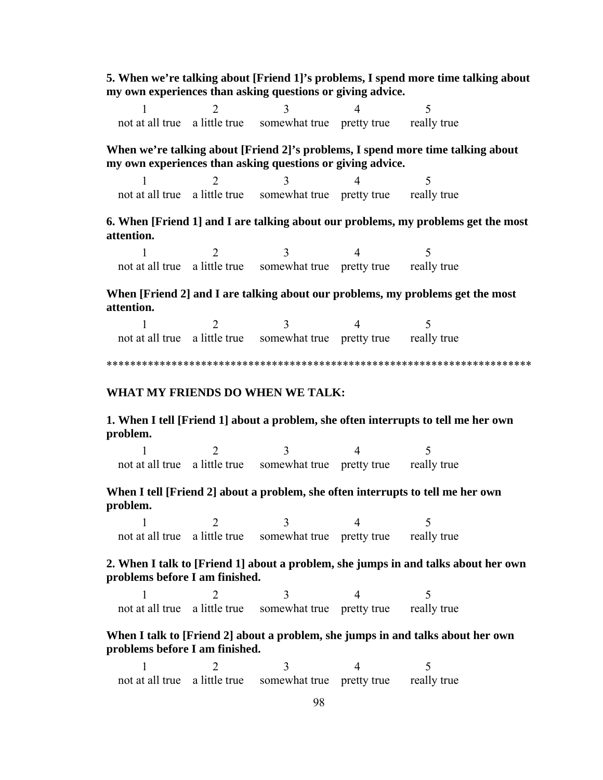**5. When we're talking about [Friend 1]'s problems, I spend more time talking about my own experiences than asking questions or giving advice.** 

 $1 2 3 4 5$ not at all true a little true somewhat true pretty true really true

**When we're talking about [Friend 2]'s problems, I spend more time talking about my own experiences than asking questions or giving advice.** 

 $1 2 3 4 5$ not at all true a little true somewhat true pretty true really true

**6. When [Friend 1] and I are talking about our problems, my problems get the most attention.** 

 $1 2 3 4 5$ not at all true a little true somewhat true pretty true really true

**When [Friend 2] and I are talking about our problems, my problems get the most attention.** 

 $1 2 3 4 5$ not at all true a little true somewhat true pretty true really true

\*\*\*\*\*\*\*\*\*\*\*\*\*\*\*\*\*\*\*\*\*\*\*\*\*\*\*\*\*\*\*\*\*\*\*\*\*\*\*\*\*\*\*\*\*\*\*\*\*\*\*\*\*\*\*\*\*\*\*\*\*\*\*\*\*\*\*\*\*\*\*\*

#### **WHAT MY FRIENDS DO WHEN WE TALK:**

**1. When I tell [Friend 1] about a problem, she often interrupts to tell me her own problem.** 

 $1 2 3 4 5$ not at all true a little true somewhat true pretty true really true

### **When I tell [Friend 2] about a problem, she often interrupts to tell me her own problem.**

 $1 2 3 4 5$ not at all true a little true somewhat true pretty true really true

### **2. When I talk to [Friend 1] about a problem, she jumps in and talks about her own problems before I am finished.**

 $1 2 3 4 5$ not at all true a little true somewhat true pretty true really true

### **When I talk to [Friend 2] about a problem, she jumps in and talks about her own problems before I am finished.**

 $1 2 3 4 5$ not at all true a little true somewhat true pretty true really true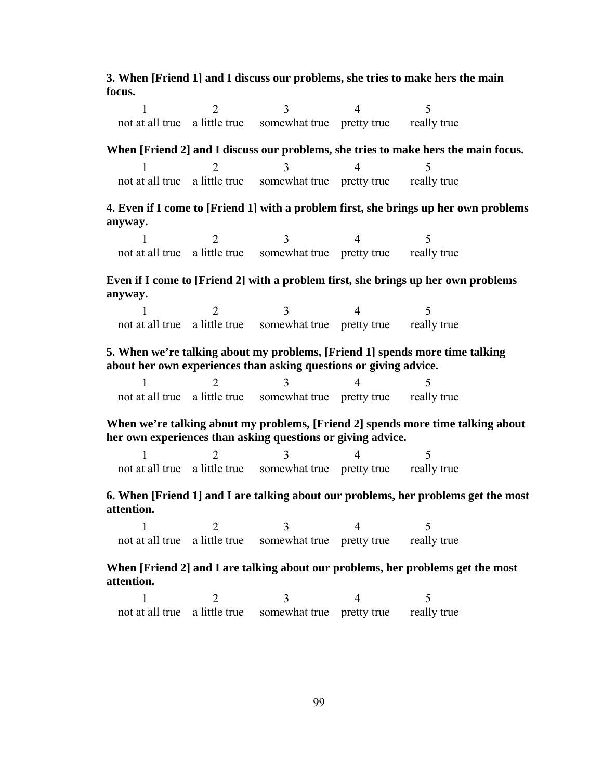**3. When [Friend 1] and I discuss our problems, she tries to make hers the main focus.** 

 $1 2 3 4 5$ not at all true a little true somewhat true pretty true really true

**When [Friend 2] and I discuss our problems, she tries to make hers the main focus.**   $1 2 3 4 5$ 

| not at all true a little true somewhat true pretty true |  |  | really true |
|---------------------------------------------------------|--|--|-------------|
|---------------------------------------------------------|--|--|-------------|

**4. Even if I come to [Friend 1] with a problem first, she brings up her own problems anyway.** 

 $1 2 3 4 5$ not at all true a little true somewhat true pretty true really true

**Even if I come to [Friend 2] with a problem first, she brings up her own problems anyway.** 

|  | not at all true a little true somewhat true pretty true really true |  |
|--|---------------------------------------------------------------------|--|

**5. When we're talking about my problems, [Friend 1] spends more time talking about her own experiences than asking questions or giving advice.** 

|  | not at all true a little true somewhat true pretty true really true |  |
|--|---------------------------------------------------------------------|--|

**When we're talking about my problems, [Friend 2] spends more time talking about her own experiences than asking questions or giving advice.** 

 $1 2 3 4 5$ not at all true a little true somewhat true pretty true really true

**6. When [Friend 1] and I are talking about our problems, her problems get the most attention.** 

 $1 2 3 4 5$ not at all true a little true somewhat true pretty true really true

**When [Friend 2] and I are talking about our problems, her problems get the most attention.** 

 $1 2 3 4 5$ not at all true a little true somewhat true pretty true really true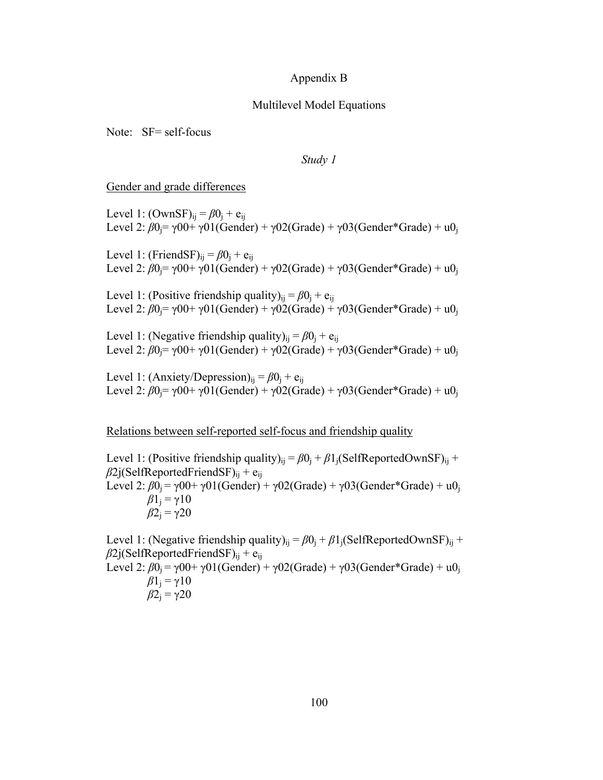#### Appendix B

#### Multilevel Model Equations

Note: SF= self-focus

*Study 1* 

Gender and grade differences

Level 1:  $(OwnSF)_{ii} = \beta 0_i + e_{ii}$ Level 2:  $\beta$ 0<sub>i</sub>= γ00+ γ01(Gender) + γ02(Grade) + γ03(Gender\*Grade) + u0<sub>i</sub>

Level 1: (FriendSF)<sub>ii</sub> =  $\beta$ 0<sub>i</sub> + e<sub>ij</sub> Level 2:  $\beta$ 0<sub>i</sub>=  $\gamma$ 00+  $\gamma$ 01(Gender) +  $\gamma$ 02(Grade) +  $\gamma$ 03(Gender\*Grade) + u0<sub>i</sub>

Level 1: (Positive friendship quality)<sub>ii</sub> =  $\beta$ 0<sub>i</sub> + e<sub>ii</sub> Level 2: β0<sub>i</sub>= γ00+ γ01(Gender) + γ02(Grade) + γ03(Gender\*Grade) + u0<sub>j</sub>

Level 1: (Negative friendship quality)<sub>ii</sub> =  $\beta$ 0<sub>i</sub> + e<sub>ii</sub> Level 2:  $\beta 0$ <sub>j</sub> =  $\gamma 00$ +  $\gamma 01$ (Gender) +  $\gamma 02$ (Grade) +  $\gamma 03$ (Gender\*Grade) +  $u0_1$ 

Level 1: (Anxiety/Depression)<sub>ij</sub> =  $\beta$ 0<sub>i</sub> + e<sub>ij</sub> Level 2:  $\beta$ 0<sub>i</sub>=  $\gamma$ 00+  $\gamma$ 01(Gender) +  $\gamma$ 02(Grade) +  $\gamma$ 03(Gender\*Grade) + u0<sub>i</sub>

Relations between self-reported self-focus and friendship quality

Level 1: (Positive friendship quality)<sub>ii</sub> =  $\beta$ 0<sub>i</sub> +  $\beta$ 1<sub>i</sub>(SelfReportedOwnSF)<sub>ii</sub> +  $\beta$ 2j(SelfReportedFriendSF)<sub>ii</sub> + e<sub>ii</sub> Level 2:  $\beta 0_i = \gamma 00 + \gamma 01(Gender) + \gamma 02(Grade) + \gamma 03(Gender*Grade) + u0_i$  $β1<sub>i</sub> = γ10$  $β2$ <sub>j</sub> = γ20

Level 1: (Negative friendship quality)<sub>ii</sub> =  $\beta$ 0<sub>i</sub> +  $\beta$ 1<sub>i</sub>(SelfReportedOwnSF)<sub>ii</sub> +  $\beta$ 2j(SelfReportedFriendSF)<sub>ij</sub> + e<sub>ij</sub> Level 2:  $\beta 0_i = \gamma 00 + \gamma 01(Gender) + \gamma 02(Grade) + \gamma 03(Gender*Grade) + u0_i$  $\beta$ 1<sub>i</sub> = γ10  $β2$ <sub>i</sub> = γ20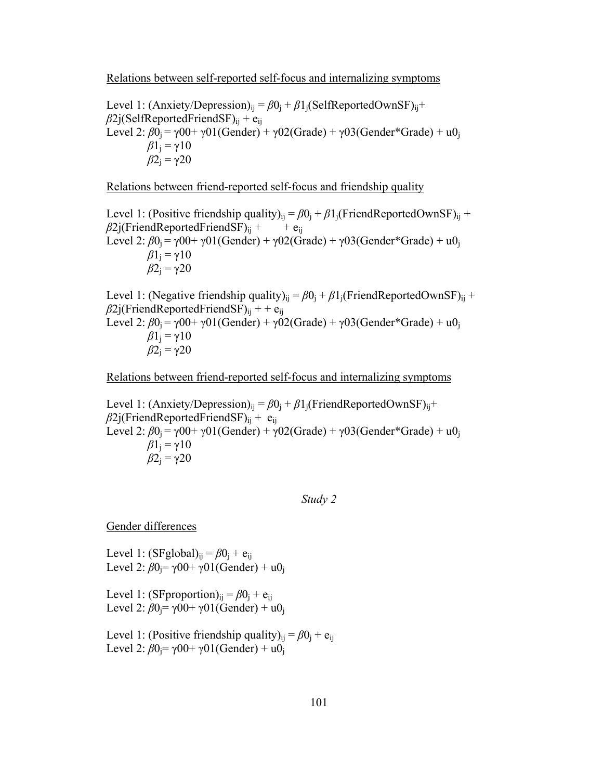Relations between self-reported self-focus and internalizing symptoms

Level 1: (Anxiety/Depression)<sub>ij</sub> =  $\beta 0$ <sub>j</sub> +  $\beta 1$ <sub>j</sub>(SelfReportedOwnSF)<sub>ij</sub>+  $\beta$ 2j(SelfReportedFriendSF)<sub>ii</sub> + e<sub>ii</sub> Level 2:  $\beta 0_i = \gamma 00 + \gamma 01(Gender) + \gamma 02(Grade) + \gamma 03(Gender*Grade) + u0_i$  $β1<sub>i</sub> = γ10$  $β2$ <sub>i</sub> = γ20

Relations between friend-reported self-focus and friendship quality

Level 1: (Positive friendship quality)<sub>ij</sub> =  $\beta 0$ <sub>j</sub> +  $\beta 1$ <sub>j</sub>(FriendReportedOwnSF)<sub>ij</sub> +  $\beta$ 2j(FriendReportedFriendSF)<sub>ii</sub> + + e<sub>ij</sub> Level 2:  $\beta 0_i = \gamma 00 + \gamma 01(Gender) + \gamma 02(Grade) + \gamma 03(Gender*Grade) + u0_i$  $β1<sub>i</sub> = γ10$  $β2$ <sub>j</sub> = γ20

Level 1: (Negative friendship quality)<sub>ii</sub> =  $\beta$ 0<sub>i</sub> +  $\beta$ 1<sub>i</sub>(FriendReportedOwnSF)<sub>ii</sub> +  $\beta$ 2j(FriendReportedFriendSF)<sub>ij</sub> + + e<sub>ij</sub> Level 2:  $\beta 0_i = \gamma 00 + \gamma 01(Gender) + \gamma 02(Grade) + \gamma 03(Gender*Grade) + u0_i$  $β1<sub>i</sub> = γ10$  $β2$ <sub>j</sub> = γ20

Relations between friend-reported self-focus and internalizing symptoms

Level 1: (Anxiety/Depression)<sub>ii</sub> =  $\beta$ 0<sub>i</sub> +  $\beta$ 1<sub>i</sub>(FriendReportedOwnSF)<sub>ii</sub>+  $\beta$ 2j(FriendReportedFriendSF)<sub>ij</sub> + e<sub>ij</sub> Level 2:  $\beta$ 0<sub>j</sub> =  $\gamma$ 00+  $\gamma$ 01(Gender) +  $\gamma$ 02(Grade) +  $\gamma$ 03(Gender\*Grade) + u0<sub>i</sub>  $\beta$ 1<sub>i</sub> = γ10  $β2$ <sub>j</sub> = γ20

*Study 2* 

Gender differences

Level 1:  $(SFglobal)_{ii} = \beta 0_i + e_{ii}$ Level 2:  $β0$ <sub>j</sub>= γ00+ γ01(Gender) + u0<sub>i</sub>

Level 1: (SFproportion)<sub>ij</sub> =  $\beta$ 0<sub>i</sub> + e<sub>ij</sub> Level 2:  $β0$ <sub>j</sub> = γ00+ γ01(Gender) + u0<sub>i</sub>

Level 1: (Positive friendship quality)<sub>ij</sub> =  $\beta$ 0<sub>i</sub> + e<sub>ij</sub> Level 2:  $\beta 0 = \gamma 00 + \gamma 01$  (Gender) + u0<sub>i</sub>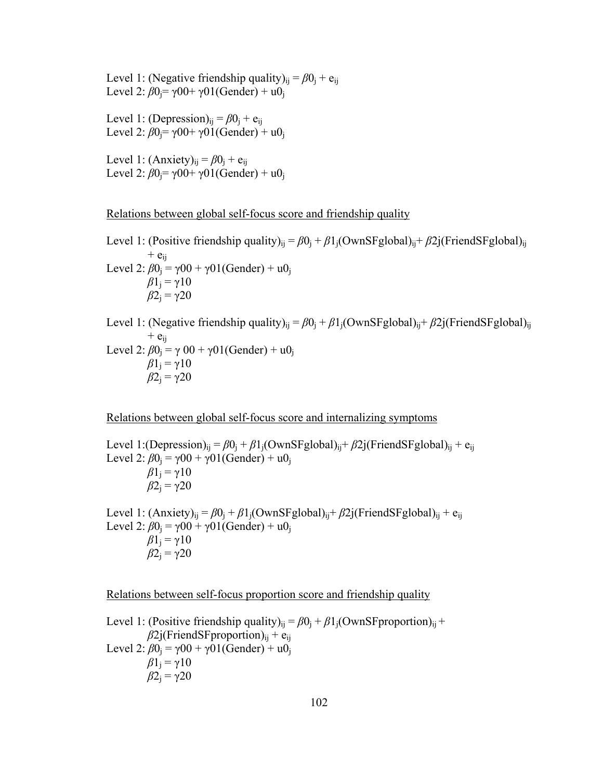Level 1: (Negative friendship quality)<sub>ij</sub> =  $\beta$ 0<sub>j</sub> + e<sub>ij</sub> Level 2:  $β0$ <sub>j</sub> = γ00+ γ01(Gender) + u0<sub>j</sub>

Level 1: (Depression)<sub>ii</sub> =  $\beta$ 0<sub>i</sub> + e<sub>ii</sub> Level 2:  $\beta 0 = \gamma 00 + \gamma 01$ (Gender) + u0<sub>i</sub>

Level 1:  $(Anxiety)_{ii} = \beta 0_i + e_{ii}$ Level 2:  $β0$ <sub>j</sub> = γ00+ γ01(Gender) + u0<sub>i</sub>

Relations between global self-focus score and friendship quality

Level 1: (Positive friendship quality)<sub>ij</sub> =  $β0$ <sub>j</sub> +  $β1$ <sub>j</sub>(OwnSFglobal)<sub>ij</sub>+  $β2$ j(FriendSFglobal)<sub>ij</sub>  $+$  e<sub>ii</sub> Level 2:  $\beta 0_i = \gamma 00 + \gamma 01$ (Gender) + u0<sub>i</sub>  $β1<sub>i</sub> = γ10$  $β2$ <sub>j</sub> = γ20

Level 1: (Negative friendship quality)<sub>ij</sub> =  $β0$ <sub>j</sub> +  $β1$ <sub>j</sub>(OwnSFglobal)<sub>ij</sub>+  $β2$ j(FriendSFglobal)<sub>ij</sub>  $+$   $e_{ii}$ Level 2:  $β0$ <sub>j</sub> = γ 00 + γ01(Gender) + u0<sub>j</sub>  $β1<sub>i</sub> = γ10$  $β2$ <sub>j</sub> = γ20

Relations between global self-focus score and internalizing symptoms

Level 1:(Depression)<sub>ii</sub> =  $\beta 0$ <sub>i</sub> +  $\beta 1$ <sub>i</sub>(OwnSFglobal)<sub>ii</sub> +  $\beta 2$ j(FriendSFglobal)<sub>ii</sub> + e<sub>ii</sub> Level 2:  $\beta 0_i = \gamma 00 + \gamma 01$ (Gender) + u0<sub>i</sub>  $β1<sub>i</sub> = γ10$  $β2$ <sub>j</sub> = γ20

Level 1:  $(Anxiety)_{ii} = \beta 0_i + \beta 1_i(OwnSFglobal)_{ii} + \beta 2j(FriendSFglobal)_{ii} + e_{ii}$ Level 2:  $\beta 0_i = \gamma 00 + \gamma 01$ (Gender) + u0<sub>i</sub>  $β1<sub>i</sub> = γ10$  $β2$ <sub>i</sub> = γ20

Relations between self-focus proportion score and friendship quality

Level 1: (Positive friendship quality)<sub>ij</sub> =  $\beta$ 0<sub>j</sub> +  $\beta$ 1<sub>j</sub>(OwnSFproportion)<sub>ij</sub> +  $\beta$ 2j(FriendSFproportion)<sub>ii</sub> + e<sub>ij</sub> Level 2:  $\beta 0_i = \gamma 00 + \gamma 01$  (Gender) + u0<sub>i</sub>  $β1<sub>i</sub> = γ10$  $β2$ <sub>i</sub> = γ20